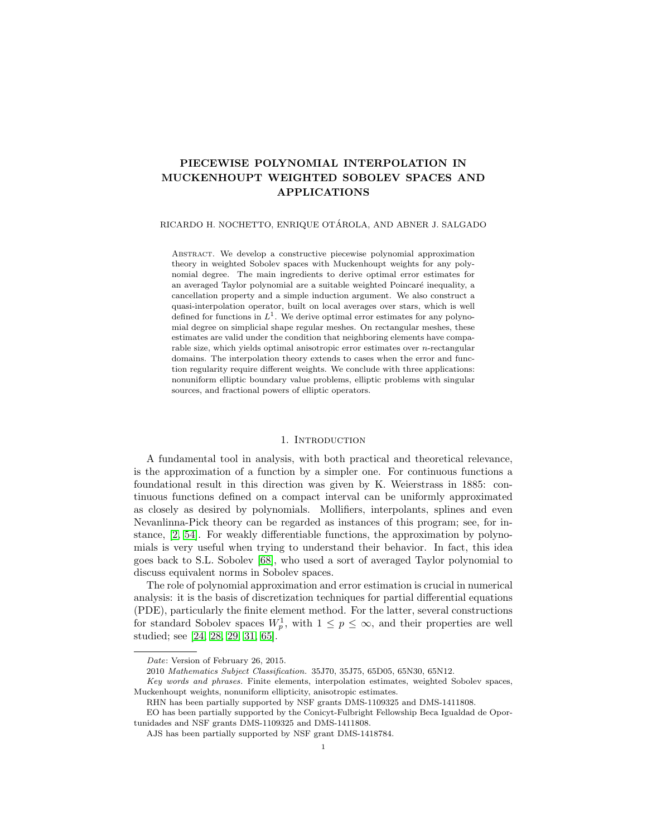# PIECEWISE POLYNOMIAL INTERPOLATION IN MUCKENHOUPT WEIGHTED SOBOLEV SPACES AND APPLICATIONS

## RICARDO H. NOCHETTO, ENRIQUE OTAROLA, AND ABNER J. SALGADO ´

Abstract. We develop a constructive piecewise polynomial approximation theory in weighted Sobolev spaces with Muckenhoupt weights for any polynomial degree. The main ingredients to derive optimal error estimates for an averaged Taylor polynomial are a suitable weighted Poincaré inequality, a cancellation property and a simple induction argument. We also construct a quasi-interpolation operator, built on local averages over stars, which is well defined for functions in  $L^1$ . We derive optimal error estimates for any polynomial degree on simplicial shape regular meshes. On rectangular meshes, these estimates are valid under the condition that neighboring elements have comparable size, which yields optimal anisotropic error estimates over  $n$ -rectangular domains. The interpolation theory extends to cases when the error and function regularity require different weights. We conclude with three applications: nonuniform elliptic boundary value problems, elliptic problems with singular sources, and fractional powers of elliptic operators.

# 1. INTRODUCTION

A fundamental tool in analysis, with both practical and theoretical relevance, is the approximation of a function by a simpler one. For continuous functions a foundational result in this direction was given by K. Weierstrass in 1885: continuous functions defined on a compact interval can be uniformly approximated as closely as desired by polynomials. Mollifiers, interpolants, splines and even Nevanlinna-Pick theory can be regarded as instances of this program; see, for instance, [\[2,](#page-34-0) [54\]](#page-36-0). For weakly differentiable functions, the approximation by polynomials is very useful when trying to understand their behavior. In fact, this idea goes back to S.L. Sobolev [\[68\]](#page-37-0), who used a sort of averaged Taylor polynomial to discuss equivalent norms in Sobolev spaces.

The role of polynomial approximation and error estimation is crucial in numerical analysis: it is the basis of discretization techniques for partial differential equations (PDE), particularly the finite element method. For the latter, several constructions for standard Sobolev spaces  $W_p^1$ , with  $1 \leq p \leq \infty$ , and their properties are well studied; see [\[24,](#page-35-0) [28,](#page-35-1) [29,](#page-35-2) [31,](#page-35-3) [65\]](#page-36-1).

Date: Version of February 26, 2015.

<sup>2010</sup> Mathematics Subject Classification. 35J70, 35J75, 65D05, 65N30, 65N12.

Key words and phrases. Finite elements, interpolation estimates, weighted Sobolev spaces, Muckenhoupt weights, nonuniform ellipticity, anisotropic estimates.

RHN has been partially supported by NSF grants DMS-1109325 and DMS-1411808.

EO has been partially supported by the Conicyt-Fulbright Fellowship Beca Igualdad de Oportunidades and NSF grants DMS-1109325 and DMS-1411808.

AJS has been partially supported by NSF grant DMS-1418784.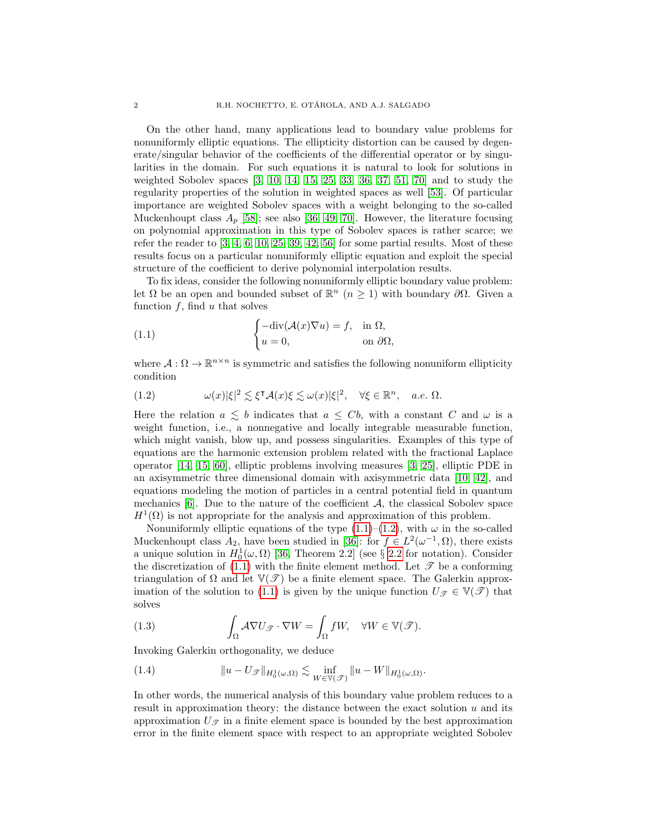On the other hand, many applications lead to boundary value problems for nonuniformly elliptic equations. The ellipticity distortion can be caused by degenerate/singular behavior of the coefficients of the differential operator or by singularities in the domain. For such equations it is natural to look for solutions in weighted Sobolev spaces [\[3,](#page-34-1) [10,](#page-34-2) [14,](#page-35-4) [15,](#page-35-5) [25,](#page-35-6) [33,](#page-35-7) [36,](#page-35-8) [37,](#page-35-9) [51,](#page-36-2) [70\]](#page-37-1) and to study the regularity properties of the solution in weighted spaces as well [\[53\]](#page-36-3). Of particular importance are weighted Sobolev spaces with a weight belonging to the so-called Muckenhoupt class  $A_p$  [\[58\]](#page-36-4); see also [\[36,](#page-35-8) [49,](#page-36-5) [70\]](#page-37-1). However, the literature focusing on polynomial approximation in this type of Sobolev spaces is rather scarce; we refer the reader to  $[3, 4, 6, 10, 25, 39, 42, 56]$  $[3, 4, 6, 10, 25, 39, 42, 56]$  $[3, 4, 6, 10, 25, 39, 42, 56]$  $[3, 4, 6, 10, 25, 39, 42, 56]$  $[3, 4, 6, 10, 25, 39, 42, 56]$  $[3, 4, 6, 10, 25, 39, 42, 56]$  $[3, 4, 6, 10, 25, 39, 42, 56]$  $[3, 4, 6, 10, 25, 39, 42, 56]$  for some partial results. Most of these results focus on a particular nonuniformly elliptic equation and exploit the special structure of the coefficient to derive polynomial interpolation results.

To fix ideas, consider the following nonuniformly elliptic boundary value problem: let  $\Omega$  be an open and bounded subset of  $\mathbb{R}^n$   $(n \geq 1)$  with boundary  $\partial\Omega$ . Given a function  $f$ , find  $u$  that solves

<span id="page-1-0"></span>(1.1) 
$$
\begin{cases} -\text{div}(\mathcal{A}(x)\nabla u) = f, & \text{in } \Omega, \\ u = 0, & \text{on } \partial\Omega, \end{cases}
$$

where  $\mathcal{A}: \Omega \to \mathbb{R}^{n \times n}$  is symmetric and satisfies the following nonuniform ellipticity condition

<span id="page-1-1"></span>(1.2) 
$$
\omega(x)|\xi|^2 \lesssim \xi^{\mathsf{T}}\mathcal{A}(x)\xi \lesssim \omega(x)|\xi|^2, \quad \forall \xi \in \mathbb{R}^n, \quad a.e. \ \Omega.
$$

Here the relation  $a \leq b$  indicates that  $a \leq Cb$ , with a constant C and  $\omega$  is a weight function, i.e., a nonnegative and locally integrable measurable function, which might vanish, blow up, and possess singularities. Examples of this type of equations are the harmonic extension problem related with the fractional Laplace operator [\[14,](#page-35-4) [15,](#page-35-5) [60\]](#page-36-8), elliptic problems involving measures [\[3,](#page-34-1) [25\]](#page-35-6), elliptic PDE in an axisymmetric three dimensional domain with axisymmetric data [\[10,](#page-34-2) [42\]](#page-36-6), and equations modeling the motion of particles in a central potential field in quantum mechanics  $[6]$ . Due to the nature of the coefficient  $A$ , the classical Sobolev space  $H^1(\Omega)$  is not appropriate for the analysis and approximation of this problem.

Nonuniformly elliptic equations of the type  $(1.1)$ – $(1.2)$ , with  $\omega$  in the so-called Muckenhoupt class  $A_2$ , have been studied in [\[36\]](#page-35-8): for  $f \in L^2(\omega^{-1}, \Omega)$ , there exists a unique solution in  $H_0^1(\omega,\Omega)$  [\[36,](#page-35-8) Theorem [2.2](#page-3-0)] (see § 2.2 for notation). Consider the discretization of [\(1.1\)](#page-1-0) with the finite element method. Let  $\mathscr T$  be a conforming triangulation of  $\Omega$  and let  $\mathbb{V}(\mathscr{T})$  be a finite element space. The Galerkin approx-imation of the solution to [\(1.1\)](#page-1-0) is given by the unique function  $U_{\mathscr{T}} \in \mathbb{V}(\mathscr{T})$  that solves

<span id="page-1-3"></span>(1.3) 
$$
\int_{\Omega} \mathcal{A} \nabla U_{\mathcal{T}} \cdot \nabla W = \int_{\Omega} fW, \quad \forall W \in \mathbb{V}(\mathcal{T}).
$$

Invoking Galerkin orthogonality, we deduce

<span id="page-1-2"></span>(1.4) 
$$
||u - U_{\mathscr{T}}||_{H_0^1(\omega,\Omega)} \lesssim \inf_{W \in \mathbb{V}(\mathscr{T})} ||u - W||_{H_0^1(\omega,\Omega)}.
$$

In other words, the numerical analysis of this boundary value problem reduces to a result in approximation theory: the distance between the exact solution  $u$  and its approximation  $U_{\mathcal{F}}$  in a finite element space is bounded by the best approximation error in the finite element space with respect to an appropriate weighted Sobolev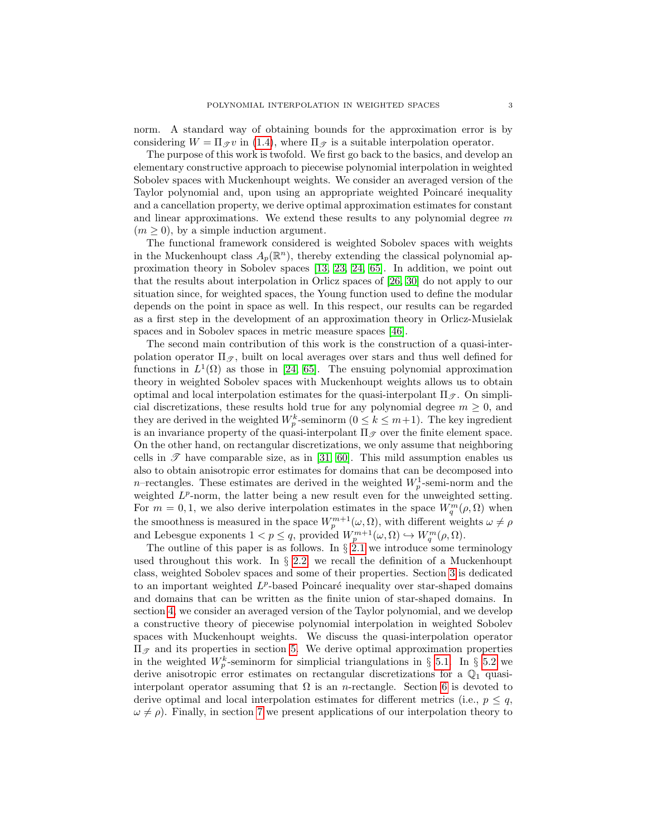norm. A standard way of obtaining bounds for the approximation error is by considering  $W = \Pi_{\mathscr{T}} v$  in [\(1.4\)](#page-1-2), where  $\Pi_{\mathscr{T}}$  is a suitable interpolation operator.

The purpose of this work is twofold. We first go back to the basics, and develop an elementary constructive approach to piecewise polynomial interpolation in weighted Sobolev spaces with Muckenhoupt weights. We consider an averaged version of the Taylor polynomial and, upon using an appropriate weighted Poincaré inequality and a cancellation property, we derive optimal approximation estimates for constant and linear approximations. We extend these results to any polynomial degree  $m$  $(m \geq 0)$ , by a simple induction argument.

The functional framework considered is weighted Sobolev spaces with weights in the Muckenhoupt class  $A_p(\mathbb{R}^n)$ , thereby extending the classical polynomial approximation theory in Sobolev spaces [\[13,](#page-34-5) [23,](#page-35-11) [24,](#page-35-0) [65\]](#page-36-1). In addition, we point out that the results about interpolation in Orlicz spaces of [\[26,](#page-35-12) [30\]](#page-35-13) do not apply to our situation since, for weighted spaces, the Young function used to define the modular depends on the point in space as well. In this respect, our results can be regarded as a first step in the development of an approximation theory in Orlicz-Musielak spaces and in Sobolev spaces in metric measure spaces [\[46\]](#page-36-9).

The second main contribution of this work is the construction of a quasi-interpolation operator  $\Pi_{\mathscr{T}}$ , built on local averages over stars and thus well defined for functions in  $L^1(\Omega)$  as those in [\[24,](#page-35-0) [65\]](#page-36-1). The ensuing polynomial approximation theory in weighted Sobolev spaces with Muckenhoupt weights allows us to obtain optimal and local interpolation estimates for the quasi-interpolant  $\Pi_{\mathscr{T}}$ . On simplicial discretizations, these results hold true for any polynomial degree  $m \geq 0$ , and they are derived in the weighted  $W_p^k$ -seminorm  $(0 \leq k \leq m+1)$ . The key ingredient is an invariance property of the quasi-interpolant  $\Pi_{\mathscr{T}}$  over the finite element space. On the other hand, on rectangular discretizations, we only assume that neighboring cells in  $\mathscr T$  have comparable size, as in [\[31,](#page-35-3) [60\]](#page-36-8). This mild assumption enables us also to obtain anisotropic error estimates for domains that can be decomposed into n–rectangles. These estimates are derived in the weighted  $W_p^1$ -semi-norm and the weighted  $L^p$ -norm, the latter being a new result even for the unweighted setting. For  $m = 0, 1$ , we also derive interpolation estimates in the space  $W_q^m(\rho, \Omega)$  when the smoothness is measured in the space  $W_p^{m+1}(\omega, \Omega)$ , with different weights  $\omega \neq \rho$ and Lebesgue exponents  $1 < p \leq q$ , provided  $W_p^{m+1}(\omega, \Omega) \hookrightarrow W_q^m(\rho, \Omega)$ .

The outline of this paper is as follows. In  $\S$  [2.1](#page-3-1) we introduce some terminology used throughout this work. In  $\S$  [2.2,](#page-3-0) we recall the definition of a Muckenhoupt class, weighted Sobolev spaces and some of their properties. Section [3](#page-6-0) is dedicated to an important weighted  $L^p$ -based Poincaré inequality over star-shaped domains and domains that can be written as the finite union of star-shaped domains. In section [4,](#page-8-0) we consider an averaged version of the Taylor polynomial, and we develop a constructive theory of piecewise polynomial interpolation in weighted Sobolev spaces with Muckenhoupt weights. We discuss the quasi-interpolation operator  $\Pi$ <sub>*g*</sub> and its properties in section [5.](#page-14-0) We derive optimal approximation properties in the weighted  $W_p^k$ -seminorm for simplicial triangulations in § [5.1.](#page-15-0) In § [5.2](#page-15-1) we derive anisotropic error estimates on rectangular discretizations for a  $\mathbb{Q}_1$  quasiinterpolant operator assuming that  $\Omega$  is an *n*-rectangle. Section [6](#page-22-0) is devoted to derive optimal and local interpolation estimates for different metrics (i.e.,  $p \leq q$ ,  $\omega \neq \rho$ ). Finally, in section [7](#page-26-0) we present applications of our interpolation theory to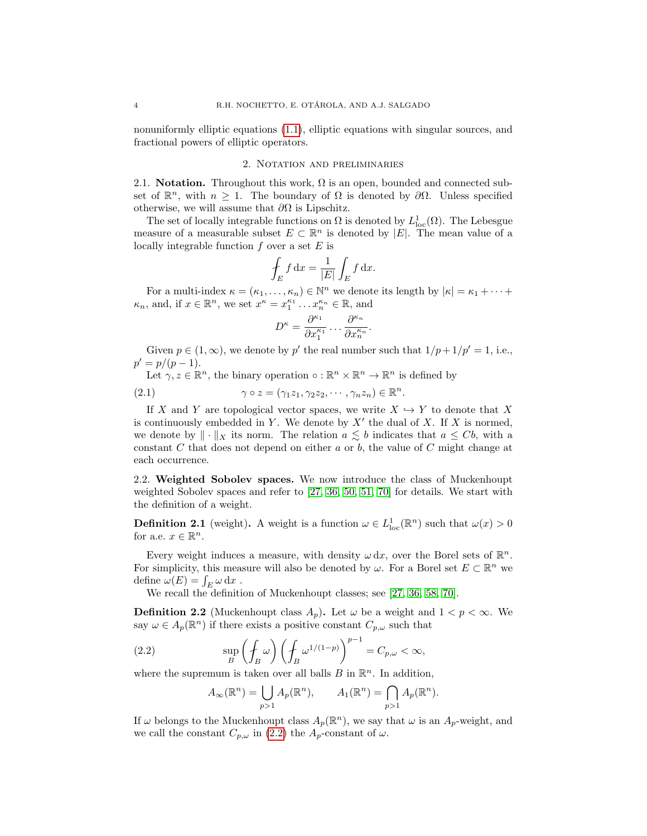nonuniformly elliptic equations [\(1.1\)](#page-1-0), elliptic equations with singular sources, and fractional powers of elliptic operators.

# 2. Notation and preliminaries

<span id="page-3-1"></span>2.1. Notation. Throughout this work,  $\Omega$  is an open, bounded and connected subset of  $\mathbb{R}^n$ , with  $n \geq 1$ . The boundary of  $\Omega$  is denoted by  $\partial \Omega$ . Unless specified otherwise, we will assume that  $\partial\Omega$  is Lipschitz.

The set of locally integrable functions on  $\Omega$  is denoted by  $L^1_{loc}(\Omega)$ . The Lebesgue measure of a measurable subset  $E \subset \mathbb{R}^n$  is denoted by  $|E|$ . The mean value of a locally integrable function  $f$  over a set  $E$  is

$$
\oint_E f \, \mathrm{d}x = \frac{1}{|E|} \int_E f \, \mathrm{d}x.
$$

For a multi-index  $\kappa = (\kappa_1, \ldots, \kappa_n) \in \mathbb{N}^n$  we denote its length by  $|\kappa| = \kappa_1 + \cdots +$  $\kappa_n$ , and, if  $x \in \mathbb{R}^n$ , we set  $x^{\kappa} = x_1^{\kappa_1} \dots x_n^{\kappa_n} \in \mathbb{R}$ , and

<span id="page-3-3"></span>
$$
D^{\kappa} = \frac{\partial^{\kappa_1}}{\partial x_1^{\kappa_1}} \dots \frac{\partial^{\kappa_n}}{\partial x_n^{\kappa_n}}
$$

.

Given  $p \in (1,\infty)$ , we denote by p' the real number such that  $1/p+1/p'=1$ , i.e.,  $p' = p/(p-1).$ 

Let  $\gamma, z \in \mathbb{R}^n$ , the binary operation  $\circ : \mathbb{R}^n \times \mathbb{R}^n \to \mathbb{R}^n$  is defined by

(2.1) 
$$
\gamma \circ z = (\gamma_1 z_1, \gamma_2 z_2, \cdots, \gamma_n z_n) \in \mathbb{R}^n.
$$

If X and Y are topological vector spaces, we write  $X \hookrightarrow Y$  to denote that X is continuously embedded in Y. We denote by  $X'$  the dual of X. If X is normed, we denote by  $\|\cdot\|_X$  its norm. The relation  $a \lesssim b$  indicates that  $a \leq Cb$ , with a constant C that does not depend on either a or b, the value of C might change at each occurrence.

<span id="page-3-0"></span>2.2. Weighted Sobolev spaces. We now introduce the class of Muckenhoupt weighted Sobolev spaces and refer to [\[27,](#page-35-14) [36,](#page-35-8) [50,](#page-36-10) [51,](#page-36-2) [70\]](#page-37-1) for details. We start with the definition of a weight.

**Definition 2.1** (weight). A weight is a function  $\omega \in L^1_{loc}(\mathbb{R}^n)$  such that  $\omega(x) > 0$ for a.e.  $x \in \mathbb{R}^n$ .

Every weight induces a measure, with density  $\omega dx$ , over the Borel sets of  $\mathbb{R}^n$ . For simplicity, this measure will also be denoted by  $\omega$ . For a Borel set  $E \subset \mathbb{R}^n$  we define  $\omega(E) = \int_E \omega \, dx$ .

We recall the definition of Muckenhoupt classes; see [\[27,](#page-35-14) [36,](#page-35-8) [58,](#page-36-4) [70\]](#page-37-1).

**Definition 2.2** (Muckenhoupt class  $A_p$ ). Let  $\omega$  be a weight and  $1 < p < \infty$ . We say  $\omega \in A_p(\mathbb{R}^n)$  if there exists a positive constant  $C_{p,\omega}$  such that

(2.2) 
$$
\sup_{B} \left( \oint_{B} \omega \right) \left( \oint_{B} \omega^{1/(1-p)} \right)^{p-1} = C_{p,\omega} < \infty,
$$

where the supremum is taken over all balls  $B$  in  $\mathbb{R}^n$ . In addition,

<span id="page-3-2"></span>
$$
A_{\infty}(\mathbb{R}^n) = \bigcup_{p>1} A_p(\mathbb{R}^n), \qquad A_1(\mathbb{R}^n) = \bigcap_{p>1} A_p(\mathbb{R}^n).
$$

If  $\omega$  belongs to the Muckenhoupt class  $A_p(\mathbb{R}^n)$ , we say that  $\omega$  is an  $A_p$ -weight, and we call the constant  $C_{p,\omega}$  in [\(2.2\)](#page-3-2) the  $A_p$ -constant of  $\omega$ .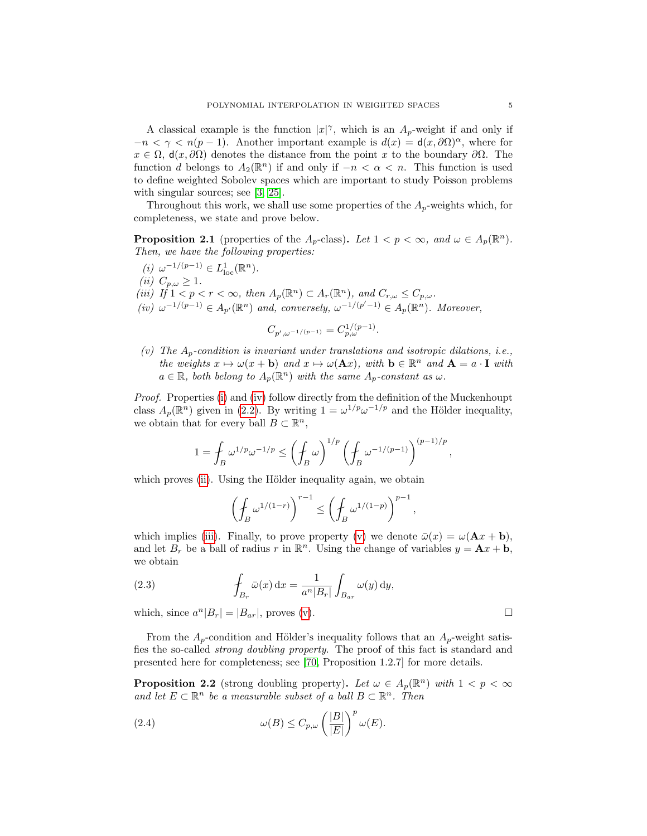A classical example is the function  $|x|^\gamma$ , which is an  $A_p$ -weight if and only if  $-n < \gamma < n(p-1)$ . Another important example is  $d(x) = d(x, \partial\Omega)^\alpha$ , where for  $x \in \Omega$ ,  $d(x, \partial \Omega)$  denotes the distance from the point x to the boundary  $\partial \Omega$ . The function d belongs to  $A_2(\mathbb{R}^n)$  if and only if  $-n < \alpha < n$ . This function is used to define weighted Sobolev spaces which are important to study Poisson problems with singular sources; see [\[3,](#page-34-1) [25\]](#page-35-6).

Throughout this work, we shall use some properties of the  $A_p$ -weights which, for completeness, we state and prove below.

<span id="page-4-5"></span>**Proposition 2.1** (properties of the  $A_p$ -class). Let  $1 < p < \infty$ , and  $\omega \in A_p(\mathbb{R}^n)$ . Then, we have the following properties:

<span id="page-4-3"></span><span id="page-4-2"></span><span id="page-4-1"></span><span id="page-4-0"></span>(*i*)  $\omega^{-1/(p-1)} \in L^1_{loc}(\mathbb{R}^n)$ . (*ii*)  $C_{p,\omega} \geq 1$ . (iii) If  $1 < p < r < \infty$ , then  $A_p(\mathbb{R}^n) \subset A_r(\mathbb{R}^n)$ , and  $C_{r,\omega} \leq C_{p,\omega}$ . (iv)  $\omega^{-1/(p-1)} \in A_{p'}(\mathbb{R}^n)$  and, conversely,  $\omega^{-1/(p'-1)} \in A_p(\mathbb{R}^n)$ . Moreover,

$$
C_{p',\omega^{-1/(p-1)}} = C_{p,\omega}^{1/(p-1)}.
$$

<span id="page-4-4"></span>(v) The  $A_p$ -condition is invariant under translations and isotropic dilations, i.e., the weights  $x \mapsto \omega(x + b)$  and  $x \mapsto \omega(\mathbf{A}x)$ , with  $b \in \mathbb{R}^n$  and  $\mathbf{A} = a \cdot \mathbf{I}$  with  $a \in \mathbb{R}$ , both belong to  $A_p(\mathbb{R}^n)$  with the same  $A_p$ -constant as  $\omega$ .

Proof. Properties [\(i\)](#page-4-0) and [\(iv\)](#page-4-1) follow directly from the definition of the Muckenhoupt class  $A_p(\mathbb{R}^n)$  given in [\(2.2\)](#page-3-2). By writing  $1 = \omega^{1/p} \omega^{-1/p}$  and the Hölder inequality, we obtain that for every ball  $B \subset \mathbb{R}^n$ ,

$$
1 = \int_B \omega^{1/p} \omega^{-1/p} \le \left(\int_B \omega\right)^{1/p} \left(\int_B \omega^{-1/(p-1)}\right)^{(p-1)/p},
$$

which proves [\(ii\)](#page-4-2). Using the Hölder inequality again, we obtain

$$
\left(\oint_B \omega^{1/(1-r)}\right)^{r-1} \le \left(\oint_B \omega^{1/(1-p)}\right)^{p-1},
$$

which implies [\(iii\)](#page-4-3). Finally, to prove property [\(v\)](#page-4-4) we denote  $\bar{\omega}(x) = \omega(\mathbf{A}x + \mathbf{b})$ , and let  $B_r$  be a ball of radius r in  $\mathbb{R}^n$ . Using the change of variables  $y = Ax + b$ , we obtain

(2.3) 
$$
\int_{B_r} \bar{\omega}(x) dx = \frac{1}{a^n |B_r|} \int_{B_{ar}} \omega(y) dy,
$$

which, since  $a^n|B_r| = |B_{ar}|$ , proves [\(v\)](#page-4-4).

From the  $A_p$ -condition and Hölder's inequality follows that an  $A_p$ -weight satisfies the so-called strong doubling property. The proof of this fact is standard and presented here for completeness; see [\[70,](#page-37-1) Proposition 1.2.7] for more details.

**Proposition 2.2** (strong doubling property). Let  $\omega \in A_p(\mathbb{R}^n)$  with  $1 < p < \infty$ and let  $E \subset \mathbb{R}^n$  be a measurable subset of a ball  $B \subset \mathbb{R}^n$ . Then

<span id="page-4-6"></span>(2.4) 
$$
\omega(B) \leq C_{p,\omega} \left(\frac{|B|}{|E|}\right)^p \omega(E).
$$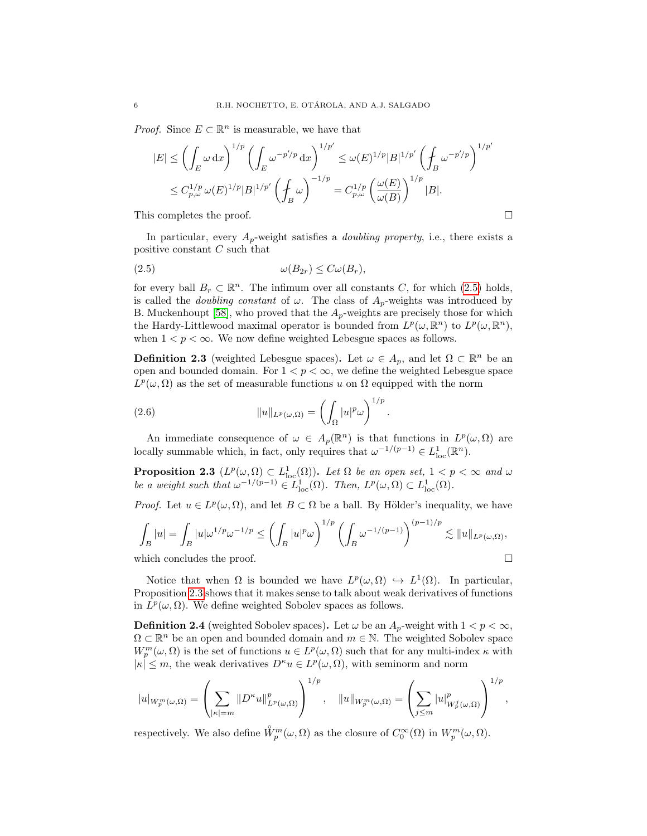*Proof.* Since  $E \subset \mathbb{R}^n$  is measurable, we have that

$$
|E| \leq \left(\int_E \omega \,dx\right)^{1/p} \left(\int_E \omega^{-p'/p} \,dx\right)^{1/p'} \leq \omega(E)^{1/p} |B|^{1/p'} \left(\int_B \omega^{-p'/p}\right)^{1/p'}
$$
  

$$
\leq C_{p,\omega}^{1/p} \omega(E)^{1/p} |B|^{1/p'} \left(\int_B \omega\right)^{-1/p} = C_{p,\omega}^{1/p} \left(\frac{\omega(E)}{\omega(B)}\right)^{1/p} |B|.
$$

This completes the proof.

In particular, every  $A_p$ -weight satisfies a *doubling property*, i.e., there exists a positive constant C such that

<span id="page-5-0"></span>
$$
(2.5) \t\t \t\t \t\t \omega(B_{2r}) \leq C\omega(B_r),
$$

for every ball  $B_r \subset \mathbb{R}^n$ . The infimum over all constants C, for which [\(2.5\)](#page-5-0) holds, is called the *doubling constant* of  $\omega$ . The class of  $A_p$ -weights was introduced by B. Muckenhoupt [\[58\]](#page-36-4), who proved that the  $A_p$ -weights are precisely those for which the Hardy-Littlewood maximal operator is bounded from  $L^p(\omega, \mathbb{R}^n)$  to  $L^p(\omega, \mathbb{R}^n)$ , when  $1 < p < \infty$ . We now define weighted Lebesgue spaces as follows.

**Definition 2.3** (weighted Lebesgue spaces). Let  $\omega \in A_p$ , and let  $\Omega \subset \mathbb{R}^n$  be an open and bounded domain. For  $1 < p < \infty$ , we define the weighted Lebesgue space  $L^p(\omega,\Omega)$  as the set of measurable functions u on  $\Omega$  equipped with the norm

(2.6) 
$$
||u||_{L^p(\omega,\Omega)} = \left(\int_{\Omega} |u|^p \omega\right)^{1/p}
$$

An immediate consequence of  $\omega \in A_p(\mathbb{R}^n)$  is that functions in  $L^p(\omega,\Omega)$  are locally summable which, in fact, only requires that  $\omega^{-1/(p-1)} \in L^1_{loc}(\mathbb{R}^n)$ .

.

<span id="page-5-1"></span>**Proposition 2.3**  $(L^p(\omega, \Omega) \subset L^1_{loc}(\Omega))$ . Let  $\Omega$  be an open set,  $1 < p < \infty$  and  $\omega$ be a weight such that  $\omega^{-1/(p-1)} \in L^1_{loc}(\Omega)$ . Then,  $L^p(\omega,\Omega) \subset L^1_{loc}(\Omega)$ .

*Proof.* Let  $u \in L^p(\omega, \Omega)$ , and let  $B \subset \Omega$  be a ball. By Hölder's inequality, we have

$$
\int_B |u| = \int_B |u| \omega^{1/p} \omega^{-1/p} \le \left(\int_B |u|^p \omega\right)^{1/p} \left(\int_B \omega^{-1/(p-1)}\right)^{(p-1)/p} \lesssim \|u\|_{L^p(\omega,\Omega)},
$$
\nwhich concludes the proof.

Notice that when  $\Omega$  is bounded we have  $L^p(\omega,\Omega) \hookrightarrow L^1(\Omega)$ . In particular, Proposition [2.3](#page-5-1) shows that it makes sense to talk about weak derivatives of functions in  $L^p(\omega,\Omega)$ . We define weighted Sobolev spaces as follows.

**Definition 2.4** (weighted Sobolev spaces). Let  $\omega$  be an  $A_p$ -weight with  $1 < p < \infty$ ,  $\Omega \subset \mathbb{R}^n$  be an open and bounded domain and  $m \in \mathbb{N}$ . The weighted Sobolev space  $W_p^m(\omega, \Omega)$  is the set of functions  $u \in L^p(\omega, \Omega)$  such that for any multi-index  $\kappa$  with  $|\kappa| \leq m$ , the weak derivatives  $D^{\kappa} u \in L^p(\omega, \Omega)$ , with seminorm and norm

$$
|u|_{W_p^m(\omega,\Omega)} = \left(\sum_{|\kappa|=m} \|D^{\kappa}u\|_{L^p(\omega,\Omega)}^p\right)^{1/p}, \quad \|u\|_{W_p^m(\omega,\Omega)} = \left(\sum_{j\leq m} |u|_{W_p^j(\omega,\Omega)}^p\right)^{1/p},
$$

respectively. We also define  $\mathring{W}_p^m(\omega, \Omega)$  as the closure of  $C_0^{\infty}(\Omega)$  in  $W_p^m(\omega, \Omega)$ .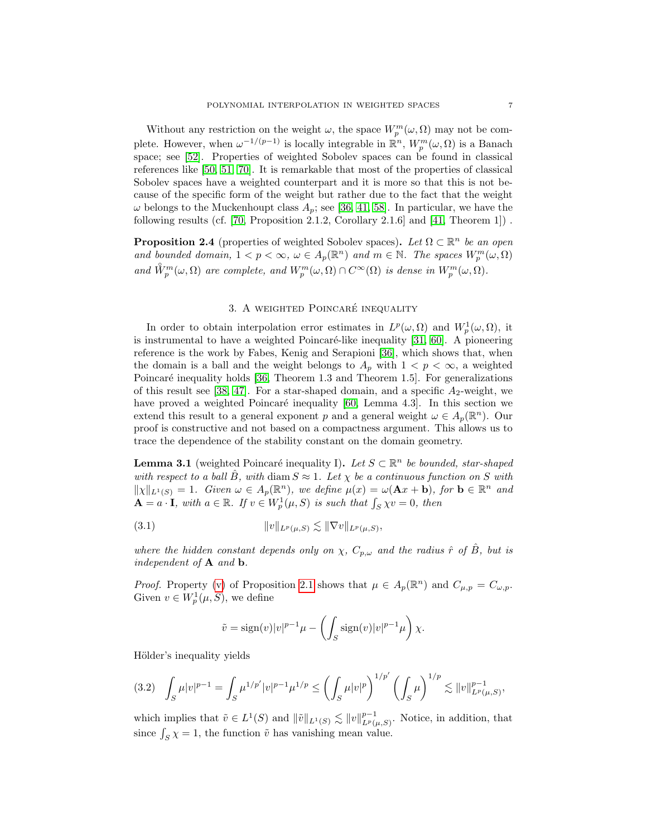Without any restriction on the weight  $\omega$ , the space  $W_p^m(\omega, \Omega)$  may not be complete. However, when  $\omega^{-1/(p-1)}$  is locally integrable in  $\mathbb{R}^n$ ,  $W_p^m(\omega, \Omega)$  is a Banach space; see [\[52\]](#page-36-11). Properties of weighted Sobolev spaces can be found in classical references like [\[50,](#page-36-10) [51,](#page-36-2) [70\]](#page-37-1). It is remarkable that most of the properties of classical Sobolev spaces have a weighted counterpart and it is more so that this is not because of the specific form of the weight but rather due to the fact that the weight  $\omega$  belongs to the Muckenhoupt class  $A_p$ ; see [\[36,](#page-35-8) [41,](#page-36-12) [58\]](#page-36-4). In particular, we have the following results (cf. [\[70,](#page-37-1) Proposition 2.1.2, Corollary 2.1.6] and [\[41,](#page-36-12) Theorem 1]) .

<span id="page-6-4"></span>**Proposition 2.4** (properties of weighted Sobolev spaces). Let  $\Omega \subset \mathbb{R}^n$  be an open and bounded domain,  $1 < p < \infty$ ,  $\omega \in A_p(\mathbb{R}^n)$  and  $m \in \mathbb{N}$ . The spaces  $W_p^m(\omega, \Omega)$ and  $\mathring{W}_p^m(\omega,\Omega)$  are complete, and  $W_p^m(\omega,\Omega) \cap C^{\infty}(\Omega)$  is dense in  $W_p^m(\omega,\Omega)$ .

# 3. A WEIGHTED POINCARÉ INEQUALITY

<span id="page-6-0"></span>In order to obtain interpolation error estimates in  $L^p(\omega,\Omega)$  and  $W_p^1(\omega,\Omega)$ , it is instrumental to have a weighted Poincaré-like inequality  $[31, 60]$  $[31, 60]$ . A pioneering reference is the work by Fabes, Kenig and Serapioni [\[36\]](#page-35-8), which shows that, when the domain is a ball and the weight belongs to  $A_p$  with  $1 < p < \infty$ , a weighted Poincaré inequality holds  $[36,$  Theorem 1.3 and Theorem 1.5. For generalizations of this result see [\[38,](#page-35-15) [47\]](#page-36-13). For a star-shaped domain, and a specific  $A_2$ -weight, we have proved a weighted Poincaré inequality  $[60, \text{ Lemma } 4.3]$  $[60, \text{ Lemma } 4.3]$ . In this section we extend this result to a general exponent p and a general weight  $\omega \in A_p(\mathbb{R}^n)$ . Our proof is constructive and not based on a compactness argument. This allows us to trace the dependence of the stability constant on the domain geometry.

<span id="page-6-2"></span>**Lemma 3.1** (weighted Poincaré inequality I). Let  $S \subset \mathbb{R}^n$  be bounded, star-shaped with respect to a ball  $\hat{B}$ , with diam  $S \approx 1$ . Let  $\chi$  be a continuous function on S with  $\|\chi\|_{L^1(S)} = 1$ . Given  $\omega \in A_p(\mathbb{R}^n)$ , we define  $\mu(x) = \omega(\mathbf{A}x + \mathbf{b})$ , for  $\mathbf{b} \in \mathbb{R}^n$  and  $\mathbf{A} = a \cdot \mathbf{I}$ , with  $a \in \mathbb{R}$ . If  $v \in W_p^1(\mu, S)$  is such that  $\int_S \chi v = 0$ , then

$$
(3.1) \t\t\t ||v||_{L^p(\mu,S)} \lesssim ||\nabla v||_{L^p(\mu,S)},
$$

where the hidden constant depends only on  $\chi$ ,  $C_{p,\omega}$  and the radius  $\hat{r}$  of  $\hat{B}$ , but is independent of  $A$  and  $b$ .

*Proof.* Property [\(v\)](#page-4-4) of Proposition [2.1](#page-4-5) shows that  $\mu \in A_p(\mathbb{R}^n)$  and  $C_{\mu,p} = C_{\omega,p}$ . Given  $v \in W_p^1(\mu, S)$ , we define

<span id="page-6-3"></span>
$$
\tilde{v} = \text{sign}(v)|v|^{p-1}\mu - \left(\int_S \text{sign}(v)|v|^{p-1}\mu\right)\chi.
$$

Hölder's inequality yields

<span id="page-6-1"></span>
$$
(3.2) \quad \int_{S} \mu |v|^{p-1} = \int_{S} \mu^{1/p'} |v|^{p-1} \mu^{1/p} \le \left( \int_{S} \mu |v|^{p} \right)^{1/p'} \left( \int_{S} \mu \right)^{1/p} \lesssim \|v\|_{L^{p}(\mu,S)}^{p-1},
$$

which implies that  $\tilde{v} \in L^1(S)$  and  $\|\tilde{v}\|_{L^1(S)} \lesssim \|v\|_{L^p(\mu,S)}^{p-1}$ . Notice, in addition, that since  $\int_S \chi = 1$ , the function  $\tilde{v}$  has vanishing mean value.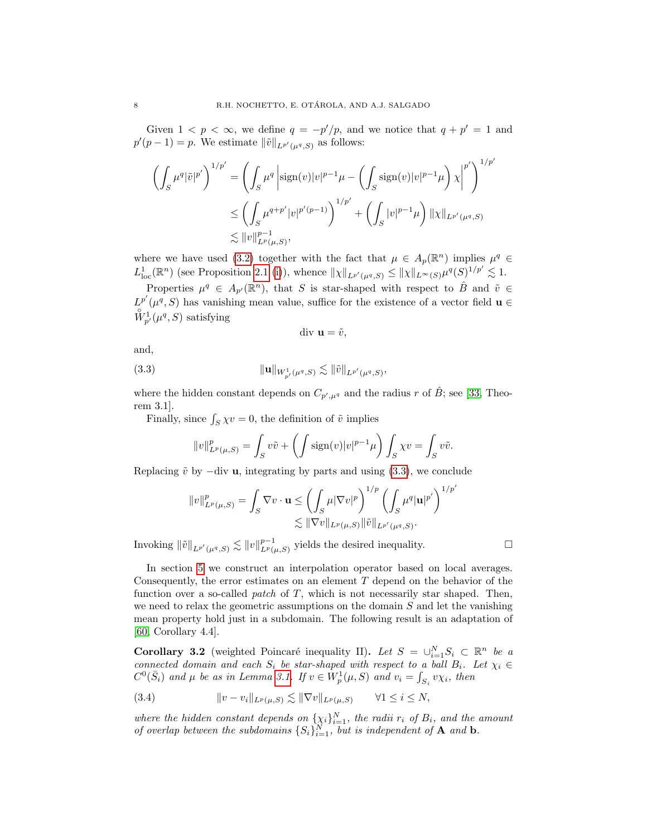Given  $1 \leq p \leq \infty$ , we define  $q = -p'/p$ , and we notice that  $q + p' = 1$  and  $p'(p-1) = p$ . We estimate  $\|\tilde{v}\|_{L^{p'}(\mu^q,S)}$  as follows:

$$
\left(\int_{S} \mu^{q} |\tilde{v}|^{p'}\right)^{1/p'} = \left(\int_{S} \mu^{q} \left| \operatorname{sign}(v)|v|^{p-1}\mu - \left(\int_{S} \operatorname{sign}(v)|v|^{p-1}\mu\right) \chi \right|^{p'}\right)^{1/p'}
$$
  

$$
\leq \left(\int_{S} \mu^{q+p'} |v|^{p'(p-1)}\right)^{1/p'} + \left(\int_{S} |v|^{p-1}\mu\right) ||\chi||_{L^{p'}(\mu^{q},S)}
$$
  

$$
\lesssim ||v||_{L^{p}(\mu,S)}^{p-1},
$$

where we have used [\(3.2\)](#page-6-1) together with the fact that  $\mu \in A_p(\mathbb{R}^n)$  implies  $\mu^q \in$  $L^1_{\text{loc}}(\mathbb{R}^n)$  (see Proposition [2.1](#page-4-5) [\(i\)](#page-4-0)), whence  $\|\chi\|_{L^{p'}(\mu^q,S)} \leq \|\chi\|_{L^{\infty}(S)}\mu^q(S)^{1/p'} \lesssim 1$ .

Properties  $\mu^q \in A_{p'}(\mathbb{R}^n)$ , that S is star-shaped with respect to  $\hat{B}$  and  $\tilde{v} \in$  $L^{p'}(\mu^q, S)$  has vanishing mean value, suffice for the existence of a vector field  $\mathbf{u} \in$  $\overset{\circ}{W}^{-1}_{p'}(\mu^q, S)$  satisfying

<span id="page-7-0"></span>
$$
\text{div } \mathbf{u} = \tilde{v},
$$

and,

(3.3) 
$$
\|\mathbf{u}\|_{W_{p'}^1(\mu^q,S)} \lesssim \|\tilde{v}\|_{L^{p'}(\mu^q,S)},
$$

where the hidden constant depends on  $C_{p',\mu^q}$  and the radius r of  $\hat{B}$ ; see [\[33,](#page-35-7) Theorem 3.1].

Finally, since  $\int_S \chi v = 0$ , the definition of  $\tilde{v}$  implies

$$
||v||_{L^p(\mu,S)}^p = \int_S v\tilde{v} + \left(\int \text{sign}(v)|v|^{p-1}\mu\right)\int_S \chi v = \int_S v\tilde{v}.
$$

Replacing  $\tilde{v}$  by  $-\text{div } \mathbf{u}$ , integrating by parts and using [\(3.3\)](#page-7-0), we conclude

$$
||v||_{L^p(\mu,S)}^p = \int_S \nabla v \cdot \mathbf{u} \le \left(\int_S \mu |\nabla v|^p\right)^{1/p} \left(\int_S \mu^q |\mathbf{u}|^{p'}\right)^{1/p'}
$$

$$
\lesssim ||\nabla v||_{L^p(\mu,S)} ||\tilde{v}||_{L^{p'}(\mu^q,S)}.
$$

Invoking  $\|\tilde{v}\|_{L^{p'}(\mu^q,S)} \lesssim \|v\|_{L^p(\mu,S)}^{p-1}$  yields the desired inequality.

In section [5](#page-14-0) we construct an interpolation operator based on local averages. Consequently, the error estimates on an element  $T$  depend on the behavior of the function over a so-called *patch* of  $T$ , which is not necessarily star shaped. Then, we need to relax the geometric assumptions on the domain  $S$  and let the vanishing mean property hold just in a subdomain. The following result is an adaptation of [\[60,](#page-36-8) Corollary 4.4].

<span id="page-7-2"></span>**Corollary 3.2** (weighted Poincaré inequality II). Let  $S = \bigcup_{i=1}^{N} S_i \subset \mathbb{R}^n$  be a connected domain and each  $S_i$  be star-shaped with respect to a ball  $B_i$ . Let  $\chi_i \in$  $C^0(\bar{S}_i)$  and  $\mu$  be as in Lemma [3.1.](#page-6-2) If  $v \in W_p^1(\mu, S)$  and  $v_i = \int_{S_i} v \chi_i$ , then

<span id="page-7-1"></span>(3.4) 
$$
||v - v_i||_{L^p(\mu, S)} \lesssim ||\nabla v||_{L^p(\mu, S)} \quad \forall 1 \leq i \leq N,
$$

where the hidden constant depends on  $\{\chi_i\}_{i=1}^N$ , the radii  $r_i$  of  $B_i$ , and the amount of overlap between the subdomains  $\{S_i\}_{i=1}^N$ , but is independent of **A** and **b**.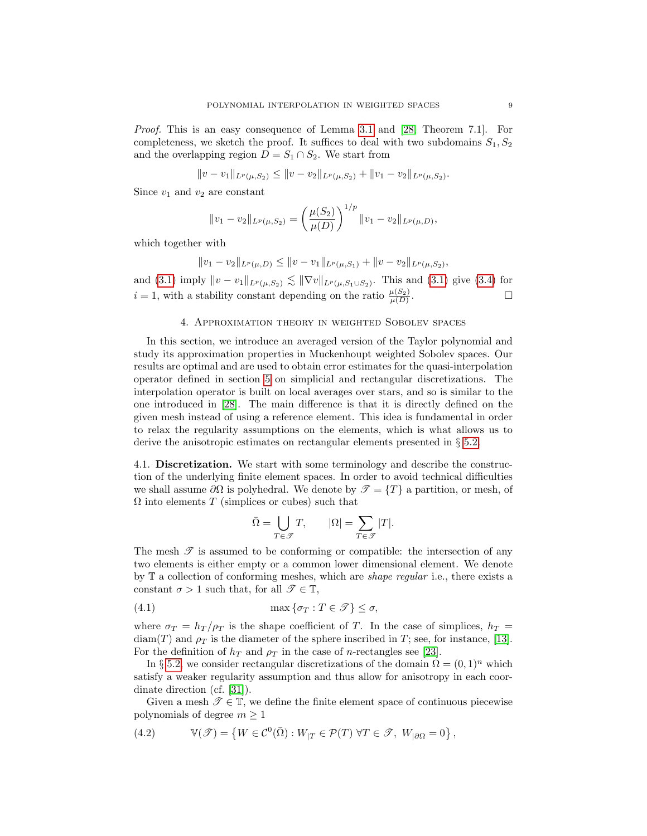Proof. This is an easy consequence of Lemma [3.1](#page-6-2) and [\[28,](#page-35-1) Theorem 7.1]. For completeness, we sketch the proof. It suffices to deal with two subdomains  $S_1, S_2$ and the overlapping region  $D = S_1 \cap S_2$ . We start from

$$
||v - v_1||_{L^p(\mu, S_2)} \le ||v - v_2||_{L^p(\mu, S_2)} + ||v_1 - v_2||_{L^p(\mu, S_2)}.
$$

Since  $v_1$  and  $v_2$  are constant

$$
||v_1 - v_2||_{L^p(\mu, S_2)} = \left(\frac{\mu(S_2)}{\mu(D)}\right)^{1/p} ||v_1 - v_2||_{L^p(\mu, D)},
$$

which together with

$$
||v_1 - v_2||_{L^p(\mu, D)} \le ||v - v_1||_{L^p(\mu, S_1)} + ||v - v_2||_{L^p(\mu, S_2)},
$$

and [\(3.1\)](#page-6-3) imply  $||v - v_1||_{L^p(\mu, S_2)} \lesssim ||\nabla v||_{L^p(\mu, S_1 \cup S_2)}$ . This and (3.1) give [\(3.4\)](#page-7-1) for  $i = 1$ , with a stability constant depending on the ratio  $\frac{\mu(S_2)}{\mu(D)}$ .

#### 4. Approximation theory in weighted Sobolev spaces

<span id="page-8-0"></span>In this section, we introduce an averaged version of the Taylor polynomial and study its approximation properties in Muckenhoupt weighted Sobolev spaces. Our results are optimal and are used to obtain error estimates for the quasi-interpolation operator defined in section [5](#page-14-0) on simplicial and rectangular discretizations. The interpolation operator is built on local averages over stars, and so is similar to the one introduced in [\[28\]](#page-35-1). The main difference is that it is directly defined on the given mesh instead of using a reference element. This idea is fundamental in order to relax the regularity assumptions on the elements, which is what allows us to derive the anisotropic estimates on rectangular elements presented in § [5.2.](#page-15-1)

<span id="page-8-2"></span>4.1. Discretization. We start with some terminology and describe the construction of the underlying finite element spaces. In order to avoid technical difficulties we shall assume  $\partial\Omega$  is polyhedral. We denote by  $\mathcal{T} = \{T\}$  a partition, or mesh, of  $\Omega$  into elements T (simplices or cubes) such that

<span id="page-8-1"></span>
$$
\bar{\Omega} = \bigcup_{T \in \mathcal{T}} T, \qquad |\Omega| = \sum_{T \in \mathcal{T}} |T|.
$$

The mesh  $\mathscr T$  is assumed to be conforming or compatible: the intersection of any two elements is either empty or a common lower dimensional element. We denote by  $\mathbb T$  a collection of conforming meshes, which are *shape regular* i.e., there exists a constant  $\sigma > 1$  such that, for all  $\mathscr{T} \in \mathbb{T}$ ,

(4.1) 
$$
\max \{\sigma_T : T \in \mathcal{T}\} \leq \sigma,
$$

where  $\sigma_T = h_T / \rho_T$  is the shape coefficient of T. In the case of simplices,  $h_T =$  $diam(T)$  and  $\rho_T$  is the diameter of the sphere inscribed in T; see, for instance, [\[13\]](#page-34-5). For the definition of  $h_T$  and  $\rho_T$  in the case of *n*-rectangles see [\[23\]](#page-35-11).

In § [5.2,](#page-15-1) we consider rectangular discretizations of the domain  $\Omega = (0,1)^n$  which satisfy a weaker regularity assumption and thus allow for anisotropy in each coordinate direction (cf. [\[31\]](#page-35-3)).

Given a mesh  $\mathscr{T} \in \mathbb{T}$ , we define the finite element space of continuous piecewise polynomials of degree  $m \geq 1$ 

<span id="page-8-3"></span>(4.2) 
$$
\mathbb{V}(\mathscr{T}) = \left\{ W \in \mathcal{C}^0(\overline{\Omega}) : W_{|T} \in \mathcal{P}(T) \; \forall T \in \mathscr{T}, \; W_{|\partial \Omega} = 0 \right\},
$$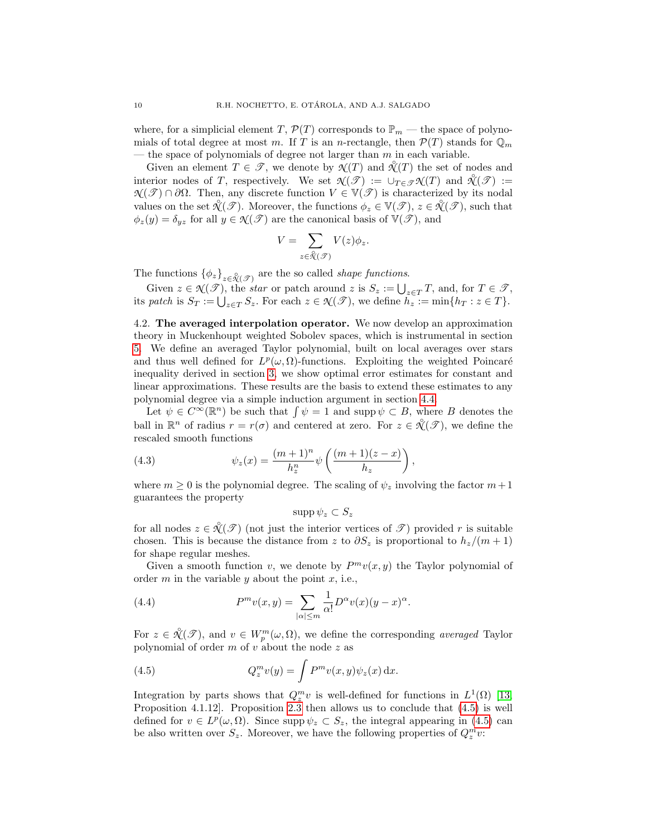where, for a simplicial element T,  $\mathcal{P}(T)$  corresponds to  $\mathbb{P}_m$  — the space of polynomials of total degree at most m. If T is an n-rectangle, then  $\mathcal{P}(T)$  stands for  $\mathbb{Q}_m$ — the space of polynomials of degree not larger than  $m$  in each variable.

Given an element  $T \in \mathscr{T}$ , we denote by  $\mathscr{X}(T)$  and  $\mathscr{X}(T)$  the set of nodes and interior nodes of T, respectively. We set  $\mathcal{N}(\mathcal{T}) := \cup_{T \in \mathcal{T}} \mathcal{N}(T)$  and  $\mathcal{N}(\mathcal{T}) :=$  $\mathcal{N}(\mathcal{T}) \cap \partial\Omega$ . Then, any discrete function  $V \in \mathbb{V}(\mathcal{T})$  is characterized by its nodal values on the set  $\mathcal{X}(\mathcal{F})$ . Moreover, the functions  $\phi_z \in V(\mathcal{F})$ ,  $z \in \mathcal{X}(\mathcal{F})$ , such that  $\phi_z(y) = \delta_{yz}$  for all  $y \in \mathcal{N}(\mathcal{T})$  are the canonical basis of  $\mathbb{V}(\mathcal{T})$ , and

$$
V = \sum_{z \in \overset{\circ}{\mathcal{N}}(\mathcal{T})} V(z) \phi_z.
$$

The functions  $\{\phi_z\}_{z \in \mathcal{X}(\mathcal{T})}$  are the so called *shape functions*.

Given  $z \in \mathcal{N}(\mathcal{T})$ , the *star* or patch around z is  $S_z := \bigcup_{z \in T} T$ , and, for  $T \in \mathcal{T}$ , its patch is  $S_T := \bigcup_{z \in T} S_z$ . For each  $z \in \mathcal{N}(\mathcal{T})$ , we define  $h_z := \min\{h_T : z \in T\}$ .

<span id="page-9-1"></span>4.2. The averaged interpolation operator. We now develop an approximation theory in Muckenhoupt weighted Sobolev spaces, which is instrumental in section [5.](#page-14-0) We define an averaged Taylor polynomial, built on local averages over stars and thus well defined for  $L^p(\omega,\Omega)$ -functions. Exploiting the weighted Poincaré inequality derived in section [3,](#page-6-0) we show optimal error estimates for constant and linear approximations. These results are the basis to extend these estimates to any polynomial degree via a simple induction argument in section [4.4.](#page-12-0)

Let  $\psi \in C^{\infty}(\mathbb{R}^n)$  be such that  $\int \psi = 1$  and supp  $\psi \subset B$ , where B denotes the ball in  $\mathbb{R}^n$  of radius  $r = r(\sigma)$  and centered at zero. For  $z \in \mathcal{X}(\mathcal{F})$ , we define the rescaled smooth functions

(4.3) 
$$
\psi_z(x) = \frac{(m+1)^n}{h_z^n} \psi\left(\frac{(m+1)(z-x)}{h_z}\right),
$$

where  $m \geq 0$  is the polynomial degree. The scaling of  $\psi_z$  involving the factor  $m+1$ guarantees the property

$$
\mathrm{supp}\,\psi_z\subset S_z
$$

for all nodes  $z \in \mathcal{K}(\mathcal{F})$  (not just the interior vertices of  $\mathcal{F}$ ) provided r is suitable chosen. This is because the distance from z to  $\partial S_z$  is proportional to  $h_z/(m+1)$ for shape regular meshes.

Given a smooth function v, we denote by  $P^m v(x, y)$  the Taylor polynomial of order  $m$  in the variable  $y$  about the point  $x$ , i.e.,

<span id="page-9-2"></span>(4.4) 
$$
P^m v(x, y) = \sum_{|\alpha| \le m} \frac{1}{\alpha!} D^{\alpha} v(x) (y - x)^{\alpha}.
$$

For  $z \in \mathcal{K}(\mathcal{F})$ , and  $v \in W_p^m(\omega, \Omega)$ , we define the corresponding *averaged* Taylor polynomial of order  $m$  of  $v$  about the node  $z$  as

<span id="page-9-0"></span>(4.5) 
$$
Q_z^m v(y) = \int P^m v(x, y) \psi_z(x) dx.
$$

Integration by parts shows that  $Q_z^m v$  is well-defined for functions in  $L^1(\Omega)$  [\[13,](#page-34-5) Proposition 4.1.12]. Proposition [2.3](#page-5-1) then allows us to conclude that [\(4.5\)](#page-9-0) is well defined for  $v \in L^p(\omega, \Omega)$ . Since supp  $\psi_z \subset S_z$ , the integral appearing in [\(4.5\)](#page-9-0) can be also written over  $S_z$ . Moreover, we have the following properties of  $Q_z^m v$ :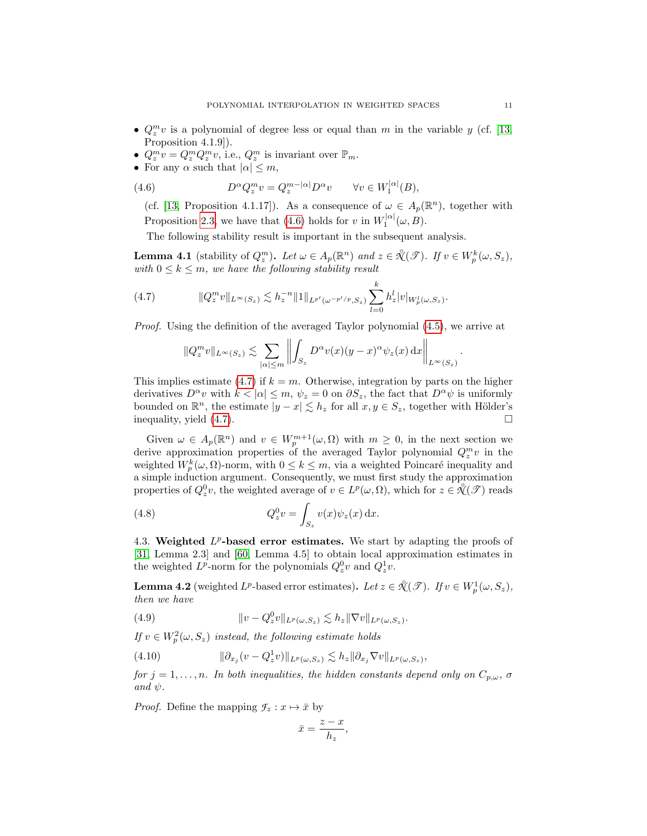- $Q_z^m v$  is a polynomial of degree less or equal than m in the variable y (cf. [\[13,](#page-34-5) Proposition 4.1.9]).
- $Q_z^m v = Q_z^m Q_z^m v$ , i.e.,  $Q_z^m$  is invariant over  $\mathbb{P}_m$ .
- For any  $\alpha$  such that  $|\alpha| \leq m$ ,

(4.6) 
$$
D^{\alpha}Q_z^m v = Q_z^{m-|\alpha|}D^{\alpha}v \qquad \forall v \in W_1^{|\alpha|}(B),
$$

<span id="page-10-0"></span>(cf. [\[13,](#page-34-5) Proposition 4.1.17]). As a consequence of  $\omega \in A_p(\mathbb{R}^n)$ , together with Proposition [2.3,](#page-5-1) we have that [\(4.6\)](#page-10-0) holds for v in  $W_1^{|\alpha|}(\omega, B)$ .

The following stability result is important in the subsequent analysis.

<span id="page-10-4"></span>**Lemma 4.1** (stability of  $Q_z^m$ ). Let  $\omega \in A_p(\mathbb{R}^n)$  and  $z \in \mathcal{K}(\mathcal{F})$ . If  $v \in W_p^k(\omega, S_z)$ , with  $0 \leq k \leq m$ , we have the following stability result

(4.7) 
$$
||Q_z^m v||_{L^{\infty}(S_z)} \lesssim h_z^{-n} ||1||_{L^{p'}(\omega^{-p'/p}, S_z)} \sum_{l=0}^k h_z^l |v|_{W_p^l(\omega, S_z)}.
$$

Proof. Using the definition of the averaged Taylor polynomial [\(4.5\)](#page-9-0), we arrive at

<span id="page-10-1"></span>
$$
||Q_z^m v||_{L^{\infty}(S_z)} \lesssim \sum_{|\alpha| \le m} \left\| \int_{S_z} D^{\alpha} v(x) (y-x)^{\alpha} \psi_z(x) \, \mathrm{d}x \right\|_{L^{\infty}(S_z)}.
$$

This implies estimate [\(4.7\)](#page-10-1) if  $k = m$ . Otherwise, integration by parts on the higher derivatives  $D^{\alpha}v$  with  $k < |\alpha| \leq m$ ,  $\psi_z = 0$  on  $\partial S_z$ , the fact that  $D^{\alpha}\psi$  is uniformly bounded on  $\mathbb{R}^n$ , the estimate  $|y-x| \lesssim h_z$  for all  $x, y \in S_z$ , together with Hölder's inequality, yield  $(4.7)$ .

Given  $\omega \in A_p(\mathbb{R}^n)$  and  $v \in W_p^{m+1}(\omega, \Omega)$  with  $m \geq 0$ , in the next section we derive approximation properties of the averaged Taylor polynomial  $Q_z^m v$  in the weighted  $W_p^k(\omega, \Omega)$ -norm, with  $0 \leq k \leq m$ , via a weighted Poincaré inequality and a simple induction argument. Consequently, we must first study the approximation properties of  $Q_z^0 v$ , the weighted average of  $v \in L^p(\omega, \Omega)$ , which for  $z \in \mathcal{K}(\mathcal{T})$  reads

(4.8) 
$$
Q_z^0 v = \int_{S_z} v(x) \psi_z(x) dx.
$$

4.3. Weighted  $L^p$ -based error estimates. We start by adapting the proofs of [\[31,](#page-35-3) Lemma 2.3] and [\[60,](#page-36-8) Lemma 4.5] to obtain local approximation estimates in the weighted  $L^p$ -norm for the polynomials  $Q_z^0 v$  and  $Q_z^1 v$ .

<span id="page-10-5"></span>**Lemma 4.2** (weighted  $L^p$ -based error estimates). Let  $z \in \mathcal{X}(\mathcal{F})$ . If  $v \in W_p^1(\omega, S_z)$ , then we have

<span id="page-10-2"></span>(4.9) 
$$
\|v - Q_z^0 v\|_{L^p(\omega, S_z)} \lesssim h_z \|\nabla v\|_{L^p(\omega, S_z)}.
$$

If  $v \in W_p^2(\omega, S_z)$  instead, the following estimate holds

<span id="page-10-3"></span>(4.10) 
$$
\|\partial_{x_j}(v - Q_z^1 v)\|_{L^p(\omega, S_z)} \lesssim h_z \|\partial_{x_j} \nabla v\|_{L^p(\omega, S_z)},
$$

for  $j = 1, \ldots, n$ . In both inequalities, the hidden constants depend only on  $C_{p,\omega}$ ,  $\sigma$ and  $\psi$ .

*Proof.* Define the mapping  $\mathcal{F}_z : x \mapsto \bar{x}$  by

$$
\bar{x} = \frac{z - x}{h_z},
$$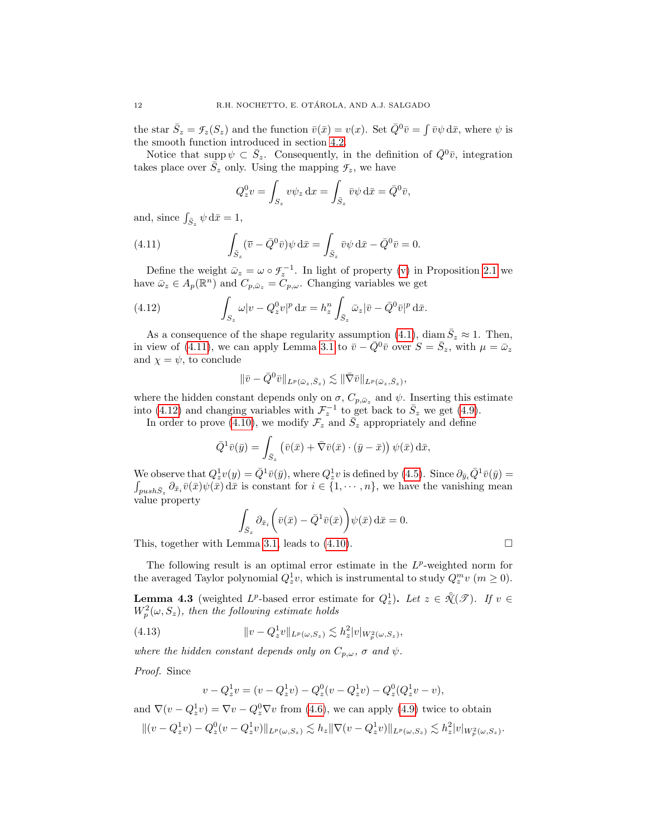the star  $\bar{S}_z = \mathcal{F}_z(S_z)$  and the function  $\bar{v}(\bar{x}) = v(x)$ . Set  $\bar{Q}^0 \bar{v} = \int \bar{v} \psi \, d\bar{x}$ , where  $\psi$  is the smooth function introduced in section [4.2.](#page-9-1)

Notice that supp  $\psi \subset \bar{S}_z$ . Consequently, in the definition of  $\bar{Q}^0\bar{v}$ , integration takes place over  $\bar{S}_z$  only. Using the mapping  $\mathcal{F}_z$ , we have

<span id="page-11-0"></span>
$$
Q_z^0 v = \int_{S_z} v \psi_z \, dx = \int_{\bar{S}_z} \bar{v} \psi \, d\bar{x} = \bar{Q}^0 \bar{v},
$$

and, since  $\int_{\bar{S}_z} \psi \, d\bar{x} = 1$ ,

(4.11) 
$$
\int_{\bar{S}_z} (\overline{v} - \overline{Q}^0 \overline{v}) \psi \, \mathrm{d}\overline{x} = \int_{\bar{S}_z} \overline{v} \psi \, \mathrm{d}\overline{x} - \overline{Q}^0 \overline{v} = 0.
$$

Define the weight  $\bar{\omega}_z = \omega \circ \mathcal{F}_z^{-1}$ . In light of property [\(v\)](#page-4-4) in Proposition [2.1](#page-4-5) we have  $\bar{\omega}_z \in A_p(\mathbb{R}^n)$  and  $C_{p,\bar{\omega}_z} = \tilde{C}_{p,\omega}$ . Changing variables we get

(4.12) 
$$
\int_{S_z} \omega |v - Q_z^0 v|^p \, \mathrm{d}x = h_z^n \int_{\bar{S}_z} \bar{\omega}_z |\bar{v} - \bar{Q}^0 \bar{v}|^p \, \mathrm{d}\bar{x}.
$$

As a consequence of the shape regularity assumption [\(4.1\)](#page-8-1), diam  $\bar{S}_z \approx 1$ . Then, in view of [\(4.11\)](#page-11-0), we can apply Lemma [3.1](#page-6-2) to  $\bar{v} - \bar{Q}^0\bar{v}$  over  $S = \bar{S}_z$ , with  $\mu = \bar{\omega}_z$ and  $\chi = \psi$ , to conclude

<span id="page-11-1"></span>
$$
\|\bar{v}-\bar{Q}^0\bar{v}\|_{L^p(\bar{\omega}_z,\bar{S}_z)} \lesssim \|\bar{\nabla}\bar{v}\|_{L^p(\bar{\omega}_z,\bar{S}_z)},
$$

where the hidden constant depends only on  $\sigma$ ,  $C_{p,\bar{\omega}_z}$  and  $\psi$ . Inserting this estimate into [\(4.12\)](#page-11-1) and changing variables with  $\mathcal{F}_z^{-1}$  to get back to  $\bar{S}_z$  we get [\(4.9\)](#page-10-2).

In order to prove [\(4.10\)](#page-10-3), we modify  $\mathcal{F}_z$  and  $\overline{S}_z$  appropriately and define

$$
\bar{Q}^1 \bar{v}(\bar{y}) = \int_{\bar{S}_z} (\bar{v}(\bar{x}) + \bar{\nabla}\bar{v}(\bar{x}) \cdot (\bar{y} - \bar{x})) \psi(\bar{x}) \,d\bar{x},
$$

We observe that  $Q_z^1 v(y) = \overline{Q}^1 \overline{v}(\overline{y})$ , where  $Q_z^1 v$  is defined by [\(4.5\)](#page-9-0). Since  $\partial_{\overline{y}_i} \overline{Q}^1 \overline{v}(\overline{y}) =$  $\int_{push\bar{S}_z} \partial_{\bar{x}_i}\bar{v}(\bar{x})\psi(\bar{x}) d\bar{x}$  is constant for  $i \in \{1, \dots, n\}$ , we have the vanishing mean value property

$$
\int_{\bar{S}_z} \partial_{\bar{x}_i} \left( \bar{v}(\bar{x}) - \bar{Q}^1 \bar{v}(\bar{x}) \right) \psi(\bar{x}) \, d\bar{x} = 0.
$$

This, together with Lemma [3.1,](#page-6-2) leads to [\(4.10\)](#page-10-3).

The following result is an optimal error estimate in the  $L^p$ -weighted norm for the averaged Taylor polynomial  $Q_z^1 v$ , which is instrumental to study  $Q_z^m v$   $(m \ge 0)$ .

<span id="page-11-3"></span>**Lemma 4.3** (weighted  $L^p$ -based error estimate for  $Q_z^1$ ). Let  $z \in \mathcal{X}(\mathcal{F})$ . If  $v \in$  $W_p^2(\omega, S_z)$ , then the following estimate holds

(4.13) 
$$
||v - Q_z^1 v||_{L^p(\omega, S_z)} \lesssim h_z^2 |v|_{W_p^2(\omega, S_z)},
$$

where the hidden constant depends only on  $C_{p,\omega}$ ,  $\sigma$  and  $\psi$ .

Proof. Since

<span id="page-11-2"></span>
$$
v - Q_z^1 v = (v - Q_z^1 v) - Q_z^0 (v - Q_z^1 v) - Q_z^0 (Q_z^1 v - v),
$$

and  $\nabla(v - Q_z^1 v) = \nabla v - Q_z^0 \nabla v$  from [\(4.6\)](#page-10-0), we can apply [\(4.9\)](#page-10-2) twice to obtain

$$
\|(v-Q_z^1v)-Q_z^0(v-Q_z^1v)\|_{L^p(\omega,S_z)}\lesssim h_z\|\nabla(v-Q_z^1v)\|_{L^p(\omega,S_z)}\lesssim h_z^2|v|_{W_p^2(\omega,S_z)}.
$$

$$
\qquad \qquad \Box
$$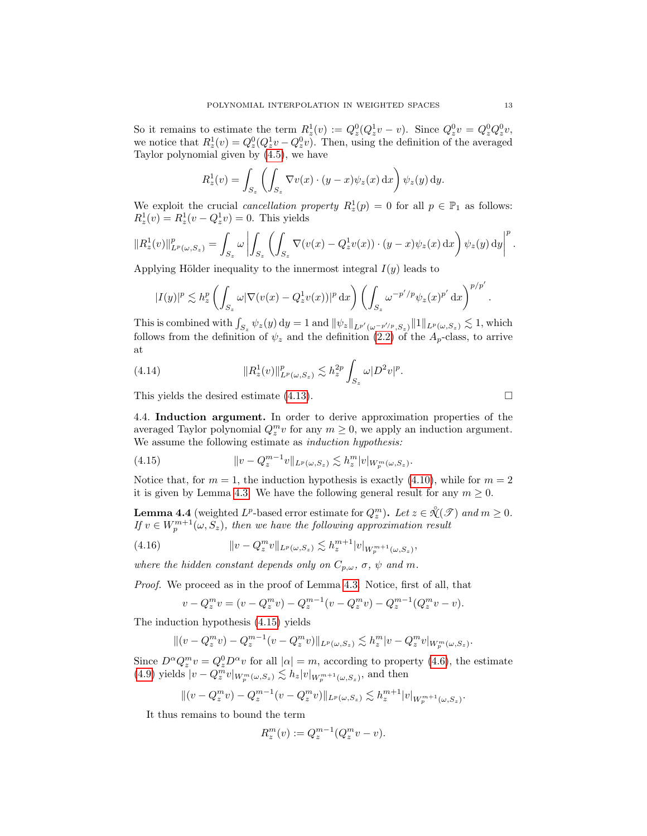So it remains to estimate the term  $R_z^1(v) := Q_z^0(Q_z^1v - v)$ . Since  $Q_z^0v = Q_z^0Q_z^0v$ , we notice that  $R_z^1(v) = Q_z^0(Q_z^1 v - Q_z^0 v)$ . Then, using the definition of the averaged Taylor polynomial given by [\(4.5\)](#page-9-0), we have

$$
R_z^1(v) = \int_{S_z} \left( \int_{S_z} \nabla v(x) \cdot (y - x) \psi_z(x) dx \right) \psi_z(y) dy.
$$

We exploit the crucial *cancellation property*  $R_z^1(p) = 0$  for all  $p \in \mathbb{P}_1$  as follows:  $R_z^1(v) = R_z^1(v - Q_z^1 v) = 0$ . This yields

$$
||R_z^1(v)||_{L^p(\omega,S_z)}^p = \int_{S_z} \omega \left| \int_{S_z} \left( \int_{S_z} \nabla (v(x) - Q_z^1 v(x)) \cdot (y - x) \psi_z(x) dx \right) \psi_z(y) dy \right|^p.
$$

Applying Hölder inequality to the innermost integral  $I(y)$  leads to

$$
|I(y)|^p\lesssim h_z^p\left(\int_{S_z}\omega|\nabla(v(x)-Q^1_zv(x))|^p\,\mathrm{d}x\right)\left(\int_{S_z}\omega^{-p'/p}\psi_z(x)^{p'}\,\mathrm{d}x\right)^{p/p'}.
$$

This is combined with  $\int_{S_z} \psi_z(y) dy = 1$  and  $\|\psi_z\|_{L^{p'}(\omega^{-p'/p}, S_z)} \|1\|_{L^p(\omega, S_z)} \lesssim 1$ , which follows from the definition of  $\psi_z$  and the definition [\(2.2\)](#page-3-2) of the  $A_p$ -class, to arrive at

<span id="page-12-4"></span>(4.14) 
$$
||R_z^1(v)||_{L^p(\omega, S_z)}^p \lesssim h_z^{2p} \int_{S_z} \omega |D^2 v|^p.
$$

This yields the desired estimate  $(4.13)$ .

<span id="page-12-0"></span>4.4. Induction argument. In order to derive approximation properties of the averaged Taylor polynomial  $Q_z^m v$  for any  $m \geq 0$ , we apply an induction argument. We assume the following estimate as *induction hypothesis:* 

<span id="page-12-1"></span>(4.15) 
$$
||v - Q_z^{m-1}v||_{L^p(\omega, S_z)} \lesssim h_z^m |v|_{W_p^m(\omega, S_z)}.
$$

Notice that, for  $m = 1$ , the induction hypothesis is exactly [\(4.10\)](#page-10-3), while for  $m = 2$ it is given by Lemma [4.3.](#page-11-3) We have the following general result for any  $m \geq 0$ .

<span id="page-12-2"></span>**Lemma 4.4** (weighted  $L^p$ -based error estimate for  $Q_z^m$ ). Let  $z \in \mathcal{X}(\mathcal{F})$  and  $m \geq 0$ . If  $v \in W_p^{m+1}(\omega, S_z)$ , then we have the following approximation result

(4.16) 
$$
||v - Q_z^m v||_{L^p(\omega, S_z)} \lesssim h_z^{m+1} |v|_{W_p^{m+1}(\omega, S_z)},
$$

where the hidden constant depends only on  $C_{p,\omega}$ ,  $\sigma$ ,  $\psi$  and m.

Proof. We proceed as in the proof of Lemma [4.3.](#page-11-3) Notice, first of all, that

<span id="page-12-3"></span>
$$
v - Q_z^m v = (v - Q_z^m v) - Q_z^{m-1} (v - Q_z^m v) - Q_z^{m-1} (Q_z^m v - v).
$$

The induction hypothesis [\(4.15\)](#page-12-1) yields

$$
||(v - Q_z^m v) - Q_z^{m-1}(v - Q_z^m v)||_{L^p(\omega, S_z)} \lesssim h_z^m |v - Q_z^m v|_{W_p^m(\omega, S_z)}.
$$

Since  $D^{\alpha}Q_z^m v = Q_z^0 D^{\alpha}v$  for all  $|\alpha| = m$ , according to property [\(4.6\)](#page-10-0), the estimate [\(4.9\)](#page-10-2) yields  $|v - Q_z^m v|_{W_p^m(\omega, S_z)} \lesssim h_z |v|_{W_p^{m+1}(\omega, S_z)}$ , and then

$$
||(v - Q_z^m v) - Q_z^{m-1}(v - Q_z^m v)||_{L^p(\omega, S_z)} \lesssim h_z^{m+1} |v|_{W_p^{m+1}(\omega, S_z)}.
$$

It thus remains to bound the term

$$
R_z^m(v) := Q_z^{m-1}(Q_z^m v - v).
$$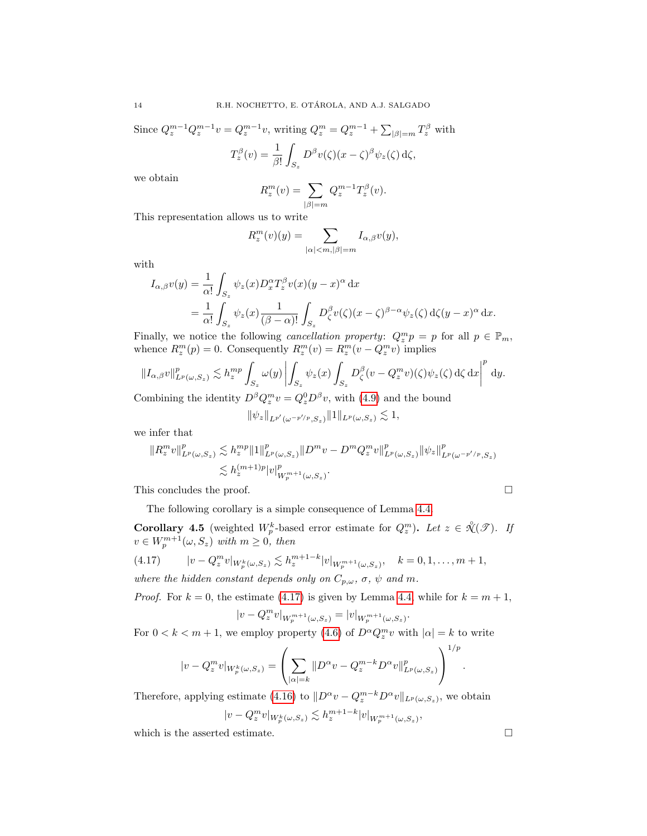Since  $Q_z^{m-1}Q_z^{m-1}v = Q_z^{m-1}v$ , writing  $Q_z^m = Q_z^{m-1} + \sum_{|\beta|=m} T_z^{\beta}$  with  $T_z^{\beta}(v) = \frac{1}{\beta!}$ ˆ  $S_z$  $D^{\beta}v(\zeta)(x-\zeta)^{\beta}\psi_{z}(\zeta) d\zeta,$ 

we obtain

$$
R_z^m(v)=\sum_{|\beta|=m}Q_z^{m-1}T_z^{\beta}(v).
$$

This representation allows us to write

$$
R_z^m(v)(y) = \sum_{|\alpha| < m, |\beta| = m} I_{\alpha,\beta}v(y),
$$

with

$$
I_{\alpha,\beta}v(y) = \frac{1}{\alpha!} \int_{S_z} \psi_z(x) D_x^{\alpha} T_z^{\beta} v(x) (y - x)^{\alpha} dx
$$
  
= 
$$
\frac{1}{\alpha!} \int_{S_z} \psi_z(x) \frac{1}{(\beta - \alpha)!} \int_{S_z} D_{\zeta}^{\beta} v(\zeta) (x - \zeta)^{\beta - \alpha} \psi_z(\zeta) d\zeta (y - x)^{\alpha} dx.
$$

Finally, we notice the following *cancellation property:*  $Q_z^m p = p$  for all  $p \in \mathbb{P}_m$ , whence  $R_z^m(p) = 0$ . Consequently  $R_z^m(v) = R_z^m(v - Q_z^m v)$  implies

$$
||I_{\alpha,\beta}v||_{L^p(\omega,S_z)}^p \lesssim h_z^{mp} \int_{S_z} \omega(y) \left| \int_{S_z} \psi_z(x) \int_{S_z} D_\zeta^{\beta} (v - Q_z^m v)(\zeta) \psi_z(\zeta) d\zeta d\zeta \right|^p dy.
$$

Combining the identity  $D^{\beta} Q_{z}^{m} v = Q_{z}^{0} D^{\beta} v$ , with [\(4.9\)](#page-10-2) and the bound

$$
\|\psi_z\|_{L^{p'}(\omega^{-p'/p},S_z)}\|1\|_{L^p(\omega,S_z)}\lesssim 1,
$$

we infer that

$$
\|R_z^m v\|_{L^p(\omega,S_z)}^p \lesssim h_z^{mp} \|1\|_{L^p(\omega,S_z)}^p \|D^m v - D^m Q_z^m v\|_{L^p(\omega,S_z)}^p \|\psi_z\|_{L^p(\omega^{-p'/p},S_z)}^p
$$
  

$$
\lesssim h_z^{(m+1)p} |v|_{W_p^{m+1}(\omega,S_z)}^p.
$$

This concludes the proof.

$$
\Box
$$

The following corollary is a simple consequence of Lemma [4.4.](#page-12-2)

<span id="page-13-1"></span>**Corollary 4.5** (weighted  $W_p^k$ -based error estimate for  $Q_z^m$ ). Let  $z \in \mathcal{X}(\mathcal{F})$ . If  $v \in W_p^{m+1}(\omega, S_z)$  with  $m \geq 0$ , then

<span id="page-13-0"></span>(4.17) 
$$
|v - Q_z^m v|_{W_p^k(\omega, S_z)} \lesssim h_z^{m+1-k} |v|_{W_p^{m+1}(\omega, S_z)}, \quad k = 0, 1, ..., m+1,
$$
  
where the hidden constant depends only on  $C$ ,  $\sigma$ ,  $\psi$ , and  $m$ .

where the hidden constant depends only on  $C_{p,\omega}$ ,  $\sigma$ ,  $\psi$  and m.

*Proof.* For  $k = 0$ , the estimate [\(4.17\)](#page-13-0) is given by Lemma [4.4,](#page-12-2) while for  $k = m + 1$ , m

$$
|v - Q_z^m v|_{W_p^{m+1}(\omega, S_z)} = |v|_{W_p^{m+1}(\omega, S_z)}.
$$

For  $0 < k < m + 1$ , we employ property [\(4.6\)](#page-10-0) of  $D^{\alpha} Q_x^m v$  with  $|\alpha| = k$  to write

$$
|v - Q_z^m v|_{W_p^k(\omega, S_z)} = \left(\sum_{|\alpha|=k} \|D^{\alpha}v - Q_z^{m-k} D^{\alpha}v\|_{L^p(\omega, S_z)}^p\right)^{1/p}
$$

Therefore, applying estimate [\(4.16\)](#page-12-3) to  $||D^{\alpha}v - Q_z^{m-k}D^{\alpha}v||_{L^p(\omega, S_z)}$ , we obtain

$$
|v - Q_z^m v|_{W_p^k(\omega, S_z)} \lesssim h_z^{m+1-k} |v|_{W_p^{m+1}(\omega, S_z)},
$$

which is the asserted estimate.  $\Box$ 

.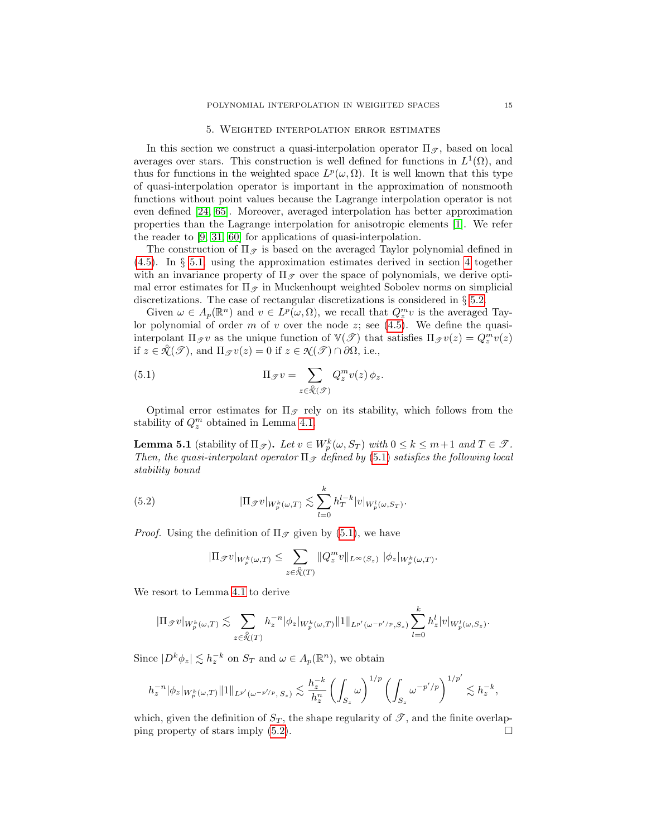#### 5. Weighted interpolation error estimates

<span id="page-14-0"></span>In this section we construct a quasi-interpolation operator  $\Pi_{\mathscr{T}}$ , based on local averages over stars. This construction is well defined for functions in  $L^1(\Omega)$ , and thus for functions in the weighted space  $L^p(\omega, \Omega)$ . It is well known that this type of quasi-interpolation operator is important in the approximation of nonsmooth functions without point values because the Lagrange interpolation operator is not even defined [\[24,](#page-35-0) [65\]](#page-36-1). Moreover, averaged interpolation has better approximation properties than the Lagrange interpolation for anisotropic elements [\[1\]](#page-34-6). We refer the reader to [\[9,](#page-34-7) [31,](#page-35-3) [60\]](#page-36-8) for applications of quasi-interpolation.

The construction of  $\Pi_{\mathscr{T}}$  is based on the averaged Taylor polynomial defined in [\(4.5\)](#page-9-0). In § [5.1,](#page-15-0) using the approximation estimates derived in section [4](#page-8-0) together with an invariance property of  $\Pi_{\mathscr{T}}$  over the space of polynomials, we derive optimal error estimates for  $\Pi_{\mathscr{T}}$  in Muckenhoupt weighted Sobolev norms on simplicial discretizations. The case of rectangular discretizations is considered in § [5.2.](#page-15-1)

Given  $\omega \in A_p(\mathbb{R}^n)$  and  $v \in L^p(\omega, \Omega)$ , we recall that  $Q_z^m v$  is the averaged Taylor polynomial of order m of v over the node  $z$ ; see [\(4.5\)](#page-9-0). We define the quasiinterpolant  $\Pi_{\mathscr{T}}v$  as the unique function of  $\mathbb{V}(\mathscr{T})$  that satisfies  $\Pi_{\mathscr{T}}v(z) = Q_z^m v(z)$ if  $z \in \mathcal{X}(\mathcal{F})$ , and  $\Pi_{\mathcal{F}}v(z) = 0$  if  $z \in \mathcal{X}(\mathcal{F}) \cap \partial\Omega$ , i.e.,

<span id="page-14-1"></span>(5.1) 
$$
\Pi_{\mathscr{T}}v = \sum_{z \in \mathscr{X}(\mathscr{T})} Q_z^m v(z) \phi_z.
$$

Optimal error estimates for  $\Pi_{\mathcal{F}}$  rely on its stability, which follows from the stability of  $Q_z^m$  obtained in Lemma [4.1.](#page-10-4)

<span id="page-14-3"></span>**Lemma 5.1** (stability of  $\Pi_{\mathcal{F}}$ ). Let  $v \in W_p^k(\omega, S_T)$  with  $0 \le k \le m+1$  and  $T \in \mathcal{F}$ . Then, the quasi-interpolant operator  $\Pi_{\mathcal{T}}$  defined by [\(5.1\)](#page-14-1) satisfies the following local stability bound

(5.2) 
$$
|\Pi_{\mathscr{T}}v|_{W_p^k(\omega,T)} \lesssim \sum_{l=0}^k h_T^{l-k}|v|_{W_p^l(\omega,S_T)}.
$$

*Proof.* Using the definition of  $\Pi_{\mathscr{T}}$  given by [\(5.1\)](#page-14-1), we have

<span id="page-14-2"></span>
$$
|\Pi_{\mathscr{T}}v|_{W_p^k(\omega,T)} \leq \sum_{z \in \mathcal{K}(T)} \|Q_z^m v\|_{L^\infty(S_z)} \|\phi_z|_{W_p^k(\omega,T)}.
$$

We resort to Lemma [4.1](#page-10-4) to derive

$$
|\Pi_{\mathscr{T}}v|_{W_p^k(\omega,T)} \lesssim \sum_{z \in \mathcal{X}(T)} h_z^{-n} |\phi_z|_{W_p^k(\omega,T)} \|1\|_{L^{p'}(\omega^{-p'/p},S_z)} \sum_{l=0}^k h_z^l |v|_{W_p^l(\omega,S_z)}.
$$

Since  $|D^k \phi_z| \lesssim h_z^{-k}$  on  $S_T$  and  $\omega \in A_p(\mathbb{R}^n)$ , we obtain

$$
h_z^{-n}|\phi_z|_{W_p^k(\omega,T)}\|1\|_{L^{p'}(\omega^{-p'/p},\,S_z)}\lesssim \frac{h_z^{-k}}{h_z^n}\left(\int_{S_z}\omega\right)^{1/p}\left(\int_{S_z}\omega^{-p'/p}\right)^{1/p'}\lesssim h_z^{-k},
$$

which, given the definition of  $S_T$ , the shape regularity of  $\mathscr{T}$ , and the finite overlapping property of stars imply  $(5.2)$ .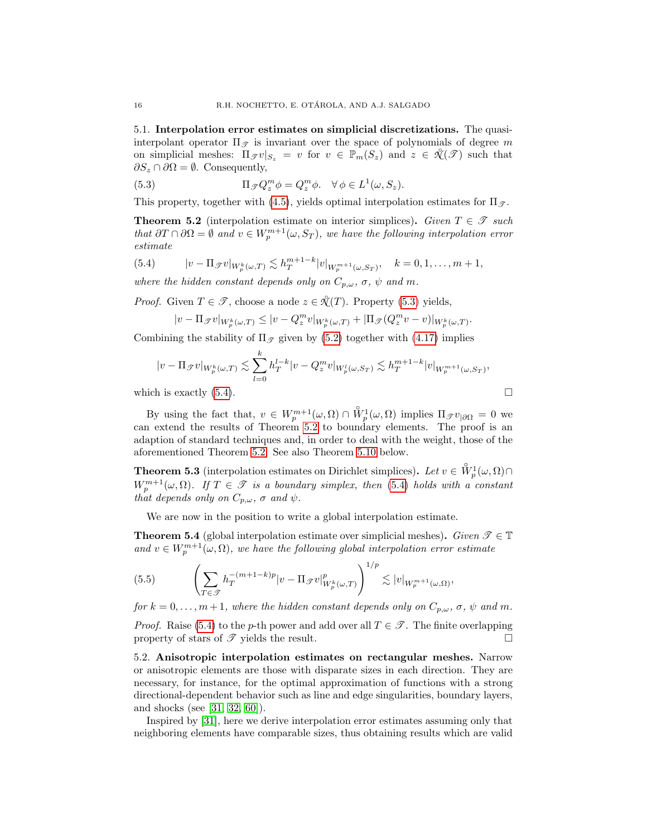<span id="page-15-0"></span>5.1. Interpolation error estimates on simplicial discretizations. The quasiinterpolant operator  $\Pi_{\mathscr{T}}$  is invariant over the space of polynomials of degree m on simplicial meshes:  $\Pi_{\mathscr{T}}v|_{S_z} = v$  for  $v \in \mathbb{P}_m(S_z)$  and  $z \in \mathcal{K}(\mathscr{T})$  such that  $\partial S_z \cap \partial \Omega = \emptyset$ . Consequently,

<span id="page-15-2"></span>(5.3) 
$$
\Pi_{\mathscr{T}}Q_z^m \phi = Q_z^m \phi. \quad \forall \phi \in L^1(\omega, S_z).
$$

This property, together with [\(4.5\)](#page-13-1), yields optimal interpolation estimates for  $\Pi_{\mathscr{T}}$ .

<span id="page-15-4"></span>**Theorem 5.2** (interpolation estimate on interior simplices). Given  $T \in \mathcal{T}$  such that  $\partial T \cap \partial \Omega = \emptyset$  and  $v \in W_p^{m+1}(\omega, S_T)$ , we have the following interpolation error estimate

<span id="page-15-3"></span>(5.4) 
$$
|v - \Pi_{\mathscr{T}}v|_{W_p^k(\omega,T)} \lesssim h_T^{m+1-k}|v|_{W_p^{m+1}(\omega,S_T)}, \quad k = 0, 1, ..., m+1,
$$

where the hidden constant depends only on  $C_{p,\omega}$ ,  $\sigma$ ,  $\psi$  and m.

*Proof.* Given  $T \in \mathcal{T}$ , choose a node  $z \in \mathcal{X}(T)$ . Property [\(5.3\)](#page-15-2) yields,

$$
|v - \Pi_{\mathscr{T}}v|_{W_p^k(\omega,T)} \leq |v - Q_z^m v|_{W_p^k(\omega,T)} + |\Pi_{\mathscr{T}}(Q_z^m v - v)|_{W_p^k(\omega,T)}.
$$

Combining the stability of  $\Pi_{\mathcal{F}}$  given by [\(5.2\)](#page-14-2) together with [\(4.17\)](#page-13-0) implies

$$
|v - \Pi_{\mathscr{T}}v|_{W_p^k(\omega,T)} \lesssim \sum_{l=0}^k h_T^{l-k}|v - Q_z^m v|_{W_p^l(\omega,S_T)} \lesssim h_T^{m+1-k}|v|_{W_p^{m+1}(\omega,S_T)},
$$

which is exactly  $(5.4)$ .

By using the fact that,  $v \in W_p^{m+1}(\omega, \Omega) \cap \overset{\circ}{W}_p^1(\omega, \Omega)$  implies  $\Pi_{\mathscr{T}}v_{|\partial\Omega} = 0$  we can extend the results of Theorem [5.2](#page-15-4) to boundary elements. The proof is an adaption of standard techniques and, in order to deal with the weight, those of the aforementioned Theorem [5.2.](#page-15-4) See also Theorem [5.10](#page-22-1) below.

**Theorem 5.3** (interpolation estimates on Dirichlet simplices). Let  $v \in \overset{\circ}{W}^1_p(\omega,\Omega) \cap$  $W_p^{m+1}(\omega,\Omega)$ . If  $T \in \mathscr{T}$  is a boundary simplex, then [\(5.4\)](#page-15-3) holds with a constant that depends only on  $C_{p,\omega}$ ,  $\sigma$  and  $\psi$ .

We are now in the position to write a global interpolation estimate.

<span id="page-15-5"></span>**Theorem 5.4** (global interpolation estimate over simplicial meshes). Given  $\mathcal{T} \in \mathbb{T}$ and  $v \in W_p^{m+1}(\omega, \Omega)$ , we have the following global interpolation error estimate

(5.5) 
$$
\left(\sum_{T\in\mathcal{F}} h_T^{-(m+1-k)p} |v - \Pi_{\mathcal{F}}v|_{W_p^k(\omega,T)}^p \right)^{1/p} \lesssim |v|_{W_p^{m+1}(\omega,\Omega)},
$$

for  $k = 0, \ldots, m+1$ , where the hidden constant depends only on  $C_{p,\omega}$ ,  $\sigma$ ,  $\psi$  and m.

*Proof.* Raise [\(5.4\)](#page-15-3) to the p-th power and add over all  $T \in \mathcal{T}$ . The finite overlapping property of stars of  $\mathscr T$  yields the result.

<span id="page-15-1"></span>5.2. Anisotropic interpolation estimates on rectangular meshes. Narrow or anisotropic elements are those with disparate sizes in each direction. They are necessary, for instance, for the optimal approximation of functions with a strong directional-dependent behavior such as line and edge singularities, boundary layers, and shocks (see [\[31,](#page-35-3) [32,](#page-35-16) [60\]](#page-36-8)).

Inspired by [\[31\]](#page-35-3), here we derive interpolation error estimates assuming only that neighboring elements have comparable sizes, thus obtaining results which are valid

$$
\Box
$$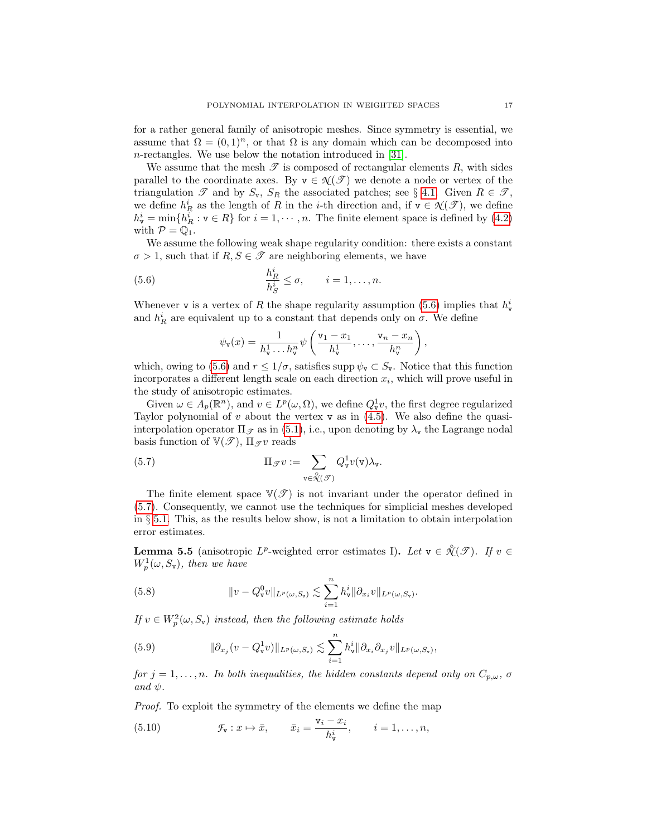for a rather general family of anisotropic meshes. Since symmetry is essential, we assume that  $\Omega = (0, 1)^n$ , or that  $\Omega$  is any domain which can be decomposed into n-rectangles. We use below the notation introduced in [\[31\]](#page-35-3).

We assume that the mesh  $\mathscr T$  is composed of rectangular elements  $R$ , with sides parallel to the coordinate axes. By  $v \in \mathcal{N}(\mathcal{F})$  we denote a node or vertex of the triangulation  $\mathscr T$  and by  $S_v$ ,  $S_R$  the associated patches; see § [4.1.](#page-8-2) Given  $R \in \mathscr T$ , we define  $h_R^i$  as the length of R in the *i*-th direction and, if  $\mathbf{v} \in \mathcal{N}(\mathcal{T})$ , we define  $h_{\mathbf{v}}^i = \min\{h_R^i : \mathbf{v} \in R\}$  for  $i = 1, \dots, n$ . The finite element space is defined by [\(4.2\)](#page-8-3) with  $\mathcal{P} = \mathbb{Q}_1$ .

We assume the following weak shape regularity condition: there exists a constant  $\sigma > 1$ , such that if  $R, S \in \mathcal{T}$  are neighboring elements, we have

(5.6) 
$$
\frac{h_R^i}{h_S^i} \leq \sigma, \qquad i = 1, \dots, n.
$$

Whenever **v** is a vertex of R the shape regularity assumption [\(5.6\)](#page-16-0) implies that  $h_v^i$ and  $h_R^i$  are equivalent up to a constant that depends only on  $\sigma$ . We define

<span id="page-16-1"></span><span id="page-16-0"></span>
$$
\psi_{\mathbf{v}}(x) = \frac{1}{h_{\mathbf{v}}^1 \dots h_{\mathbf{v}}^n} \psi\left(\frac{\mathbf{v}_1 - x_1}{h_{\mathbf{v}}^1}, \dots, \frac{\mathbf{v}_n - x_n}{h_{\mathbf{v}}^n}\right),
$$

which, owing to [\(5.6\)](#page-16-0) and  $r \leq 1/\sigma$ , satisfies supp  $\psi_{\mathbf{v}} \subset S_{\mathbf{v}}$ . Notice that this function incorporates a different length scale on each direction  $x_i$ , which will prove useful in the study of anisotropic estimates.

Given  $\omega \in A_p(\mathbb{R}^n)$ , and  $v \in L^p(\omega, \Omega)$ , we define  $Q_v^1v$ , the first degree regularized Taylor polynomial of  $v$  about the vertex  $v$  as in  $(4.5)$ . We also define the quasiinterpolation operator  $\Pi_{\mathscr{T}}$  as in [\(5.1\)](#page-14-1), i.e., upon denoting by  $\lambda_{\mathbf{v}}$  the Lagrange nodal basis function of  $\mathbb{V}(\mathscr{T})$ ,  $\Pi_{\mathscr{T}}v$  reads

(5.7) 
$$
\Pi_{\mathscr{T}} v := \sum_{\mathbf{v} \in \mathcal{N}(\mathscr{T})} Q_{\mathbf{v}}^1 v(\mathbf{v}) \lambda_{\mathbf{v}}.
$$

The finite element space  $V(\mathcal{T})$  is not invariant under the operator defined in [\(5.7\)](#page-16-1). Consequently, we cannot use the techniques for simplicial meshes developed in  $\S 5.1$ . This, as the results below show, is not a limitation to obtain interpolation error estimates.

<span id="page-16-2"></span>**Lemma 5.5** (anisotropic  $L^p$ -weighted error estimates I). Let  $v \in \mathcal{X}(\mathcal{F})$ . If  $v \in$  $W_p^1(\omega, S_{\nu}),$  then we have

<span id="page-16-3"></span>(5.8) 
$$
\|v - Q_{\mathbf{v}}^0 v\|_{L^p(\omega, S_{\mathbf{v}})} \lesssim \sum_{i=1}^n h_{\mathbf{v}}^i \|\partial_{x_i} v\|_{L^p(\omega, S_{\mathbf{v}})}.
$$

If  $v \in W_p^2(\omega, S_v)$  instead, then the following estimate holds

<span id="page-16-4"></span>(5.9) 
$$
\|\partial_{x_j}(v - Q^1_v v)\|_{L^p(\omega, S_v)} \lesssim \sum_{i=1}^n h^i_v \|\partial_{x_i}\partial_{x_j} v\|_{L^p(\omega, S_v)},
$$

for  $j = 1, \ldots, n$ . In both inequalities, the hidden constants depend only on  $C_{p,\omega}$ ,  $\sigma$ and  $\psi$ .

Proof. To exploit the symmetry of the elements we define the map

(5.10) 
$$
\mathcal{F}_{\mathbf{v}}: x \mapsto \bar{x}, \qquad \bar{x}_i = \frac{\mathbf{v}_i - x_i}{h_{\mathbf{v}}^i}, \qquad i = 1, \dots, n,
$$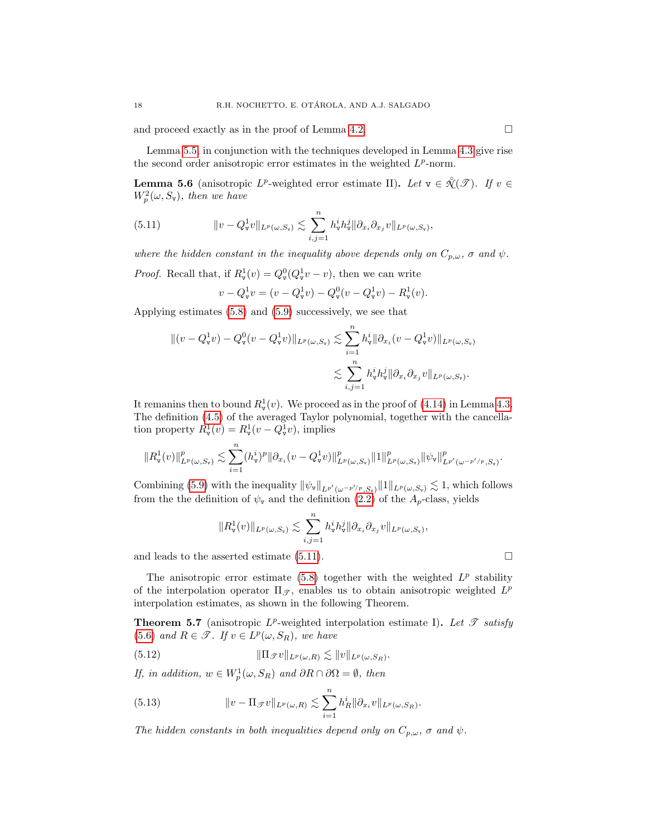and proceed exactly as in the proof of Lemma [4.2.](#page-10-5)  $\Box$ 

<span id="page-17-3"></span>**Lemma 5.6** (anisotropic  $L^p$ -weighted error estimate II). Let  $v \in \mathcal{X}(\mathcal{F})$ . If  $v \in$  $W_p^2(\omega, S_{\rm v}),$  then we have

(5.11) 
$$
\|v - Q^1_{\mathbf{v}}v\|_{L^p(\omega, S_{\mathbf{v}})} \lesssim \sum_{i,j=1}^n h^i_{\mathbf{v}}h^j_{\mathbf{v}}\|\partial_{x_i}\partial_{x_j}v\|_{L^p(\omega, S_{\mathbf{v}})},
$$

the second order anisotropic error estimates in the weighted  $L^p$ -norm.

where the hidden constant in the inequality above depends only on  $C_{p,\omega}$ ,  $\sigma$  and  $\psi$ .

*Proof.* Recall that, if  $R_{\mathbf{v}}^1(v) = Q_{\mathbf{v}}^0(Q_{\mathbf{v}}^1 v - v)$ , then we can write

<span id="page-17-0"></span>
$$
v - Q_{\mathbf{v}}^1 v = (v - Q_{\mathbf{v}}^1 v) - Q_{\mathbf{v}}^0 (v - Q_{\mathbf{v}}^1 v) - R_{\mathbf{v}}^1 (v).
$$

Applying estimates [\(5.8\)](#page-16-3) and [\(5.9\)](#page-16-4) successively, we see that

$$
\begin{aligned} \|(v - Q_{\mathbf{v}}^1 v) - Q_{\mathbf{v}}^0 (v - Q_{\mathbf{v}}^1 v) \|_{L^p(\omega, S_{\mathbf{v}})} &\lesssim \sum_{i=1}^n h_{\mathbf{v}}^i \|\partial_{x_i} (v - Q_{\mathbf{v}}^1 v) \|_{L^p(\omega, S_{\mathbf{v}})} \\ &\lesssim \sum_{i,j=1}^n h_{\mathbf{v}}^i h_{\mathbf{v}}^j \|\partial_{x_i} \partial_{x_j} v \|_{L^p(\omega, S_{\mathbf{v}})} .\end{aligned}
$$

It remanins then to bound  $R_v^1(v)$ . We proceed as in the proof of [\(4.14\)](#page-12-4) in Lemma [4.3.](#page-11-3) The definition [\(4.5\)](#page-9-0) of the averaged Taylor polynomial, together with the cancellation property  $R^1_{\mathbf{v}}(v) = R^1_{\mathbf{v}}(v - Q^1_{\mathbf{v}}v)$ , implies

$$
\|R^1_{\mathbf{v}}(v)\|^p_{L^p(\omega,S_{\mathbf{v}})} \lesssim \sum_{i=1}^n (h_{\mathbf{v}}^i)^p \|\partial_{x_i}(v-Q^1_{\mathbf{v}}v)\|^p_{L^p(\omega,S_{\mathbf{v}})} \|1\|^p_{L^p(\omega,S_{\mathbf{v}})} \|\psi_{\mathbf{v}}\|^p_{L^{p'}(\omega^{-p'/p},S_{\mathbf{v}})}.
$$

Combining [\(5.9\)](#page-16-4) with the inequality  $\|\psi_{\mathbf{v}}\|_{L^{p'}(\omega^{-p'/p},S_{\mathbf{v}})}\|1\|_{L^{p}(\omega,S_{\mathbf{v}})} \lesssim 1$ , which follows from the the definition of  $\psi_{\mathbf{v}}$  and the definition [\(2.2\)](#page-3-2) of the  $A_p$ -class, yields

$$
||R_{\mathbf{v}}^1(v)||_{L^p(\omega,S_{\mathbf{v}})} \lesssim \sum_{i,j=1}^n h_{\mathbf{v}}^i h_{\mathbf{v}}^j ||\partial_{x_i} \partial_{x_j} v||_{L^p(\omega,S_{\mathbf{v}})},
$$

and leads to the asserted estimate [\(5.11\)](#page-17-0).  $\Box$ 

The anisotropic error estimate  $(5.8)$  together with the weighted  $L^p$  stability of the interpolation operator  $\Pi_{\mathscr{T}}$ , enables us to obtain anisotropic weighted  $L^p$ interpolation estimates, as shown in the following Theorem.

**Theorem 5.7** (anisotropic  $L^p$ -weighted interpolation estimate I). Let  $\mathscr T$  satisfy [\(5.6\)](#page-16-0) and  $R \in \mathcal{T}$ . If  $v \in L^p(\omega, S_R)$ , we have

<span id="page-17-1"></span>(5.12) 
$$
\|\Pi \mathcal{J}v\|_{L^p(\omega,R)} \lesssim \|v\|_{L^p(\omega,S_R)}.
$$

If, in addition,  $w \in W_p^1(\omega, S_R)$  and  $\partial R \cap \partial \Omega = \emptyset$ , then

<span id="page-17-2"></span>(5.13) 
$$
\|v - \Pi_{\mathscr{T}}v\|_{L^p(\omega,R)} \lesssim \sum_{i=1}^n h_R^i \|\partial_{x_i}v\|_{L^p(\omega,S_R)}.
$$

The hidden constants in both inequalities depend only on  $C_{p,\omega}$ ,  $\sigma$  and  $\psi$ .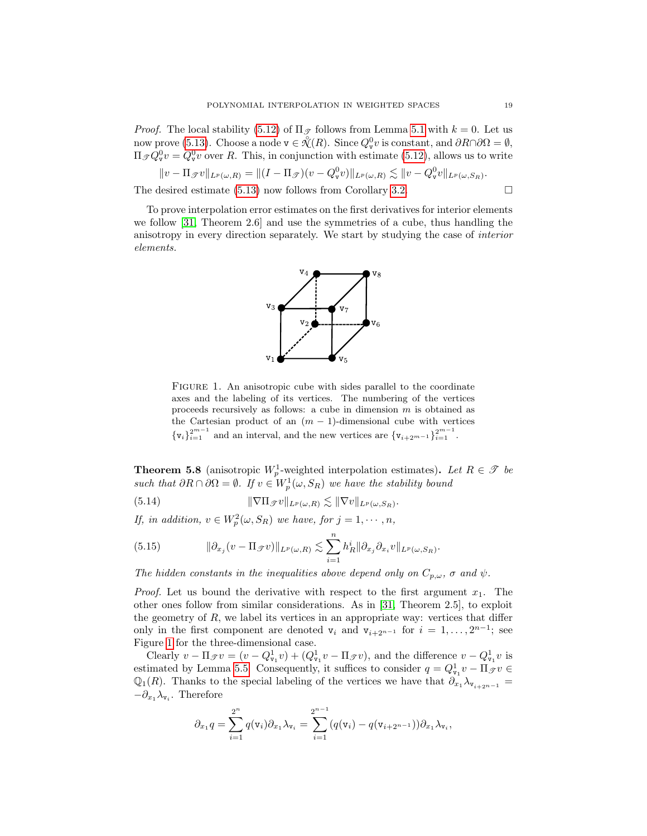*Proof.* The local stability [\(5.12\)](#page-17-1) of  $\Pi_{\mathcal{F}}$  follows from Lemma [5.1](#page-14-3) with  $k = 0$ . Let us now prove [\(5.13\)](#page-17-2). Choose a node  $v \in \mathcal{R}(R)$ . Since  $Q_v^0 v$  is constant, and  $\partial R \cap \partial \Omega = \emptyset$ ,  $\Pi_{\mathscr{T}}Q_{\mathbf{v}}^0v = Q_{\mathbf{v}}^0v$  over R. This, in conjunction with estimate [\(5.12\)](#page-17-1), allows us to write

$$
||v - \Pi_{\mathscr{T}}v||_{L^p(\omega, R)} = ||(I - \Pi_{\mathscr{T}})(v - Q^0_{\mathbf{v}}v)||_{L^p(\omega, R)} \lesssim ||v - Q^0_{\mathbf{v}}v||_{L^p(\omega, S_R)}.
$$

The desired estimate [\(5.13\)](#page-17-2) now follows from Corollary [3.2.](#page-7-2)  $\Box$ 

To prove interpolation error estimates on the first derivatives for interior elements we follow [\[31,](#page-35-3) Theorem 2.6] and use the symmetries of a cube, thus handling the anisotropy in every direction separately. We start by studying the case of interior elements.



<span id="page-18-0"></span>FIGURE 1. An anisotropic cube with sides parallel to the coordinate axes and the labeling of its vertices. The numbering of the vertices proceeds recursively as follows: a cube in dimension m is obtained as the Cartesian product of an  $(m - 1)$ -dimensional cube with vertices  $\{v_i\}_{i=1}^{2^{m-1}}$  and an interval, and the new vertices are  $\{v_{i+2^{m-1}}\}_{i=1}^{2^{m-1}}$ .

<span id="page-18-3"></span>**Theorem 5.8** (anisotropic  $W_p^1$ -weighted interpolation estimates). Let  $R \in \mathcal{T}$  be such that  $\partial R \cap \partial \Omega = \emptyset$ . If  $v \in W^1_p(\omega, S_R)$  we have the stability bound

<span id="page-18-2"></span>(5.14) 
$$
\|\nabla \Pi_{\mathcal{F}} v\|_{L^p(\omega,R)} \lesssim \|\nabla v\|_{L^p(\omega,S_R)}.
$$

If, in addition,  $v \in W_p^2(\omega, S_R)$  we have, for  $j = 1, \dots, n$ ,

<span id="page-18-1"></span>(5.15) 
$$
\|\partial_{x_j}(v - \Pi_{\mathscr{T}}v)\|_{L^p(\omega,R)} \lesssim \sum_{i=1}^n h_R^i \|\partial_{x_j}\partial_{x_i}v\|_{L^p(\omega,S_R)}.
$$

The hidden constants in the inequalities above depend only on  $C_{p,\omega}$ ,  $\sigma$  and  $\psi$ .

*Proof.* Let us bound the derivative with respect to the first argument  $x_1$ . The other ones follow from similar considerations. As in [\[31,](#page-35-3) Theorem 2.5], to exploit the geometry of  $R$ , we label its vertices in an appropriate way: vertices that differ only in the first component are denoted  $v_i$  and  $v_{i+2^{n-1}}$  for  $i = 1, ..., 2^{n-1}$ ; see Figure [1](#page-18-0) for the three-dimensional case.

Clearly  $v - \Pi_{\mathscr{T}}v = (v - Q^1_{\mathbf{v}_1}v) + (Q^1_{\mathbf{v}_1}v - \Pi_{\mathscr{T}}v)$ , and the difference  $v - Q^1_{\mathbf{v}_1}v$  is estimated by Lemma [5.5.](#page-16-2) Consequently, it suffices to consider  $q = Q_{\nu_1}^1 v - \Pi_{\mathscr{T}} v \in$  $\mathbb{Q}_1(R)$ . Thanks to the special labeling of the vertices we have that  $\partial_{x_1} \lambda_{\mathbf{v}_{i+2^{n-1}}} =$  $-\partial_{x_1}\lambda_{\mathbf{v}_i}$ . Therefore

$$
\partial_{x_1}q = \sum_{i=1}^{2^n} q(\mathbf{v}_i)\partial_{x_1}\lambda_{\mathbf{v}_i} = \sum_{i=1}^{2^{n-1}} (q(\mathbf{v}_i) - q(\mathbf{v}_{i+2^{n-1}}))\partial_{x_1}\lambda_{\mathbf{v}_i},
$$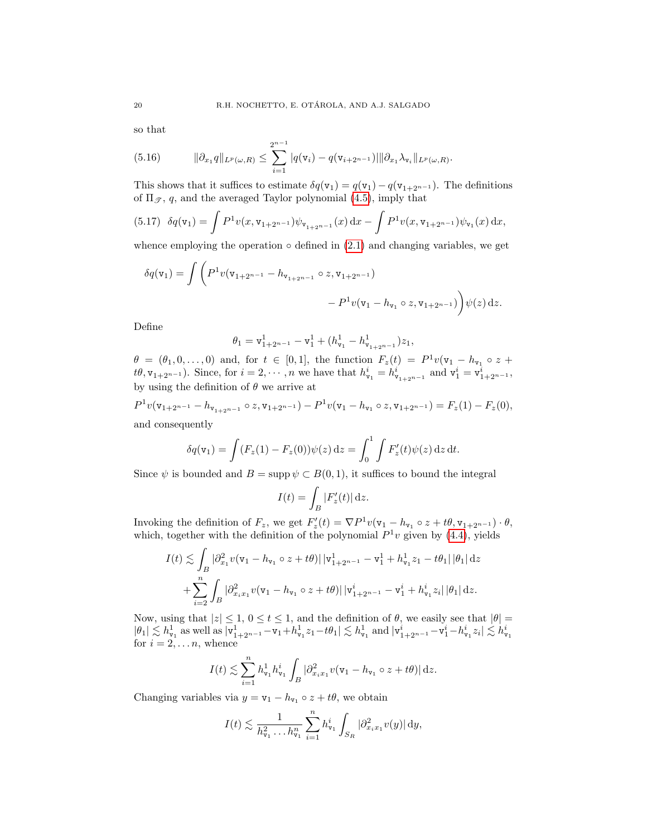so that

<span id="page-19-0"></span>(5.16) 
$$
\|\partial_{x_1}q\|_{L^p(\omega,R)} \leq \sum_{i=1}^{2^{n-1}}|q(\mathbf{v}_i)-q(\mathbf{v}_{i+2^{n-1}})||\partial_{x_1}\lambda_{\mathbf{v}_i}\|_{L^p(\omega,R)}.
$$

This shows that it suffices to estimate  $\delta q(\mathbf{v}_1) = q(\mathbf{v}_1) - q(\mathbf{v}_{1+2^{n-1}})$ . The definitions of  $\Pi_{\mathscr{T}}$ , q, and the averaged Taylor polynomial [\(4.5\)](#page-9-0), imply that

<span id="page-19-1"></span>
$$
(5.17) \delta q(\mathbf{v}_1) = \int P^1 v(x, \mathbf{v}_{1+2^{n-1}}) \psi_{\mathbf{v}_{1+2^{n-1}}}(x) dx - \int P^1 v(x, \mathbf{v}_{1+2^{n-1}}) \psi_{\mathbf{v}_1}(x) dx,
$$

whence employing the operation  $\circ$  defined in [\(2.1\)](#page-3-3) and changing variables, we get

$$
\delta q(\mathbf{v}_1) = \int \left( P^1 v(\mathbf{v}_{1+2^{n-1}} - h_{\mathbf{v}_{1+2^{n-1}}} \circ z, \mathbf{v}_{1+2^{n-1}}) - P^1 v(\mathbf{v}_1 - h_{\mathbf{v}_1} \circ z, \mathbf{v}_{1+2^{n-1}}) \right) \psi(z) dz.
$$

Define

$$
\theta_1 = \mathtt{v}_{1+2^{n-1}}^1 - \mathtt{v}_1^1 + (h^1_{\mathtt{v}_1} - h^1_{\mathtt{v}_{1+2^{n-1}}}) z_1,
$$

 $\theta = (\theta_1, 0, \ldots, 0)$  and, for  $t \in [0, 1]$ , the function  $F_z(t) = P^1 v(\mathbf{v}_1 - h_{\mathbf{v}_1} \circ z +$  $t\theta$ ,  $v_{1+2^{n-1}}$ ). Since, for  $i = 2, \dots, n$  we have that  $h_{v_1}^i = h_{v_{1+2^{n-1}}}^i$  and  $v_1^i = v_{1+2^{n-1}}^i$ , by using the definition of  $\theta$  we arrive at

$$
P^{1}v(v_{1+2^{n-1}} - h_{v_{1+2^{n-1}}} \circ z, v_{1+2^{n-1}}) - P^{1}v(v_{1} - h_{v_{1}} \circ z, v_{1+2^{n-1}}) = F_{z}(1) - F_{z}(0),
$$
  
and consequently

$$
\delta q(\mathbf{v}_1) = \int (F_z(1) - F_z(0))\psi(z) dz = \int_0^1 \int F'_z(t)\psi(z) dz dt.
$$

Since  $\psi$  is bounded and  $B = \text{supp } \psi \subset B(0,1)$ , it suffices to bound the integral

$$
I(t) = \int_B |F'_z(t)| \,\mathrm{d}z.
$$

Invoking the definition of  $F_z$ , we get  $F'_z(t) = \nabla P^1 v(\mathbf{v}_1 - h_{\mathbf{v}_1} \circ z + t\theta, \mathbf{v}_{1+2^{n-1}}) \cdot \theta$ , which, together with the definition of the polynomial  $P<sup>1</sup>v$  given by [\(4.4\)](#page-9-2), yields

$$
I(t) \lesssim \int_{B} |\partial_{x_1}^2 v(\mathbf{v}_1 - h_{\mathbf{v}_1} \circ z + t\theta)| |\mathbf{v}_{1+2^{n-1}}^1 - \mathbf{v}_1^1 + h_{\mathbf{v}_1}^1 z_1 - t\theta_1| |\theta_1| dz
$$
  
+ 
$$
\sum_{i=2}^n \int_{B} |\partial_{x_i x_1}^2 v(\mathbf{v}_1 - h_{\mathbf{v}_1} \circ z + t\theta)| |\mathbf{v}_{1+2^{n-1}}^i - \mathbf{v}_1^i + h_{\mathbf{v}_1}^i z_i| |\theta_1| dz.
$$

Now, using that  $|z| \leq 1$ ,  $0 \leq t \leq 1$ , and the definition of  $\theta$ , we easily see that  $|\theta|$  $|\theta_1| \lesssim h_{\mathbf{v}_1}^1$  as well as  $|\mathbf{v}_1^1_{+2^{n-1}} - \mathbf{v}_1 + h_{\mathbf{v}_1}^1 z_1 - t \theta_1| \lesssim h_{\mathbf{v}_1}^1$  and  $|\mathbf{v}_1^i_{+2^{n-1}} - \mathbf{v}_1^i - h_{\mathbf{v}_1}^i z_i| \lesssim h_{\mathbf{v}_1}^i$  for  $i = 2, ..., n$ , whence

$$
I(t) \lesssim \sum_{i=1}^n h_{\mathtt{v}_1}^1 h_{\mathtt{v}_1}^i \int_B |\partial_{x_i x_1}^2 v(\mathtt{v}_1 - h_{\mathtt{v}_1} \circ z + t\theta)| \, \mathrm{d}z.
$$

Changing variables via  $y = v_1 - h_{v_1} \circ z + t\theta$ , we obtain

$$
I(t) \lesssim \frac{1}{h_{\mathbf{v}_1}^2 \dots h_{\mathbf{v}_1}^n} \sum_{i=1}^n h_{\mathbf{v}_1}^i \int_{S_R} |\partial_{x_i x_1}^2 v(y)| \, dy,
$$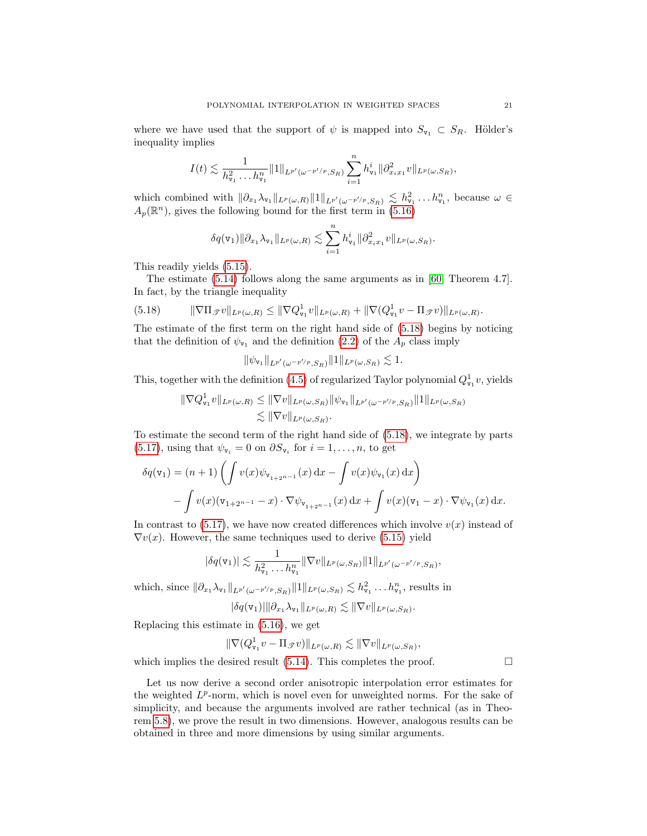where we have used that the support of  $\psi$  is mapped into  $S_{\nu_1} \subset S_R$ . Hölder's inequality implies

$$
I(t) \lesssim \frac{1}{h_{\mathbf{v}_1}^2 \dots h_{\mathbf{v}_1}^n} \|1\|_{L^{p'}(\omega^{-p'/p},S_R)} \sum_{i=1}^n h_{\mathbf{v}_1}^i \|\partial_{x_i x_1}^2 v\|_{L^p(\omega,S_R)},
$$

which combined with  $\|\partial_{x_1}\lambda_{\mathsf{v}_1}\|_{L^p(\omega,R)} \|1\|_{L^{p'}(\omega^{-p'/p},S_R)} \lesssim h_{\mathsf{v}_1}^2 \dots h_{\mathsf{v}_1}^n$ , because  $\omega \in$  $A_p(\mathbb{R}^n)$ , gives the following bound for the first term in [\(5.16\)](#page-19-0)

$$
\delta q(\mathbf{v}_1) \|\partial_{x_1} \lambda_{\mathbf{v}_1}\|_{L^p(\omega,R)} \lesssim \sum_{i=1}^n h_{\mathbf{v}_1}^i \|\partial_{x_i x_1}^2 v\|_{L^p(\omega, S_R)}.
$$

This readily yields [\(5.15\)](#page-18-1).

The estimate [\(5.14\)](#page-18-2) follows along the same arguments as in [\[60,](#page-36-8) Theorem 4.7]. In fact, by the triangle inequality

<span id="page-20-0"></span>(5.18) 
$$
\|\nabla \Pi_{\mathscr{T}} v\|_{L^p(\omega,R)} \leq \|\nabla Q^1_{\mathbf{v}_1} v\|_{L^p(\omega,R)} + \|\nabla (Q^1_{\mathbf{v}_1} v - \Pi_{\mathscr{T}} v)\|_{L^p(\omega,R)}.
$$

The estimate of the first term on the right hand side of [\(5.18\)](#page-20-0) begins by noticing that the definition of  $\psi_{\mathbf{v}_1}$  and the definition [\(2.2\)](#page-3-2) of the  $A_p$  class imply

$$
\|\psi_{\mathbf{v}_1}\|_{L^{p'}(\omega^{-p'/p},S_R)}\|1\|_{L^p(\omega,S_R)}\lesssim 1.
$$

This, together with the definition [\(4.5\)](#page-9-0) of regularized Taylor polynomial  $Q_{\text{v}_1}^1 v$ , yields

$$
\|\nabla Q_{\mathbf{v}_1}^1 v\|_{L^p(\omega,R)} \le \|\nabla v\|_{L^p(\omega,S_R)} \|\psi_{\mathbf{v}_1}\|_{L^{p'}(\omega^{-p'/p},S_R)} \|1\|_{L^p(\omega,S_R)}
$$
  

$$
\lesssim \|\nabla v\|_{L^p(\omega,S_R)}.
$$

To estimate the second term of the right hand side of [\(5.18\)](#page-20-0), we integrate by parts [\(5.17\)](#page-19-1), using that  $\psi_{\mathbf{v}_i} = 0$  on  $\partial S_{\mathbf{v}_i}$  for  $i = 1, \ldots, n$ , to get

$$
\delta q(\mathbf{v}_1) = (n+1) \left( \int v(x) \psi_{\mathbf{v}_{1+2^{n-1}}}(x) dx - \int v(x) \psi_{\mathbf{v}_1}(x) dx \right) - \int v(x) (\mathbf{v}_{1+2^{n-1}} - x) \cdot \nabla \psi_{\mathbf{v}_{1+2^{n-1}}}(x) dx + \int v(x) (\mathbf{v}_1 - x) \cdot \nabla \psi_{\mathbf{v}_1}(x) dx.
$$

In contrast to  $(5.17)$ , we have now created differences which involve  $v(x)$  instead of  $\nabla v(x)$ . However, the same techniques used to derive [\(5.15\)](#page-18-1) yield

$$
|\delta q(\mathbf{v}_1)| \lesssim \frac{1}{h_{\mathbf{v}_1}^2 \dots h_{\mathbf{v}_1}^n} \|\nabla v\|_{L^p(\omega, S_R)} \|1\|_{L^{p'}(\omega^{-p'/p}, S_R)},
$$

which, since  $\|\partial_{x_1}\lambda_{\mathbf{v}_1}\|_{L^{p'}(\omega^{-p'/p},S_R)} \|1\|_{L^p(\omega,S_R)} \lesssim h_{\mathbf{v}_1}^2 \dots h_{\mathbf{v}_1}^n$ , results in

$$
|\delta q(\mathbf{v}_1)||\partial_{x_1}\lambda_{\mathbf{v}_1}\|_{L^p(\omega,R)} \lesssim \|\nabla v\|_{L^p(\omega,S_R)}.
$$

Replacing this estimate in [\(5.16\)](#page-19-0), we get

$$
\|\nabla (Q^1_{\mathtt{v}_1} v - \Pi_{\mathscr{T}} v)\|_{L^p(\omega,\boldsymbol{R})} \lesssim \|\nabla v\|_{L^p(\omega,\boldsymbol{S}_{\boldsymbol{R}})},
$$

which implies the desired result [\(5.14\)](#page-18-2). This completes the proof.  $\Box$ 

Let us now derive a second order anisotropic interpolation error estimates for the weighted  $L^p$ -norm, which is novel even for unweighted norms. For the sake of simplicity, and because the arguments involved are rather technical (as in Theorem [5.8\)](#page-18-3), we prove the result in two dimensions. However, analogous results can be obtained in three and more dimensions by using similar arguments.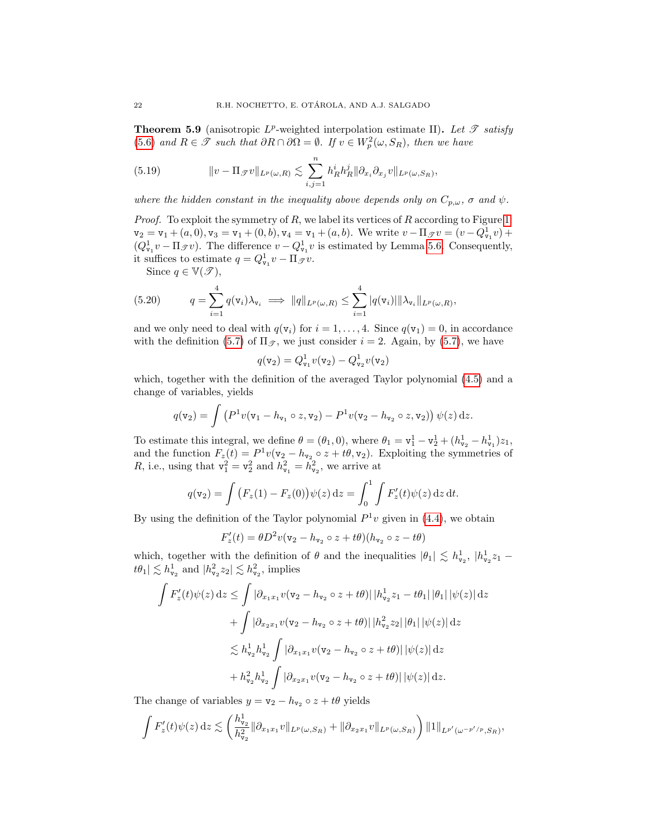**Theorem 5.9** (anisotropic  $L^p$ -weighted interpolation estimate II). Let  $\mathscr T$  satisfy [\(5.6\)](#page-16-0) and  $R \in \mathcal{T}$  such that  $\partial R \cap \partial \Omega = \emptyset$ . If  $v \in W_p^2(\omega, S_R)$ , then we have

<span id="page-21-1"></span>(5.19) 
$$
\|v - \Pi_{\mathscr{T}}v\|_{L^p(\omega,R)} \lesssim \sum_{i,j=1}^n h_R^i h_R^j \|\partial_{x_i}\partial_{x_j}v\|_{L^p(\omega,S_R)},
$$

where the hidden constant in the inequality above depends only on  $C_{p,\omega}$ ,  $\sigma$  and  $\psi$ .

*Proof.* To exploit the symmetry of  $R$ , we label its vertices of  $R$  according to Figure [1:](#page-18-0)  $v_2 = v_1 + (a, 0), v_3 = v_1 + (0, b), v_4 = v_1 + (a, b)$ . We write  $v - \Pi_{\mathscr{T}} v = (v - Q_{v_1}^1 v) +$  $(Q_{\mathbf{v}_1}^1 v - \Pi_{\mathcal{F}} v)$ . The difference  $v - Q_{\mathbf{v}_1}^1 v$  is estimated by Lemma [5.6.](#page-17-3) Consequently, it suffices to estimate  $q = Q_{\nu_1}^1 v - \Pi_{\mathscr{T}} v$ .

<span id="page-21-0"></span>Since  $q \in \mathbb{V}(\mathscr{T})$ ,

(5.20) 
$$
q = \sum_{i=1}^4 q(\mathbf{v}_i) \lambda_{\mathbf{v}_i} \implies ||q||_{L^p(\omega, R)} \leq \sum_{i=1}^4 |q(\mathbf{v}_i)| ||\lambda_{\mathbf{v}_i}||_{L^p(\omega, R)},
$$

and we only need to deal with  $q(v_i)$  for  $i = 1, ..., 4$ . Since  $q(v_1) = 0$ , in accordance with the definition [\(5.7\)](#page-16-1) of  $\Pi_{\mathscr{T}}$ , we just consider  $i = 2$ . Again, by (5.7), we have

$$
q(\mathbf{v}_2) = Q_{\mathbf{v}_1}^1 v(\mathbf{v}_2) - Q_{\mathbf{v}_2}^1 v(\mathbf{v}_2)
$$

which, together with the definition of the averaged Taylor polynomial [\(4.5\)](#page-9-0) and a change of variables, yields

$$
q(\mathbf{v}_2) = \int \left( P^1 v(\mathbf{v}_1 - h_{\mathbf{v}_1} \circ z, \mathbf{v}_2) - P^1 v(\mathbf{v}_2 - h_{\mathbf{v}_2} \circ z, \mathbf{v}_2) \right) \psi(z) dz.
$$

To estimate this integral, we define  $\theta = (\theta_1, 0)$ , where  $\theta_1 = \mathbf{v}_1^1 - \mathbf{v}_2^1 + (h_{\mathbf{v}_2}^1 - h_{\mathbf{v}_1}^1)z_1$ , and the function  $F_z(t) = P^1 v(v_2 - h_{v_2} \circ z + t\theta, v_2)$ . Exploiting the symmetries of R, i.e., using that  $v_1^2 = v_2^2$  and  $h_{v_1}^2 = h_{v_2}^2$ , we arrive at

$$
q(\mathbf{v}_2) = \int (F_z(1) - F_z(0)) \psi(z) dz = \int_0^1 \int F'_z(t) \psi(z) dz dt.
$$

By using the definition of the Taylor polynomial  $P^1v$  given in [\(4.4\)](#page-9-2), we obtain

$$
F'_z(t) = \theta D^2 v(\mathbf{v}_2 - h_{\mathbf{v}_2} \circ z + t\theta)(h_{\mathbf{v}_2} \circ z - t\theta)
$$

which, together with the definition of  $\theta$  and the inequalities  $|\theta_1| \lesssim h_{\nu_2}^1$ ,  $|h_{\nu_2}^1 z_1$  $t\theta_1 \vert \lesssim h^1_{\mathtt{v}_2}$  and  $\vert h^2_{\mathtt{v}_2} z_2 \vert \lesssim h^2_{\mathtt{v}_2}$ , implies

$$
\int F'_z(t)\psi(z) dz \leq \int |\partial_{x_1x_1} v(\mathbf{v}_2 - h_{\mathbf{v}_2} \circ z + t\theta)| |h_{\mathbf{v}_2}^1 z_1 - t\theta_1| |\theta_1| |\psi(z)| dz \n+ \int |\partial_{x_2x_1} v(\mathbf{v}_2 - h_{\mathbf{v}_2} \circ z + t\theta)| |h_{\mathbf{v}_2}^2 z_2| |\theta_1| |\psi(z)| dz \n\lesssim h_{\mathbf{v}_2}^1 h_{\mathbf{v}_2}^1 \int |\partial_{x_1x_1} v(\mathbf{v}_2 - h_{\mathbf{v}_2} \circ z + t\theta)| |\psi(z)| dz \n+ h_{\mathbf{v}_2}^2 h_{\mathbf{v}_2}^1 \int |\partial_{x_2x_1} v(\mathbf{v}_2 - h_{\mathbf{v}_2} \circ z + t\theta)| |\psi(z)| dz.
$$

The change of variables  $y = v_2 - h_{v_2} \circ z + t\theta$  yields

$$
\int F'_{z}(t)\psi(z) dz \lesssim \left(\frac{h_{\nu_2}^1}{h_{\nu_2}^2} \|\partial_{x_1x_1}v\|_{L^p(\omega,S_R)} + \|\partial_{x_2x_1}v\|_{L^p(\omega,S_R)}\right) \|1\|_{L^{p'}(\omega^{-p'/p},S_R)},
$$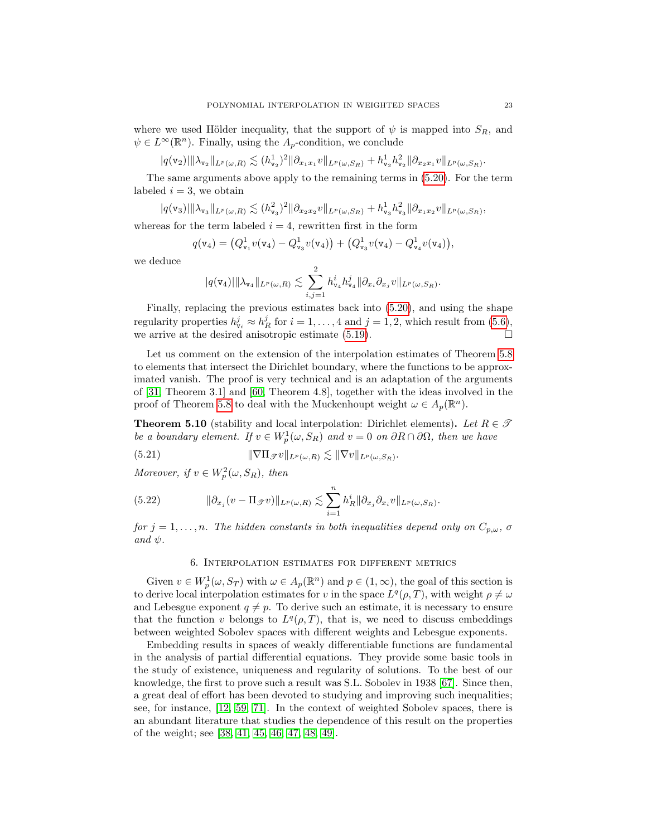where we used Hölder inequality, that the support of  $\psi$  is mapped into  $S_R$ , and  $\psi \in L^{\infty}(\mathbb{R}^n)$ . Finally, using the  $A_p$ -condition, we conclude

 $|q(\textbf{v}_2)| \|\lambda_{\textbf{v}_2}\|_{L^p(\omega,R)} \lesssim (h^1_{\textbf{v}_2})^2 \|\partial_{x_1x_1} v\|_{L^p(\omega,S_R)} + h^1_{\textbf{v}_2}h^2_{\textbf{v}_2}\|\partial_{x_2x_1} v\|_{L^p(\omega,S_R)}.$ 

The same arguments above apply to the remaining terms in [\(5.20\)](#page-21-0). For the term labeled  $i = 3$ , we obtain

$$
|q(\mathbf{v}_3)| \|\lambda_{\mathbf{v}_3}\|_{L^p(\omega,R)} \lesssim (h_{\mathbf{v}_3}^2)^2 \|\partial_{x_2x_2}v\|_{L^p(\omega,S_R)} + h_{\mathbf{v}_3}^1 h_{\mathbf{v}_3}^2 \|\partial_{x_1x_2}v\|_{L^p(\omega,S_R)},
$$

whereas for the term labeled  $i = 4$ , rewritten first in the form

$$
q(\mathbf{v}_4) = (Q_{\mathbf{v}_1}^1 v(\mathbf{v}_4) - Q_{\mathbf{v}_3}^1 v(\mathbf{v}_4)) + (Q_{\mathbf{v}_3}^1 v(\mathbf{v}_4) - Q_{\mathbf{v}_4}^1 v(\mathbf{v}_4)),
$$

we deduce

$$
|q(\mathbf{v}_4)||\lambda_{\mathbf{v}_4}\|_{L^p(\omega,R)} \lesssim \sum_{i,j=1}^2 h_{\mathbf{v}_4}^i h_{\mathbf{v}_4}^j \|\partial_{x_i}\partial_{x_j}v\|_{L^p(\omega,S_R)}.
$$

Finally, replacing the previous estimates back into [\(5.20\)](#page-21-0), and using the shape regularity properties  $h_{\mathbf{v}_i}^j \approx h_R^j$  for  $i = 1, ..., 4$  and  $j = 1, 2$ , which result from [\(5.6\)](#page-16-0), we arrive at the desired anisotropic estimate [\(5.19\)](#page-21-1).  $\Box$ 

Let us comment on the extension of the interpolation estimates of Theorem [5.8](#page-18-3) to elements that intersect the Dirichlet boundary, where the functions to be approximated vanish. The proof is very technical and is an adaptation of the arguments of [\[31,](#page-35-3) Theorem 3.1] and [\[60,](#page-36-8) Theorem 4.8], together with the ideas involved in the proof of Theorem [5.8](#page-18-3) to deal with the Muckenhoupt weight  $\omega \in A_p(\mathbb{R}^n)$ .

<span id="page-22-1"></span>**Theorem 5.10** (stability and local interpolation: Dirichlet elements). Let  $R \in \mathcal{I}$ be a boundary element. If  $v \in W_p^1(\omega, S_R)$  and  $v = 0$  on  $\partial R \cap \partial \Omega$ , then we have

(5.21) 
$$
\|\nabla \Pi_{\mathscr{T}} v\|_{L^p(\omega,R)} \lesssim \|\nabla v\|_{L^p(\omega,S_R)}.
$$

Moreover, if  $v \in W_p^2(\omega, S_R)$ , then

(5.22) 
$$
\|\partial_{x_j}(v - \Pi_{\mathscr{T}}v)\|_{L^p(\omega, R)} \lesssim \sum_{i=1}^n h_R^i \|\partial_{x_j}\partial_{x_i}v\|_{L^p(\omega, S_R)}
$$

for  $j = 1, \ldots, n$ . The hidden constants in both inequalities depend only on  $C_{p,\omega}$ ,  $\sigma$ and  $\psi$ .

.

# 6. Interpolation estimates for different metrics

<span id="page-22-0"></span>Given  $v \in W_p^1(\omega, S_T)$  with  $\omega \in A_p(\mathbb{R}^n)$  and  $p \in (1, \infty)$ , the goal of this section is to derive local interpolation estimates for v in the space  $L^q(\rho,T)$ , with weight  $\rho \neq \omega$ and Lebesgue exponent  $q \neq p$ . To derive such an estimate, it is necessary to ensure that the function v belongs to  $L^q(\rho,T)$ , that is, we need to discuss embeddings between weighted Sobolev spaces with different weights and Lebesgue exponents.

Embedding results in spaces of weakly differentiable functions are fundamental in the analysis of partial differential equations. They provide some basic tools in the study of existence, uniqueness and regularity of solutions. To the best of our knowledge, the first to prove such a result was S.L. Sobolev in 1938 [\[67\]](#page-36-14). Since then, a great deal of effort has been devoted to studying and improving such inequalities; see, for instance, [\[12,](#page-34-8) [59,](#page-36-15) [71\]](#page-37-2). In the context of weighted Sobolev spaces, there is an abundant literature that studies the dependence of this result on the properties of the weight; see [\[38,](#page-35-15) [41,](#page-36-12) [45,](#page-36-16) [46,](#page-36-9) [47,](#page-36-13) [48,](#page-36-17) [49\]](#page-36-5).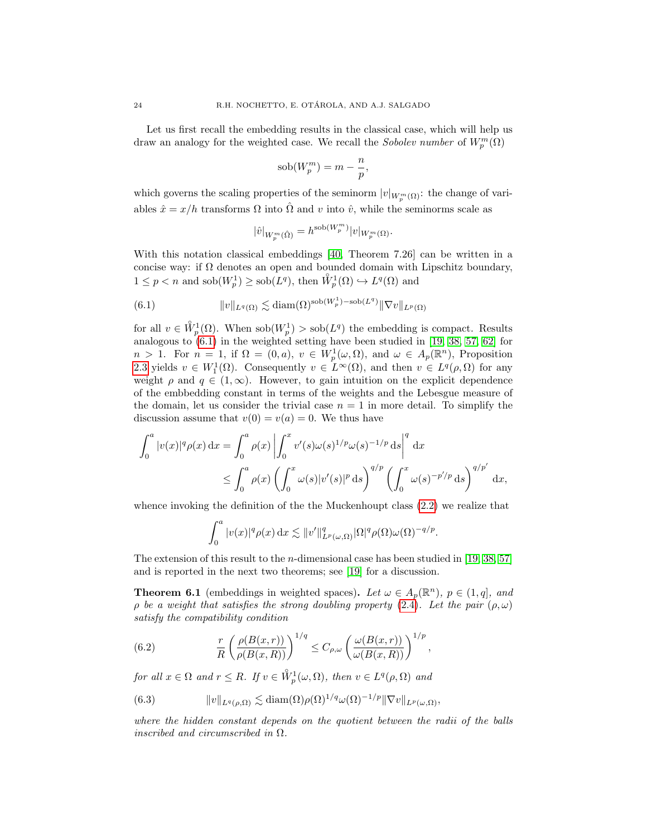Let us first recall the embedding results in the classical case, which will help us draw an analogy for the weighted case. We recall the *Sobolev number* of  $W_p^m(\Omega)$ 

$$
sob(W_p^m) = m - \frac{n}{p},
$$

which governs the scaling properties of the seminorm  $|v|_{W_p^m(\Omega)}$ : the change of variables  $\hat{x} = x/h$  transforms  $\Omega$  into  $\hat{\Omega}$  and  $v$  into  $\hat{v}$ , while the seminorms scale as

<span id="page-23-0"></span>
$$
|\hat{v}|_{W^m_p(\hat{\Omega})}=h^{\mathrm{sob}(W^m_p)}|v|_{W^m_p(\Omega)}.
$$

With this notation classical embeddings [\[40,](#page-36-18) Theorem 7.26] can be written in a concise way: if  $\Omega$  denotes an open and bounded domain with Lipschitz boundary,  $1 \leq p < n$  and  $\operatorname{sob}(W_p^1) \geq \operatorname{sob}(L^q)$ , then  $\overset{\circ}{W}_p^1(\Omega) \hookrightarrow L^q(\Omega)$  and

(6.1) 
$$
||v||_{L^{q}(\Omega)} \lesssim \text{diam}(\Omega)^{\text{sob}(W_p^1) - \text{sob}(L^q)} ||\nabla v||_{L^p(\Omega)}
$$

for all  $v \in \overset{\circ}{W}_{p}^{1}(\Omega)$ . When  $\text{sob}(W_{p}^{1}) > \text{sob}(L^{q})$  the embedding is compact. Results analogous to  $(6.1)$  in the weighted setting have been studied in [\[19,](#page-35-17) [38,](#page-35-15) [57,](#page-36-19) [62\]](#page-36-20) for  $n > 1$ . For  $n = 1$ , if  $\Omega = (0, a)$ ,  $v \in W_p^1(\omega, \Omega)$ , and  $\omega \in A_p(\mathbb{R}^n)$ , Proposition [2.3](#page-5-1) yields  $v \in W_1^1(\Omega)$ . Consequently  $v \in L^{\infty}(\Omega)$ , and then  $v \in L^q(\rho, \Omega)$  for any weight  $\rho$  and  $q \in (1,\infty)$ . However, to gain intuition on the explicit dependence of the embbedding constant in terms of the weights and the Lebesgue measure of the domain, let us consider the trivial case  $n = 1$  in more detail. To simplify the discussion assume that  $v(0) = v(a) = 0$ . We thus have

$$
\int_0^a |v(x)|^q \rho(x) dx = \int_0^a \rho(x) \left| \int_0^x v'(s) \omega(s)^{1/p} \omega(s)^{-1/p} ds \right|^q dx
$$
  

$$
\leq \int_0^a \rho(x) \left( \int_0^x \omega(s) |v'(s)|^p ds \right)^{q/p} \left( \int_0^x \omega(s)^{-p'/p} ds \right)^{q/p'} dx,
$$

whence invoking the definition of the the Muckenhoupt class [\(2.2\)](#page-3-2) we realize that

$$
\int_0^a |v(x)|^q \rho(x) dx \lesssim ||v'||_{L^p(\omega,\Omega)}^q |\Omega|^q \rho(\Omega) \omega(\Omega)^{-q/p}.
$$

The extension of this result to the *n*-dimensional case has been studied in [\[19,](#page-35-17) [38,](#page-35-15) [57\]](#page-36-19) and is reported in the next two theorems; see [\[19\]](#page-35-17) for a discussion.

<span id="page-23-3"></span>**Theorem 6.1** (embeddings in weighted spaces). Let  $\omega \in A_p(\mathbb{R}^n)$ ,  $p \in (1, q]$ , and ρ be a weight that satisfies the strong doubling property [\(2.4\)](#page-4-6). Let the pair  $(ρ, ω)$ satisfy the compatibility condition

<span id="page-23-2"></span>(6.2) 
$$
\frac{r}{R} \left( \frac{\rho(B(x,r))}{\rho(B(x,R))} \right)^{1/q} \leq C_{\rho,\omega} \left( \frac{\omega(B(x,r))}{\omega(B(x,R))} \right)^{1/p},
$$

for all  $x \in \Omega$  and  $r \leq R$ . If  $v \in \overset{\circ}{W}_p^1(\omega, \Omega)$ , then  $v \in L^q(\rho, \Omega)$  and

<span id="page-23-1"></span>(6.3) 
$$
||v||_{L^q(\rho,\Omega)} \lesssim \text{diam}(\Omega)\rho(\Omega)^{1/q} \omega(\Omega)^{-1/p} ||\nabla v||_{L^p(\omega,\Omega)},
$$

where the hidden constant depends on the quotient between the radii of the balls inscribed and circumscribed in  $\Omega$ .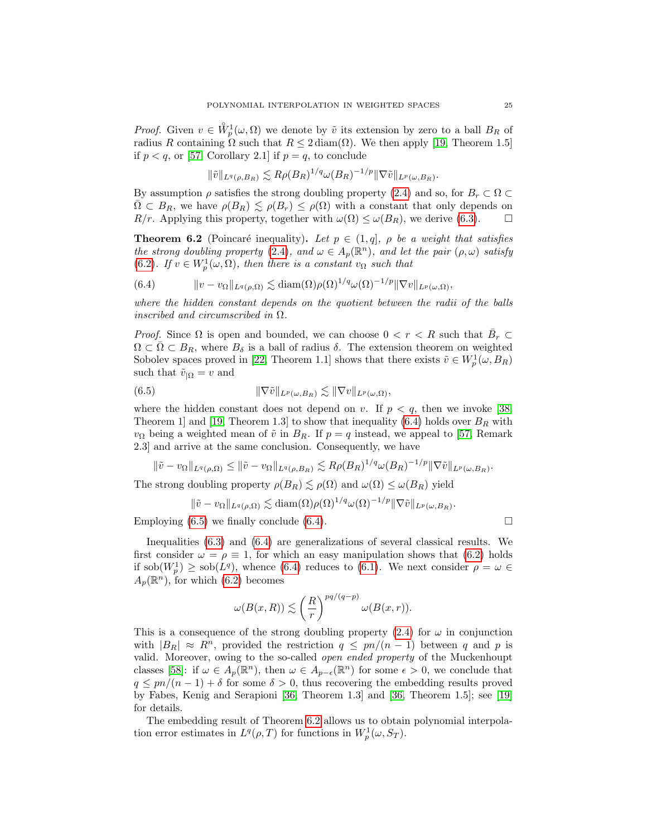*Proof.* Given  $v \in \mathring{W}_p^1(\omega, \Omega)$  we denote by  $\tilde{v}$  its extension by zero to a ball  $B_R$  of radius R containing  $\Omega$  such that  $R \leq 2 \text{ diam}(\Omega)$ . We then apply [\[19,](#page-35-17) Theorem 1.5] if  $p < q$ , or [\[57,](#page-36-19) Corollary 2.1] if  $p = q$ , to conclude

$$
\|\tilde{v}\|_{L^q(\rho,B_R)} \lesssim R\rho(B_R)^{1/q} \omega(B_R)^{-1/p} \|\nabla \tilde{v}\|_{L^p(\omega,B_R)}.
$$

By assumption  $\rho$  satisfies the strong doubling property [\(2.4\)](#page-4-6) and so, for  $B_r \subset \Omega$  $\bar{\Omega} \subset B_R$ , we have  $\rho(B_R) \leq \rho(B_r) \leq \rho(\Omega)$  with a constant that only depends on  $R/r$ . Applying this property, together with  $\omega(\Omega) \leq \omega(B_R)$ , we derive [\(6.3\)](#page-23-1).  $\Box$ 

<span id="page-24-2"></span>**Theorem 6.2** (Poincaré inequality). Let  $p \in (1, q]$ ,  $\rho$  be a weight that satisfies the strong doubling property [\(2.4\)](#page-4-6), and  $\omega \in A_p(\mathbb{R}^n)$ , and let the pair  $(\rho, \omega)$  satisfy [\(6.2\)](#page-23-2). If  $v \in W_p^1(\omega, \Omega)$ , then there is a constant  $v_{\Omega}$  such that

<span id="page-24-0"></span>(6.4) 
$$
\|v - v_{\Omega}\|_{L^q(\rho,\Omega)} \lesssim \text{diam}(\Omega) \rho(\Omega)^{1/q} \omega(\Omega)^{-1/p} \|\nabla v\|_{L^p(\omega,\Omega)},
$$

where the hidden constant depends on the quotient between the radii of the balls inscribed and circumscribed in  $\Omega$ .

*Proof.* Since  $\Omega$  is open and bounded, we can choose  $0 < r < R$  such that  $\bar{B}_r \subset$  $\Omega \subset \overline{\Omega} \subset B_R$ , where  $B_\delta$  is a ball of radius  $\delta$ . The extension theorem on weighted Sobolev spaces proved in [\[22,](#page-35-18) Theorem 1.1] shows that there exists  $\tilde{v} \in W_p^1(\omega, B_R)$ such that  $\tilde{v}_{|\Omega} = v$  and

<span id="page-24-1"></span>(6.5) 
$$
\|\nabla \tilde{v}\|_{L^p(\omega, B_R)} \lesssim \|\nabla v\|_{L^p(\omega, \Omega)},
$$

where the hidden constant does not depend on v. If  $p < q$ , then we invoke [\[38,](#page-35-15) Theorem 1] and [\[19,](#page-35-17) Theorem 1.3] to show that inequality [\(6.4\)](#page-24-0) holds over  $B_R$  with  $v_{\Omega}$  being a weighted mean of  $\tilde{v}$  in  $B_R$ . If  $p = q$  instead, we appeal to [\[57,](#page-36-19) Remark 2.3] and arrive at the same conclusion. Consequently, we have

$$
\|\tilde{v}-v_{\Omega}\|_{L^q(\rho,\Omega)} \le \|\tilde{v}-v_{\Omega}\|_{L^q(\rho,B_R)} \lesssim R\rho(B_R)^{1/q} \omega(B_R)^{-1/p} \|\nabla \tilde{v}\|_{L^p(\omega,B_R)}.
$$

The strong doubling property  $\rho(B_R) \lesssim \rho(\Omega)$  and  $\omega(\Omega) \leq \omega(B_R)$  yield

$$
\|\tilde{v} - v_{\Omega}\|_{L^q(\rho,\Omega)} \lesssim \text{diam}(\Omega) \rho(\Omega)^{1/q} \omega(\Omega)^{-1/p} \|\nabla \tilde{v}\|_{L^p(\omega,B_R)}
$$

Employing  $(6.5)$  we finally conclude  $(6.4)$ .

Inequalities [\(6.3\)](#page-23-1) and [\(6.4\)](#page-24-0) are generalizations of several classical results. We first consider  $\omega = \rho \equiv 1$ , for which an easy manipulation shows that [\(6.2\)](#page-23-2) holds if sob $(W_p^1) \geq$  sob $(L^q)$ , whence [\(6.4\)](#page-24-0) reduces to [\(6.1\)](#page-23-0). We next consider  $\rho = \omega \in$  $A_p(\mathbb{R}^n)$ , for which [\(6.2\)](#page-23-2) becomes

$$
\omega(B(x,R))\lesssim \left(\frac{R}{r}\right)^{pq/(q-p)}\omega(B(x,r)).
$$

This is a consequence of the strong doubling property [\(2.4\)](#page-4-6) for  $\omega$  in conjunction with  $|B_R| \approx R^n$ , provided the restriction  $q \leq pn/(n-1)$  between q and p is valid. Moreover, owing to the so-called open ended property of the Muckenhoupt classes [\[58\]](#page-36-4): if  $\omega \in A_p(\mathbb{R}^n)$ , then  $\omega \in A_{p-\epsilon}(\mathbb{R}^n)$  for some  $\epsilon > 0$ , we conclude that  $q \leq pn/(n-1) + \delta$  for some  $\delta > 0$ , thus recovering the embedding results proved by Fabes, Kenig and Serapioni [\[36,](#page-35-8) Theorem 1.3] and [\[36,](#page-35-8) Theorem 1.5]; see [\[19\]](#page-35-17) for details.

The embedding result of Theorem [6.2](#page-24-2) allows us to obtain polynomial interpolation error estimates in  $L^q(\rho,T)$  for functions in  $W_p^1(\omega, S_T)$ .

.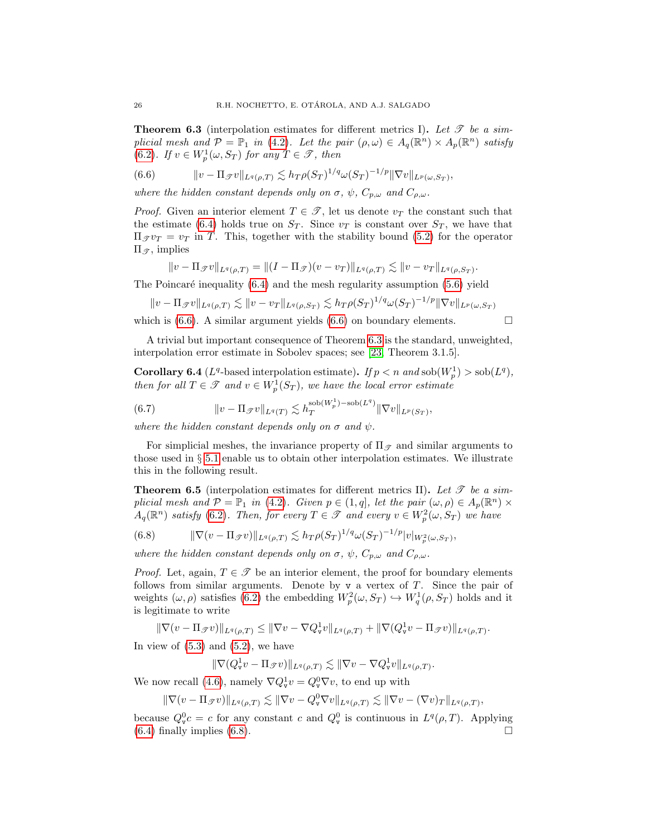<span id="page-25-1"></span>**Theorem 6.3** (interpolation estimates for different metrics I). Let  $\mathscr T$  be a simplicial mesh and  $\mathcal{P} = \mathbb{P}_1$  in [\(4.2\)](#page-8-3). Let the pair  $(\rho, \omega) \in A_q(\mathbb{R}^n) \times A_p(\mathbb{R}^n)$  satisfy [\(6.2\)](#page-23-2). If  $v \in W_p^1(\omega, S_T)$  for any  $T \in \mathscr{T}$ , then

<span id="page-25-0"></span>(6.6) 
$$
\|v - \Pi_{\mathscr{T}}v\|_{L^q(\rho,T)} \lesssim h_T \rho(S_T)^{1/q} \omega(S_T)^{-1/p} \|\nabla v\|_{L^p(\omega,S_T)},
$$

where the hidden constant depends only on  $\sigma$ ,  $\psi$ ,  $C_{p,\omega}$  and  $C_{\rho,\omega}$ .

*Proof.* Given an interior element  $T \in \mathcal{T}$ , let us denote  $v_T$  the constant such that the estimate [\(6.4\)](#page-24-0) holds true on  $S_T$ . Since  $v_T$  is constant over  $S_T$ , we have that  $\Pi_{\mathcal{F}} v_T = v_T$  in T. This, together with the stability bound [\(5.2\)](#page-14-2) for the operator  $\Pi_{\mathscr{T}}$ , implies

$$
||v - \Pi_{\mathscr{T}}v||_{L^q(\rho,T)} = ||(I - \Pi_{\mathscr{T}})(v - v_T)||_{L^q(\rho,T)} \lesssim ||v - v_T||_{L^q(\rho,S_T)}.
$$

The Poincaré inequality  $(6.4)$  and the mesh regularity assumption  $(5.6)$  yield

$$
||v - \Pi_{\mathscr{T}}v||_{L^q(\rho,T)} \lesssim ||v - v_T||_{L^q(\rho,S_T)} \lesssim h_T \rho(S_T)^{1/q} \omega(S_T)^{-1/p} ||\nabla v||_{L^p(\omega,S_T)}
$$

which is [\(6.6\)](#page-25-0). A similar argument yields (6.6) on boundary elements.  $\Box$ 

A trivial but important consequence of Theorem [6.3](#page-25-1) is the standard, unweighted, interpolation error estimate in Sobolev spaces; see [\[23,](#page-35-11) Theorem 3.1.5].

**Corollary 6.4** ( $L^q$ -based interpolation estimate). If  $p < n$  and  $sob(W_p^1) > sob(L^q)$ , then for all  $T \in \mathcal{T}$  and  $v \in W_p^1(S_T)$ , we have the local error estimate

(6.7) 
$$
\|v - \Pi_{\mathscr{T}}v\|_{L^q(T)} \lesssim h_T^{\text{sob}(W_p^1) - \text{sob}(L^q)} \|\nabla v\|_{L^p(S_T)},
$$

where the hidden constant depends only on  $\sigma$  and  $\psi$ .

For simplicial meshes, the invariance property of  $\Pi_{\mathscr{T}}$  and similar arguments to those used in  $\S 5.1$  $\S 5.1$  enable us to obtain other interpolation estimates. We illustrate this in the following result.

<span id="page-25-3"></span>**Theorem 6.5** (interpolation estimates for different metrics II). Let  $\mathscr T$  be a simplicial mesh and  $P = \mathbb{P}_1$  in [\(4.2\)](#page-8-3). Given  $p \in (1, q]$ , let the pair  $(\omega, \rho) \in A_p(\mathbb{R}^n) \times$  $A_q(\mathbb{R}^n)$  satisfy [\(6.2\)](#page-23-2). Then, for every  $T \in \mathscr{T}$  and every  $v \in W_p^2(\omega, S_T)$  we have

<span id="page-25-2"></span>(6.8) 
$$
\|\nabla (v - \Pi_{\mathcal{F}}v)\|_{L^q(\rho,T)} \lesssim h_T \rho(S_T)^{1/q} \omega(S_T)^{-1/p} |v|_{W_p^2(\omega,S_T)},
$$

where the hidden constant depends only on  $\sigma$ ,  $\psi$ ,  $C_{p,\omega}$  and  $C_{\rho,\omega}$ .

*Proof.* Let, again,  $T \in \mathcal{T}$  be an interior element, the proof for boundary elements follows from similar arguments. Denote by  $v$  a vertex of  $T$ . Since the pair of weights  $(\omega, \rho)$  satisfies [\(6.2\)](#page-23-2) the embedding  $W_p^2(\omega, S_T) \hookrightarrow W_q^1(\rho, S_T)$  holds and it is legitimate to write

$$
\|\nabla(v-\Pi_{\mathscr{T}}v)\|_{L^q(\rho,T)}\leq \|\nabla v-\nabla Q^1_\mathbf{v}v\|_{L^q(\rho,T)}+\|\nabla (Q^1_\mathbf{v}v-\Pi_{\mathscr{T}}v)\|_{L^q(\rho,T)}.
$$

In view of  $(5.3)$  and  $(5.2)$ , we have

$$
\|\nabla (Q_{\mathtt{v}}^1 v - \Pi_{\mathscr{T}} v)\|_{L^q(\rho,T)} \lesssim \|\nabla v - \nabla Q_{\mathtt{v}}^1 v\|_{L^q(\rho,T)}.
$$

We now recall [\(4.6\)](#page-10-0), namely  $\nabla Q_{\mathbf{v}}^1 v = Q_{\mathbf{v}}^0 \nabla v$ , to end up with

$$
\|\nabla(v - \Pi_{\mathscr{T}}v)\|_{L^q(\rho,T)} \lesssim \|\nabla v - Q_{\mathtt{v}}^0 \nabla v\|_{L^q(\rho,T)} \lesssim \|\nabla v - (\nabla v)_T\|_{L^q(\rho,T)},
$$

because  $Q_{\text{v}}^0 c = c$  for any constant c and  $Q_{\text{v}}^0$  is continuous in  $L^q(\rho,T)$ . Applying  $(6.4)$  finally implies  $(6.8)$ .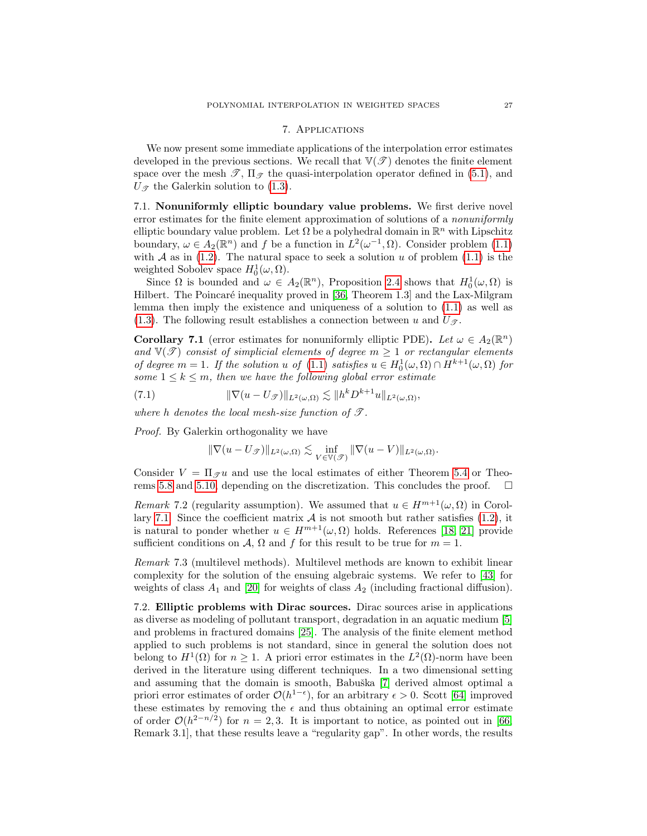# 7. Applications

<span id="page-26-0"></span>We now present some immediate applications of the interpolation error estimates developed in the previous sections. We recall that  $\mathbb{V}(\mathcal{T})$  denotes the finite element space over the mesh  $\mathscr{T}$ ,  $\Pi_{\mathscr{T}}$  the quasi-interpolation operator defined in [\(5.1\)](#page-14-1), and  $U_{\mathscr{T}}$  the Galerkin solution to [\(1.3\)](#page-1-3).

7.1. Nonuniformly elliptic boundary value problems. We first derive novel error estimates for the finite element approximation of solutions of a *nonuniformly* elliptic boundary value problem. Let  $\Omega$  be a polyhedral domain in  $\mathbb{R}^n$  with Lipschitz boundary,  $\omega \in A_2(\mathbb{R}^n)$  and f be a function in  $L^2(\omega^{-1}, \Omega)$ . Consider problem [\(1.1\)](#page-1-0) with  $A$  as in [\(1.2\)](#page-1-1). The natural space to seek a solution  $u$  of problem [\(1.1\)](#page-1-0) is the weighted Sobolev space  $H_0^1(\omega,\Omega)$ .

Since  $\Omega$  is bounded and  $\omega \in A_2(\mathbb{R}^n)$ , Proposition [2.4](#page-6-4) shows that  $H_0^1(\omega,\Omega)$  is Hilbert. The Poincaré inequality proved in [\[36,](#page-35-8) Theorem 1.3] and the Lax-Milgram lemma then imply the existence and uniqueness of a solution to [\(1.1\)](#page-1-0) as well as [\(1.3\)](#page-1-3). The following result establishes a connection between u and  $U_{\mathscr{T}}$ .

<span id="page-26-1"></span>**Corollary 7.1** (error estimates for nonuniformly elliptic PDE). Let  $\omega \in A_2(\mathbb{R}^n)$ and  $\mathbb{V}(\mathcal{T})$  consist of simplicial elements of degree  $m \geq 1$  or rectangular elements of degree  $m = 1$ . If the solution u of  $(1.1)$  satisfies  $u \in H_0^1(\omega, \Omega) \cap H^{k+1}(\omega, \Omega)$  for some  $1 \leq k \leq m$ , then we have the following global error estimate

(7.1) 
$$
\|\nabla(u - U_{\mathcal{F}})\|_{L^2(\omega,\Omega)} \lesssim \|h^k D^{k+1} u\|_{L^2(\omega,\Omega)},
$$

where h denotes the local mesh-size function of  $\mathcal{T}$ .

Proof. By Galerkin orthogonality we have

$$
\|\nabla (u-U_{\mathscr{T}})\|_{L^2(\omega,\Omega)}\lesssim \inf_{V\in\mathbb{V}(\mathscr{T})}\|\nabla (u-V)\|_{L^2(\omega,\Omega)}.
$$

Consider  $V = \Pi_{\mathscr{F}} u$  and use the local estimates of either Theorem [5.4](#page-15-5) or Theo-rems [5.8](#page-18-3) and [5.10,](#page-22-1) depending on the discretization. This concludes the proof.  $\Box$ 

Remark 7.2 (regularity assumption). We assumed that  $u \in H^{m+1}(\omega, \Omega)$  in Corol-lary [7.1.](#page-26-1) Since the coefficient matrix  $A$  is not smooth but rather satisfies [\(1.2\)](#page-1-1), it is natural to ponder whether  $u \in H^{m+1}(\omega, \Omega)$  holds. References [\[18,](#page-35-19) [21\]](#page-35-20) provide sufficient conditions on A,  $\Omega$  and f for this result to be true for  $m = 1$ .

Remark 7.3 (multilevel methods). Multilevel methods are known to exhibit linear complexity for the solution of the ensuing algebraic systems. We refer to [\[43\]](#page-36-21) for weights of class  $A_1$  and [\[20\]](#page-35-21) for weights of class  $A_2$  (including fractional diffusion).

7.2. Elliptic problems with Dirac sources. Dirac sources arise in applications as diverse as modeling of pollutant transport, degradation in an aquatic medium [\[5\]](#page-34-9) and problems in fractured domains [\[25\]](#page-35-6). The analysis of the finite element method applied to such problems is not standard, since in general the solution does not belong to  $H^1(\Omega)$  for  $n \geq 1$ . A priori error estimates in the  $L^2(\Omega)$ -norm have been derived in the literature using different techniques. In a two dimensional setting and assuming that the domain is smooth, Babuška [\[7\]](#page-34-10) derived almost optimal a priori error estimates of order  $\mathcal{O}(h^{1-\epsilon})$ , for an arbitrary  $\epsilon > 0$ . Scott [\[64\]](#page-36-22) improved these estimates by removing the  $\epsilon$  and thus obtaining an optimal error estimate of order  $\mathcal{O}(h^{2-n/2})$  for  $n=2,3$ . It is important to notice, as pointed out in [\[66,](#page-36-23) Remark 3.1], that these results leave a "regularity gap". In other words, the results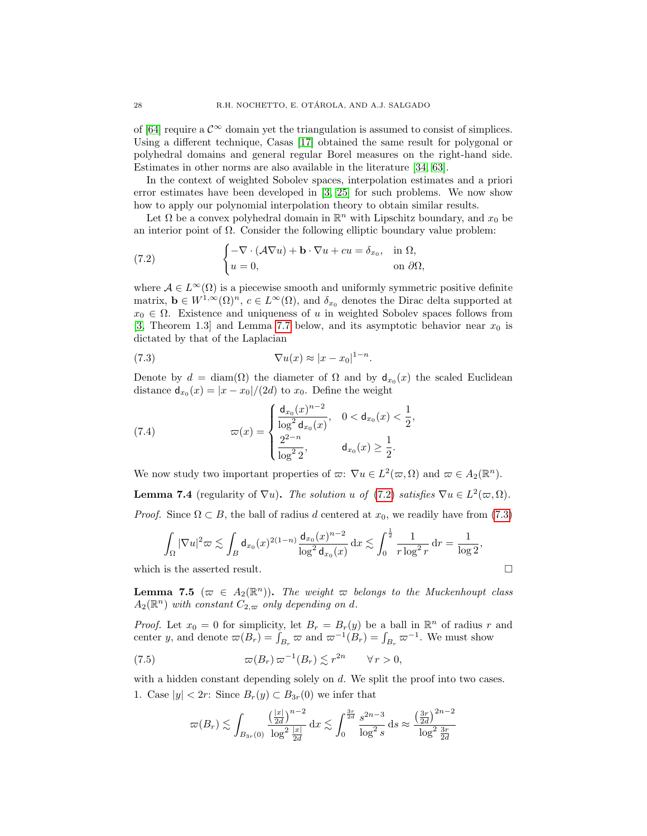of [\[64\]](#page-36-22) require a  $\mathcal{C}^{\infty}$  domain yet the triangulation is assumed to consist of simplices. Using a different technique, Casas [\[17\]](#page-35-22) obtained the same result for polygonal or polyhedral domains and general regular Borel measures on the right-hand side. Estimates in other norms are also available in the literature [\[34,](#page-35-23) [63\]](#page-36-24).

In the context of weighted Sobolev spaces, interpolation estimates and a priori error estimates have been developed in [\[3,](#page-34-1) [25\]](#page-35-6) for such problems. We now show how to apply our polynomial interpolation theory to obtain similar results.

Let  $\Omega$  be a convex polyhedral domain in  $\mathbb{R}^n$  with Lipschitz boundary, and  $x_0$  be an interior point of  $\Omega$ . Consider the following elliptic boundary value problem:

<span id="page-27-0"></span>(7.2) 
$$
\begin{cases} -\nabla \cdot (\mathcal{A} \nabla u) + \mathbf{b} \cdot \nabla u + cu = \delta_{x_0}, & \text{in } \Omega, \\ u = 0, & \text{on } \partial \Omega, \end{cases}
$$

where  $A \in L^{\infty}(\Omega)$  is a piecewise smooth and uniformly symmetric positive definite matrix,  $\mathbf{b} \in W^{1,\infty}(\Omega)^n$ ,  $c \in L^{\infty}(\Omega)$ , and  $\delta_{x_0}$  denotes the Dirac delta supported at  $x_0 \in \Omega$ . Existence and uniqueness of u in weighted Sobolev spaces follows from [\[3,](#page-34-1) Theorem 1.3] and Lemma [7.7](#page-29-0) below, and its asymptotic behavior near  $x_0$  is dictated by that of the Laplacian

<span id="page-27-1"></span>(7.3) 
$$
\nabla u(x) \approx |x - x_0|^{1-n}.
$$

Denote by  $d = \text{diam}(\Omega)$  the diameter of  $\Omega$  and by  $\mathsf{d}_{x_0}(x)$  the scaled Euclidean distance  $d_{x_0}(x) = |x - x_0|/(2d)$  to  $x_0$ . Define the weight

<span id="page-27-3"></span>(7.4) 
$$
\varpi(x) = \begin{cases} \frac{d_{x_0}(x)^{n-2}}{\log^2 d_{x_0}(x)}, & 0 < d_{x_0}(x) < \frac{1}{2}, \\ \frac{2^{2-n}}{\log^2 2}, & d_{x_0}(x) \ge \frac{1}{2}. \end{cases}
$$

We now study two important properties of  $\varpi$ :  $\nabla u \in L^2(\varpi, \Omega)$  and  $\varpi \in A_2(\mathbb{R}^n)$ . **Lemma 7.4** (regularity of  $\nabla u$ ). The solution u of [\(7.2\)](#page-27-0) satisfies  $\nabla u \in L^2(\varpi,\Omega)$ . *Proof.* Since  $\Omega \subset B$ , the ball of radius d centered at  $x_0$ , we readily have from [\(7.3\)](#page-27-1)

$$
\int_{\Omega} |\nabla u|^2 \varpi \lesssim \int_{B} d_{x_0}(x)^{2(1-n)} \frac{d_{x_0}(x)^{n-2}}{\log^2 d_{x_0}(x)} \,dx \lesssim \int_0^{\frac{1}{2}} \frac{1}{r \log^2 r} \,dr = \frac{1}{\log 2},
$$

which is the asserted result.

<span id="page-27-4"></span>**Lemma 7.5** ( $\varpi \in A_2(\mathbb{R}^n)$ ). The weight  $\varpi$  belongs to the Muckenhoupt class  $A_2(\mathbb{R}^n)$  with constant  $C_{2,\varpi}$  only depending on d.

*Proof.* Let  $x_0 = 0$  for simplicity, let  $B_r = B_r(y)$  be a ball in  $\mathbb{R}^n$  of radius r and center y, and denote  $\varpi(B_r) = \int_{B_r} \varpi$  and  $\varpi^{-1}(B_r) = \int_{B_r} \varpi^{-1}$ . We must show

(7.5) 
$$
\varpi(B_r) \varpi^{-1}(B_r) \lesssim r^{2n} \qquad \forall r > 0,
$$

with a hidden constant depending solely on  $d$ . We split the proof into two cases. 1. Case  $|y| < 2r$ : Since  $B_r(y) \subset B_{3r}(0)$  we infer that

<span id="page-27-2"></span>
$$
\varpi(B_r) \lesssim \int_{B_{3r}(0)} \frac{\left(\frac{|x|}{2d}\right)^{n-2}}{\log^2 \frac{|x|}{2d}} dx \lesssim \int_0^{\frac{3r}{2d}} \frac{s^{2n-3}}{\log^2 s} ds \approx \frac{\left(\frac{3r}{2d}\right)^{2n-2}}{\log^2 \frac{3r}{2d}}
$$

$$
\Box
$$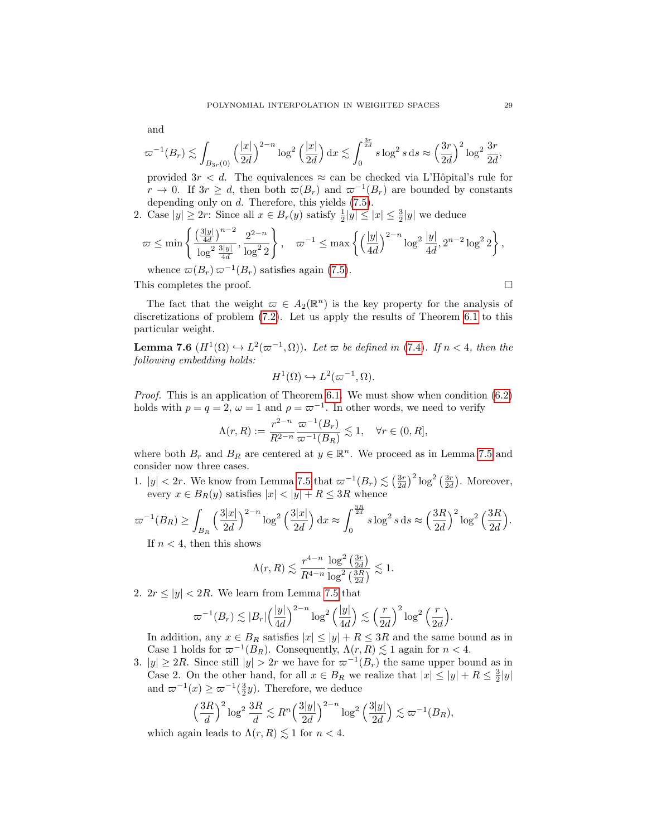and

$$
\varpi^{-1}(B_r) \lesssim \int_{B_{3r}(0)} \left(\frac{|x|}{2d}\right)^{2-n} \log^2\left(\frac{|x|}{2d}\right) dx \lesssim \int_0^{\frac{3r}{2d}} s \log^2 s ds \approx \left(\frac{3r}{2d}\right)^2 \log^2 \frac{3r}{2d},
$$

provided  $3r < d$ . The equivalences  $\approx$  can be checked via L'Hôpital's rule for  $r \to 0$ . If  $3r \geq d$ , then both  $\varpi(B_r)$  and  $\varpi^{-1}(B_r)$  are bounded by constants depending only on d. Therefore, this yields [\(7.5\)](#page-27-2).

2. Case  $|y| \ge 2r$ : Since all  $x \in B_r(y)$  satisfy  $\frac{1}{2}|y| \le |x| \le \frac{3}{2}|y|$  we deduce

$$
\varpi \le \min\left\{ \frac{\left(\frac{3|y|}{4d}\right)^{n-2}}{\log^2 \frac{3|y|}{4d}}, \frac{2^{2-n}}{\log^2 2} \right\}, \quad \varpi^{-1} \le \max\left\{ \left(\frac{|y|}{4d}\right)^{2-n} \log^2 \frac{|y|}{4d}, 2^{n-2} \log^2 2 \right\},\
$$

whence  $\varpi(B_r) \varpi^{-1}(B_r)$  satisfies again [\(7.5\)](#page-27-2).

This completes the proof.

The fact that the weight  $\varpi \in A_2(\mathbb{R}^n)$  is the key property for the analysis of discretizations of problem [\(7.2\)](#page-27-0). Let us apply the results of Theorem [6.1](#page-23-3) to this particular weight.

<span id="page-28-0"></span>**Lemma 7.6**  $(H^1(\Omega) \hookrightarrow L^2(\varpi^{-1}, \Omega))$ . Let  $\varpi$  be defined in [\(7.4\)](#page-27-3). If  $n < 4$ , then the following embedding holds:

$$
H^1(\Omega) \hookrightarrow L^2(\varpi^{-1}, \Omega).
$$

Proof. This is an application of Theorem [6.1.](#page-23-3) We must show when condition [\(6.2\)](#page-23-2) holds with  $p = q = 2$ ,  $\omega = 1$  and  $\rho = \varpi^{-1}$ . In other words, we need to verify

$$
\Lambda(r,R):=\frac{r^{2-n}}{R^{2-n}}\frac{\varpi^{-1}(B_r)}{\varpi^{-1}(B_R)}\lesssim 1,\quad \forall r\in(0,R],
$$

where both  $B_r$  and  $B_R$  are centered at  $y \in \mathbb{R}^n$ . We proceed as in Lemma [7.5](#page-27-4) and consider now three cases.

1.  $|y| < 2r$ . We know from Lemma [7.5](#page-27-4) that  $\varpi^{-1}(B_r) \lesssim \left(\frac{3r}{2d}\right)^2 \log^2\left(\frac{3r}{2d}\right)$ . Moreover, every  $x \in B_R(y)$  satisfies  $|x| < |y| + R \leq 3R$  whence

$$
\varpi^{-1}(B_R) \ge \int_{B_R} \left(\frac{3|x|}{2d}\right)^{2-n} \log^2\left(\frac{3|x|}{2d}\right) dx \approx \int_0^{\frac{3R}{2d}} s \log^2 s ds \approx \left(\frac{3R}{2d}\right)^2 \log^2\left(\frac{3R}{2d}\right).
$$

If  $n < 4$ , then this shows

$$
\Lambda(r,R) \lesssim \frac{r^{4-n}}{R^{4-n}} \frac{\log^2\left(\frac{3r}{2d}\right)}{\log^2\left(\frac{3R}{2d}\right)} \lesssim 1.
$$

2.  $2r \le |y| < 2R$ . We learn from Lemma [7.5](#page-27-4) that

$$
\varpi^{-1}(B_r) \lesssim |B_r| \left(\frac{|y|}{4d}\right)^{2-n} \log^2\left(\frac{|y|}{4d}\right) \lesssim \left(\frac{r}{2d}\right)^2 \log^2\left(\frac{r}{2d}\right).
$$

In addition, any  $x \in B_R$  satisfies  $|x| \le |y| + R \le 3R$  and the same bound as in Case 1 holds for  $\varpi^{-1}(B_R)$ . Consequently,  $\Lambda(r, R) \lesssim 1$  again for  $n < 4$ .

3.  $|y| \geq 2R$ . Since still  $|y| > 2r$  we have for  $\varpi^{-1}(B_r)$  the same upper bound as in Case 2. On the other hand, for all  $x \in B_R$  we realize that  $|x| \le |y| + R \le \frac{3}{2}|y|$ and  $\varpi^{-1}(x) \geq \varpi^{-1}(\frac{3}{2}y)$ . Therefore, we deduce

$$
\left(\frac{3R}{d}\right)^2 \log^2 \frac{3R}{d} \lesssim R^n \left(\frac{3|y|}{2d}\right)^{2-n} \log^2 \left(\frac{3|y|}{2d}\right) \lesssim \varpi^{-1}(B_R),
$$

which again leads to  $\Lambda(r, R) \leq 1$  for  $n < 4$ .

$$
\Box
$$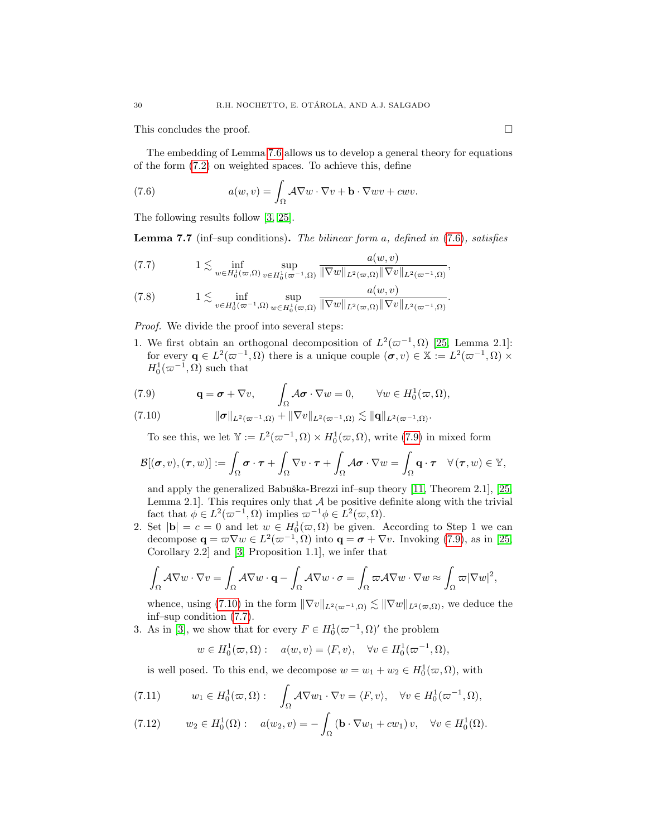This concludes the proof.

The embedding of Lemma [7.6](#page-28-0) allows us to develop a general theory for equations of the form [\(7.2\)](#page-27-0) on weighted spaces. To achieve this, define

<span id="page-29-1"></span>(7.6) 
$$
a(w,v) = \int_{\Omega} A \nabla w \cdot \nabla v + \mathbf{b} \cdot \nabla w v + c w v.
$$

The following results follow [\[3,](#page-34-1) [25\]](#page-35-6).

<span id="page-29-0"></span>**Lemma 7.7** (inf–sup conditions). The bilinear form a, defined in  $(7.6)$ , satisfies

<span id="page-29-4"></span>(7.7) 
$$
1 \lesssim \inf_{w \in H_0^1(\varpi, \Omega)} \sup_{v \in H_0^1(\varpi^{-1}, \Omega)} \frac{a(w, v)}{\|\nabla w\|_{L^2(\varpi, \Omega)} \|\nabla v\|_{L^2(\varpi^{-1}, \Omega)}},
$$

<span id="page-29-7"></span>(7.8) 
$$
1 \lesssim \inf_{v \in H_0^1(\varpi^{-1}, \Omega)} \sup_{w \in H_0^1(\varpi, \Omega)} \frac{a(w, v)}{\|\nabla w\|_{L^2(\varpi, \Omega)} \|\nabla v\|_{L^2(\varpi^{-1}, \Omega)}}.
$$

Proof. We divide the proof into several steps:

1. We first obtain an orthogonal decomposition of  $L^2(\varpi^{-1}, \Omega)$  [\[25,](#page-35-6) Lemma 2.1]: for every  $\mathbf{q} \in L^2(\varpi^{-1}, \Omega)$  there is a unique couple  $(\sigma, v) \in \mathbb{X} := L^2(\varpi^{-1}, \Omega) \times$  $H_0^1(\varpi^{-1}, \Omega)$  such that

<span id="page-29-2"></span>(7.9) 
$$
\mathbf{q} = \boldsymbol{\sigma} + \nabla v, \qquad \int_{\Omega} \mathcal{A} \boldsymbol{\sigma} \cdot \nabla w = 0, \qquad \forall w \in H_0^1(\boldsymbol{\varpi}, \Omega),
$$

<span id="page-29-3"></span>
$$
(7.10) \t\t ||\boldsymbol{\sigma}||_{L^2(\varpi^{-1},\Omega)} + ||\nabla v||_{L^2(\varpi^{-1},\Omega)} \lesssim ||\mathbf{q}||_{L^2(\varpi^{-1},\Omega)}.
$$

To see this, we let  $\mathbb{Y} := L^2(\varpi^{-1}, \Omega) \times H_0^1(\varpi, \Omega)$ , write [\(7.9\)](#page-29-2) in mixed form

$$
\mathcal{B}[(\boldsymbol{\sigma},v),(\boldsymbol{\tau},w)]:=\int_{\Omega}\boldsymbol{\sigma}\cdot\boldsymbol{\tau}+\int_{\Omega}\nabla v\cdot\boldsymbol{\tau}+\int_{\Omega}\mathcal{A}\boldsymbol{\sigma}\cdot\nabla w=\int_{\Omega}\mathbf{q}\cdot\boldsymbol{\tau}\quad\forall(\boldsymbol{\tau},w)\in\mathbb{Y},
$$

and apply the generalized Babuška-Brezzi inf–sup theory  $[11,$  Theorem 2.1],  $[25,$ Lemma 2.1]. This requires only that  $A$  be positive definite along with the trivial fact that  $\phi \in L^2(\varpi^{-1}, \Omega)$  implies  $\varpi^{-1}\phi \in L^2(\varpi, \Omega)$ .

2. Set  $|\mathbf{b}| = c = 0$  and let  $w \in H_0^1(\varpi, \Omega)$  be given. According to Step 1 we can decompose  $\mathbf{q} = \varpi \nabla w \in L^2(\varpi^{-1}, \Omega)$  into  $\mathbf{q} = \boldsymbol{\sigma} + \nabla v$ . Invoking [\(7.9\)](#page-29-2), as in [\[25,](#page-35-6) Corollary 2.2] and [\[3,](#page-34-1) Proposition 1.1], we infer that

$$
\int_{\Omega} \mathcal{A} \nabla w \cdot \nabla v = \int_{\Omega} \mathcal{A} \nabla w \cdot \mathbf{q} - \int_{\Omega} \mathcal{A} \nabla w \cdot \sigma = \int_{\Omega} \varpi \mathcal{A} \nabla w \cdot \nabla w \approx \int_{\Omega} \varpi |\nabla w|^2,
$$

whence, using [\(7.10\)](#page-29-3) in the form  $\|\nabla v\|_{L^2(\varpi^{-1},\Omega)} \lesssim \|\nabla w\|_{L^2(\varpi,\Omega)}$ , we deduce the inf–sup condition [\(7.7\)](#page-29-4).

3. As in [\[3\]](#page-34-1), we show that for every  $F \in H_0^1(\varpi^{-1}, \Omega)'$  the problem

$$
w \in H_0^1(\varpi, \Omega): a(w, v) = \langle F, v \rangle, \quad \forall v \in H_0^1(\varpi^{-1}, \Omega),
$$

is well posed. To this end, we decompose  $w = w_1 + w_2 \in H_0^1(\varpi, \Omega)$ , with

<span id="page-29-5"></span>(7.11) 
$$
w_1 \in H_0^1(\varpi, \Omega): \int_{\Omega} A \nabla w_1 \cdot \nabla v = \langle F, v \rangle, \quad \forall v \in H_0^1(\varpi^{-1}, \Omega),
$$

<span id="page-29-6"></span>(7.12) 
$$
w_2 \in H_0^1(\Omega): \quad a(w_2, v) = -\int_{\Omega} (\mathbf{b} \cdot \nabla w_1 + cw_1) v, \quad \forall v \in H_0^1(\Omega).
$$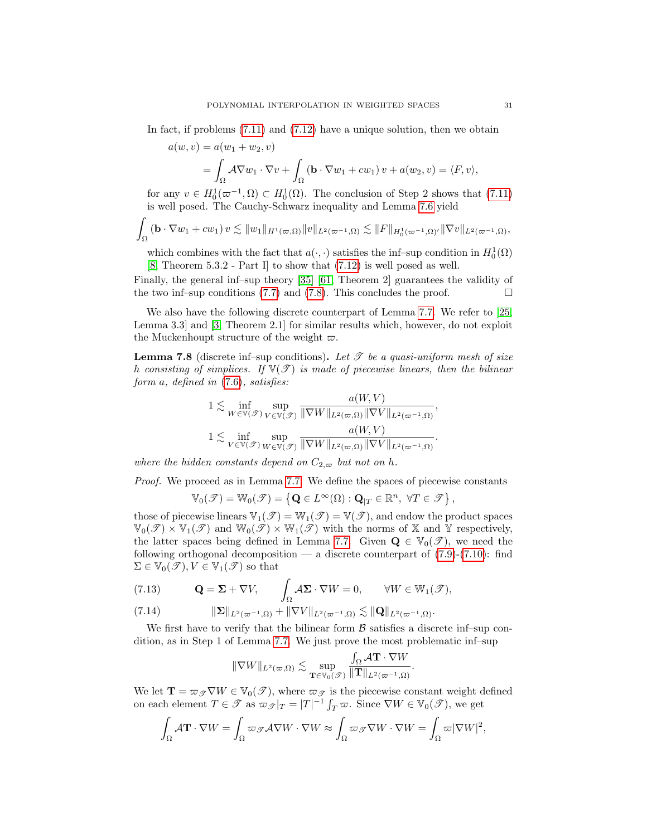In fact, if problems [\(7.11\)](#page-29-5) and [\(7.12\)](#page-29-6) have a unique solution, then we obtain

$$
a(w, v) = a(w_1 + w_2, v)
$$
  
=  $\int_{\Omega} A \nabla w_1 \cdot \nabla v + \int_{\Omega} (\mathbf{b} \cdot \nabla w_1 + cw_1) v + a(w_2, v) = \langle F, v \rangle$ ,

for any  $v \in H_0^1(\varpi^{-1}, \Omega) \subset H_0^1(\Omega)$ . The conclusion of Step 2 shows that [\(7.11\)](#page-29-5) is well posed. The Cauchy-Schwarz inequality and Lemma [7.6](#page-28-0) yield

$$
\int_{\Omega} \left( \mathbf{b} \cdot \nabla w_1 + c w_1 \right) v \lesssim \|w_1\|_{H^1(\varpi, \Omega)} \|v\|_{L^2(\varpi^{-1}, \Omega)} \lesssim \|F\|_{H^1_0(\varpi^{-1}, \Omega)'} \|\nabla v\|_{L^2(\varpi^{-1}, \Omega)},
$$

which combines with the fact that  $a(\cdot, \cdot)$  satisfies the inf–sup condition in  $H_0^1(\Omega)$ [\[8,](#page-34-12) Theorem 5.3.2 - Part I] to show that [\(7.12\)](#page-29-6) is well posed as well.

Finally, the general inf–sup theory [\[35\]](#page-35-24) [\[61,](#page-36-25) Theorem 2] guarantees the validity of the two inf–sup conditions [\(7.7\)](#page-29-4) and [\(7.8\)](#page-29-7). This concludes the proof.  $\Box$ 

We also have the following discrete counterpart of Lemma [7.7.](#page-29-0) We refer to [\[25,](#page-35-6) Lemma 3.3] and [\[3,](#page-34-1) Theorem 2.1] for similar results which, however, do not exploit the Muckenhoupt structure of the weight  $\varpi$ .

<span id="page-30-0"></span>**Lemma 7.8** (discrete inf–sup conditions). Let  $\mathcal{T}$  be a quasi-uniform mesh of size h consisting of simplices. If  $\mathbb{V}(\mathcal{T})$  is made of piecewise linears, then the bilinear form a, defined in [\(7.6\)](#page-29-1), satisfies:

 $\lambda$  -  $\lambda$  -  $\lambda$ 

$$
1 \lesssim \inf_{W \in \mathbb{V}(\mathcal{F})} \sup_{V \in \mathbb{V}(\mathcal{F})} \frac{a(W, V)}{\|\nabla W\|_{L^2(\varpi, \Omega)} \|\nabla V\|_{L^2(\varpi^{-1}, \Omega)}},
$$
  

$$
1 \lesssim \inf_{V \in \mathbb{V}(\mathcal{F})} \sup_{W \in \mathbb{V}(\mathcal{F})} \frac{a(W, V)}{\|\nabla W\|_{L^2(\varpi, \Omega)} \|\nabla V\|_{L^2(\varpi^{-1}, \Omega)}}.
$$

where the hidden constants depend on  $C_{2,\varpi}$  but not on h.

Proof. We proceed as in Lemma [7.7.](#page-29-0) We define the spaces of piecewise constants

$$
\mathbb{V}_0(\mathscr{T}) = \mathbb{W}_0(\mathscr{T}) = \left\{ \mathbf{Q} \in L^\infty(\Omega) : \mathbf{Q}_{|T} \in \mathbb{R}^n, \ \forall T \in \mathscr{T} \right\},\
$$

those of piecewise linears  $\mathbb{V}_1(\mathcal{T}) = \mathbb{W}_1(\mathcal{T}) = \mathbb{V}(\mathcal{T})$ , and endow the product spaces  $\mathbb{V}_0(\mathscr{T}) \times \mathbb{V}_1(\mathscr{T})$  and  $\mathbb{W}_0(\mathscr{T}) \times \mathbb{W}_1(\mathscr{T})$  with the norms of X and Y respectively, the latter spaces being defined in Lemma [7.7.](#page-29-0) Given  $\mathbf{Q} \in \mathbb{V}_0(\mathscr{T})$ , we need the following orthogonal decomposition — a discrete counterpart of  $(7.9)-(7.10)$  $(7.9)-(7.10)$  $(7.9)-(7.10)$ : find  $\Sigma \in \mathbb{V}_0(\mathscr{T}), V \in \mathbb{V}_1(\mathscr{T})$  so that

(7.13) 
$$
\mathbf{Q} = \mathbf{\Sigma} + \nabla V, \qquad \int_{\Omega} A\mathbf{\Sigma} \cdot \nabla W = 0, \qquad \forall W \in \mathbb{W}_{1}(\mathscr{T}),
$$

$$
(7.14) \t\t\t\t||\boldsymbol{\Sigma}||_{L^2(\varpi^{-1},\Omega)} + ||\nabla V||_{L^2(\varpi^{-1},\Omega)} \lesssim ||\mathbf{Q}||_{L^2(\varpi^{-1},\Omega)}.
$$

We first have to verify that the bilinear form  $\beta$  satisfies a discrete inf–sup condition, as in Step 1 of Lemma [7.7.](#page-29-0) We just prove the most problematic inf–sup

$$
\|\nabla W\|_{L^2(\varpi,\Omega)} \lesssim \sup_{\mathbf{T}\in\mathbb{V}_0(\mathscr{T})} \frac{\int_\Omega \mathcal{A}\mathbf{T}\cdot \nabla W}{\|\mathbf{T}\|_{L^2(\varpi^{-1},\Omega)}}.
$$

We let  $\mathbf{T} = \varpi_{\mathscr{T}} \nabla W \in V_0(\mathscr{T})$ , where  $\varpi_{\mathscr{T}}$  is the piecewise constant weight defined on each element  $T \in \mathscr{T}$  as  $\varpi_{\mathscr{T}} |_{T} = |T|^{-1} \int_{T} \varpi$ . Since  $\nabla W \in \mathbb{V}_{0}(\mathscr{T})$ , we get

$$
\int_{\Omega} \mathcal{A} \mathbf{T} \cdot \nabla W = \int_{\Omega} \varpi_{\mathscr{T}} \mathcal{A} \nabla W \cdot \nabla W \approx \int_{\Omega} \varpi_{\mathscr{T}} \nabla W \cdot \nabla W = \int_{\Omega} \varpi |\nabla W|^2,
$$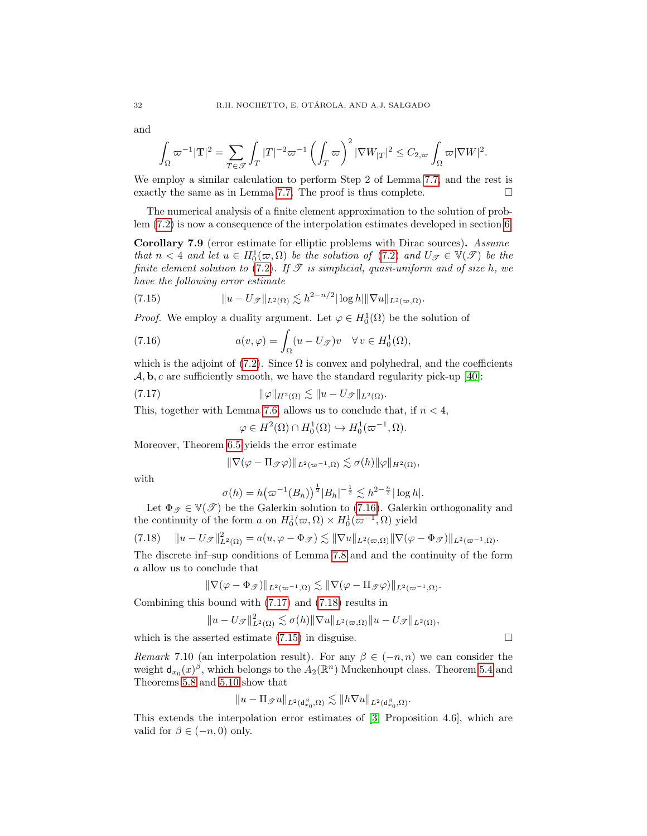and

$$
\int_{\Omega} \varpi^{-1} |\mathbf{T}|^2 = \sum_{T \in \mathcal{T}} \int_T |T|^{-2} \varpi^{-1} \left( \int_T \varpi \right)^2 |\nabla W_{|T}|^2 \leq C_{2, \varpi} \int_{\Omega} \varpi |\nabla W|^2.
$$

We employ a similar calculation to perform Step 2 of Lemma [7.7,](#page-29-0) and the rest is exactly the same as in Lemma [7.7.](#page-29-0) The proof is thus complete.  $\Box$ 

The numerical analysis of a finite element approximation to the solution of problem [\(7.2\)](#page-27-0) is now a consequence of the interpolation estimates developed in section [6.](#page-22-0)

Corollary 7.9 (error estimate for elliptic problems with Dirac sources). Assume that  $n < 4$  and let  $u \in H_0^1(\varpi, \Omega)$  be the solution of  $(7.2)$  and  $U_{\mathscr{T}} \in V(\mathscr{T})$  be the finite element solution to [\(7.2\)](#page-27-0). If  $\mathscr T$  is simplicial, quasi-uniform and of size h, we have the following error estimate

<span id="page-31-3"></span>(7.15) 
$$
\|u - U_{\mathcal{F}}\|_{L^2(\Omega)} \lesssim h^{2-n/2} |\log h| \|\nabla u\|_{L^2(\varpi,\Omega)}.
$$

*Proof.* We employ a duality argument. Let  $\varphi \in H_0^1(\Omega)$  be the solution of

(7.16) 
$$
a(v,\varphi) = \int_{\Omega} (u - U_{\mathscr{T}})v \quad \forall v \in H_0^1(\Omega),
$$

which is the adjoint of [\(7.2\)](#page-27-0). Since  $\Omega$  is convex and polyhedral, and the coefficients  $\mathcal{A}, \mathbf{b}, c$  are sufficiently smooth, we have the standard regularity pick-up [\[40\]](#page-36-18):

(7.17) 
$$
\|\varphi\|_{H^2(\Omega)} \lesssim \|u - U_{\mathscr{T}}\|_{L^2(\Omega)}.
$$

This, together with Lemma [7.6,](#page-28-0) allows us to conclude that, if  $n < 4$ ,

<span id="page-31-1"></span><span id="page-31-0"></span>
$$
\varphi \in H^2(\Omega) \cap H_0^1(\Omega) \hookrightarrow H_0^1(\varpi^{-1}, \Omega).
$$

Moreover, Theorem [6.5](#page-25-3) yields the error estimate

$$
\|\nabla(\varphi - \Pi_{\mathscr{T}}\varphi)\|_{L^2(\varpi^{-1},\Omega)} \lesssim \sigma(h)\|\varphi\|_{H^2(\Omega)},
$$

with

$$
\sigma(h) = h(\varpi^{-1}(B_h))^{\frac{1}{2}}|B_h|^{-\frac{1}{2}} \lesssim h^{2-\frac{n}{2}}|\log h|.
$$

Let  $\Phi_{\mathscr{T}} \in \mathbb{V}(\mathscr{T})$  be the Galerkin solution to [\(7.16\)](#page-31-0). Galerkin orthogonality and the continuity of the form  $a$  on  $H_0^1(\varpi, \Omega) \times H_0^1(\varpi^{-1}, \Omega)$  yield

<span id="page-31-2"></span>
$$
(7.18) \t\t ||u - U_{\mathscr{T}}||_{L^{2}(\Omega)}^{2} = a(u, \varphi - \Phi_{\mathscr{T}}) \lesssim ||\nabla u||_{L^{2}(\varpi,\Omega)} ||\nabla(\varphi - \Phi_{\mathscr{T}})||_{L^{2}(\varpi^{-1},\Omega)}.
$$

The discrete inf–sup conditions of Lemma [7.8](#page-30-0) and and the continuity of the form a allow us to conclude that

$$
\|\nabla(\varphi-\Phi_{\mathscr{T}})\|_{L^2(\varpi^{-1},\Omega)}\lesssim \|\nabla(\varphi-\Pi_{\mathscr{T}}\varphi)\|_{L^2(\varpi^{-1},\Omega)}.
$$

Combining this bound with [\(7.17\)](#page-31-1) and [\(7.18\)](#page-31-2) results in

$$
||u - U_{\mathscr{F}}||_{L^2(\Omega)}^2 \lesssim \sigma(h) ||\nabla u||_{L^2(\varpi,\Omega)} ||u - U_{\mathscr{F}}||_{L^2(\Omega)},
$$

which is the asserted estimate  $(7.15)$  in disguise.

Remark 7.10 (an interpolation result). For any  $\beta \in (-n, n)$  we can consider the weight  $d_{x_0}(x)^\beta$ , which belongs to the  $A_2(\mathbb{R}^n)$  Muckenhoupt class. Theorem [5.4](#page-15-5) and Theorems [5.8](#page-18-3) and [5.10](#page-22-1) show that

$$
\|u-\Pi_{\mathscr{T}} u\|_{L^2(\text{d}_{x_0}^\beta,\Omega)}\lesssim \|h\nabla u\|_{L^2(\text{d}_{x_0}^\beta,\Omega)}.
$$

This extends the interpolation error estimates of [\[3,](#page-34-1) Proposition 4.6], which are valid for  $\beta \in (-n, 0)$  only.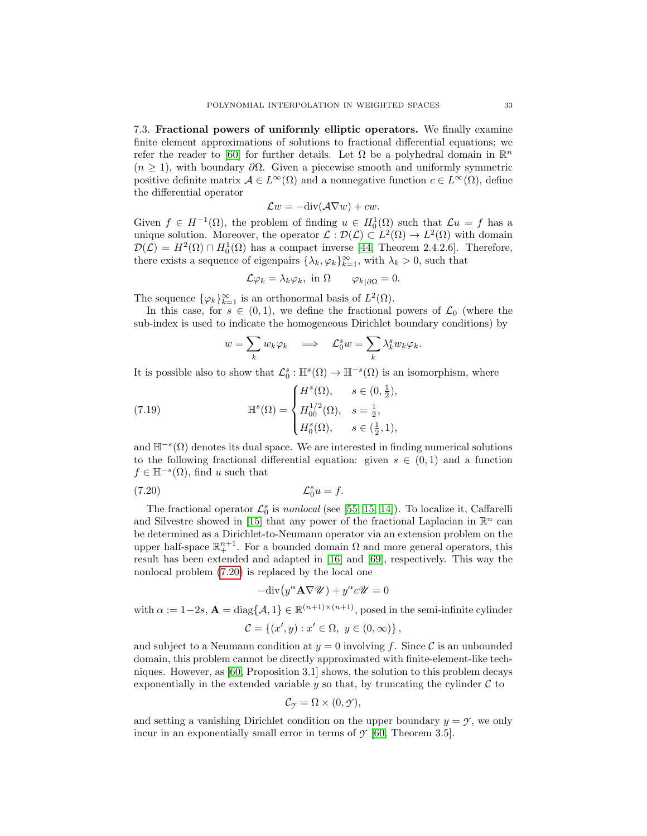7.3. Fractional powers of uniformly elliptic operators. We finally examine finite element approximations of solutions to fractional differential equations; we refer the reader to [\[60\]](#page-36-8) for further details. Let  $\Omega$  be a polyhedral domain in  $\mathbb{R}^n$  $(n \geq 1)$ , with boundary  $\partial \Omega$ . Given a piecewise smooth and uniformly symmetric positive definite matrix  $A \in L^{\infty}(\Omega)$  and a nonnegative function  $c \in L^{\infty}(\Omega)$ , define the differential operator

$$
\mathcal{L}w = -\text{div}(\mathcal{A}\nabla w) + cw.
$$

Given  $f \in H^{-1}(\Omega)$ , the problem of finding  $u \in H_0^1(\Omega)$  such that  $\mathcal{L}u = f$  has a unique solution. Moreover, the operator  $\mathcal{L}: \mathcal{D}(\mathcal{L}) \subset L^2(\Omega) \to L^2(\Omega)$  with domain  $\mathcal{D}(\mathcal{L}) = H^2(\Omega) \cap H_0^1(\Omega)$  has a compact inverse [\[44,](#page-36-26) Theorem 2.4.2.6]. Therefore, there exists a sequence of eigenpairs  $\{\lambda_k, \varphi_k\}_{k=1}^{\infty}$ , with  $\lambda_k > 0$ , such that

$$
\mathcal{L}\varphi_k = \lambda_k \varphi_k, \text{ in } \Omega \qquad \varphi_{k|\partial\Omega} = 0.
$$

The sequence  $\{\varphi_k\}_{k=1}^{\infty}$  is an orthonormal basis of  $L^2(\Omega)$ .

In this case, for  $s \in (0,1)$ , we define the fractional powers of  $\mathcal{L}_0$  (where the sub-index is used to indicate the homogeneous Dirichlet boundary conditions) by

$$
w = \sum_{k} w_k \varphi_k \quad \Longrightarrow \quad \mathcal{L}_0^s w = \sum_{k} \lambda_k^s w_k \varphi_k.
$$

It is possible also to show that  $\mathcal{L}_0^s : \mathbb{H}^s(\Omega) \to \mathbb{H}^{-s}(\Omega)$  is an isomorphism, where

(7.19) 
$$
\mathbb{H}^{s}(\Omega) = \begin{cases} H^{s}(\Omega), & s \in (0, \frac{1}{2}), \\ H_{00}^{1/2}(\Omega), & s = \frac{1}{2}, \\ H_{0}^{s}(\Omega), & s \in (\frac{1}{2}, 1), \end{cases}
$$

and  $\mathbb{H}^{-s}(\Omega)$  denotes its dual space. We are interested in finding numerical solutions to the following fractional differential equation: given  $s \in (0,1)$  and a function  $f \in \mathbb{H}^{-s}(\Omega)$ , find u such that

$$
(7.20)\t\t\t\mathcal{L}_0^s u = f.
$$

The fractional operator  $\mathcal{L}_0^s$  is *nonlocal* (see [\[55,](#page-36-27) [15,](#page-35-5) [14\]](#page-35-4)). To localize it, Caffarelli and Silvestre showed in [\[15\]](#page-35-5) that any power of the fractional Laplacian in  $\mathbb{R}^n$  can be determined as a Dirichlet-to-Neumann operator via an extension problem on the upper half-space  $\mathbb{R}^{n+1}_+$ . For a bounded domain  $\Omega$  and more general operators, this result has been extended and adapted in [\[16\]](#page-35-25) and [\[69\]](#page-37-3), respectively. This way the nonlocal problem [\(7.20\)](#page-32-0) is replaced by the local one

<span id="page-32-0"></span>
$$
-\text{div}\left(y^{\alpha}\mathbf{A}\nabla\mathcal{U}\right) + y^{\alpha}c\mathcal{U} = 0
$$

with  $\alpha := 1-2s$ ,  $\mathbf{A} = \text{diag}\{\mathcal{A}, 1\} \in \mathbb{R}^{(n+1)\times(n+1)}$ , posed in the semi-infinite cylinder  $C = \{(x', y) : x' \in \Omega, y \in (0, \infty)\},\$ 

and subject to a Neumann condition at  $y = 0$  involving f. Since C is an unbounded domain, this problem cannot be directly approximated with finite-element-like techniques. However, as [\[60,](#page-36-8) Proposition 3.1] shows, the solution to this problem decays exponentially in the extended variable  $y$  so that, by truncating the cylinder  $\mathcal C$  to

$$
\mathcal{C}_{\mathcal{Y}} = \Omega \times (0, \mathcal{Y}),
$$

and setting a vanishing Dirichlet condition on the upper boundary  $y = \gamma$ , we only incur in an exponentially small error in terms of  $\mathcal{Y}$  [\[60,](#page-36-8) Theorem 3.5].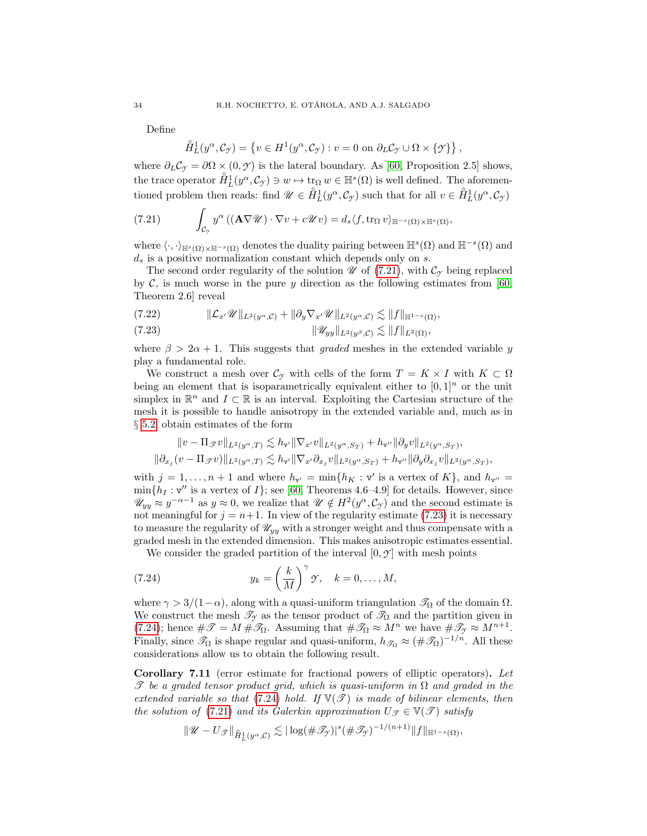Define

$$
\mathring{H}_L^1(y^\alpha, \mathcal{C}_{\mathcal{I}}) = \left\{ v \in H^1(y^\alpha, \mathcal{C}_{\mathcal{I}}) : v = 0 \text{ on } \partial_L \mathcal{C}_{\mathcal{I}} \cup \Omega \times \{ \mathcal{I} \} \right\},
$$

where  $\partial_L C_\gamma = \partial \Omega \times (0, \gamma)$  is the lateral boundary. As [\[60,](#page-36-8) Proposition 2.5] shows, the trace operator  $\mathring{H}_L^1(y^\alpha, \mathcal{C}_\mathcal{J}) \ni w \mapsto \text{tr}_\Omega w \in \mathbb{H}^s(\Omega)$  is well defined. The aforementioned problem then reads: find  $\mathscr{U} \in \overset{\circ}{H}_{L}^{1}(y^{\alpha}, \mathcal{C}_{\gamma})$  such that for all  $v \in \overset{\circ}{H}_{L}^{1}(y^{\alpha}, \mathcal{C}_{\gamma})$ 

<span id="page-33-0"></span>(7.21) 
$$
\int_{\mathcal{C}_{\mathcal{I}}} y^{\alpha} \left( (\mathbf{A} \nabla \mathscr{U}) \cdot \nabla v + c \mathscr{U} v \right) = d_s \langle f, \text{tr}_{\Omega} v \rangle_{\mathbb{H}^{-s}(\Omega) \times \mathbb{H}^s(\Omega)},
$$

where  $\langle \cdot, \cdot \rangle_{\mathbb{H}^s(\Omega) \times \mathbb{H}^{-s}(\Omega)}$  denotes the duality pairing between  $\mathbb{H}^s(\Omega)$  and  $\mathbb{H}^{-s}(\Omega)$  and  $d_s$  is a positive normalization constant which depends only on s.

The second order regularity of the solution  $\mathscr U$  of [\(7.21\)](#page-33-0), with  $\mathcal C_{\gamma}$  being replaced by  $\mathcal{C}$ , is much worse in the pure y direction as the following estimates from [\[60,](#page-36-8) Theorem 2.6] reveal

$$
(7.22) \t\t\t\t\|\mathcal{L}_{x'}\mathscr{U}\|_{L^2(y^{\alpha},\mathcal{C})}+\|\partial_y\nabla_{x'}\mathscr{U}\|_{L^2(y^{\alpha},\mathcal{C})}\lesssim\|f\|_{\mathbb{H}^{1-s}(\Omega)},
$$

<span id="page-33-1"></span>
$$
(7.23) \t\t\t\t\t\|\mathscr{U}_{yy}\|_{L^2(y^\beta,\mathcal{C})} \lesssim \|f\|_{L^2(\Omega)},
$$

where  $\beta > 2\alpha + 1$ . This suggests that graded meshes in the extended variable y play a fundamental role.

We construct a mesh over  $\mathcal{C}_{\gamma}$  with cells of the form  $T = K \times I$  with  $K \subset \Omega$ being an element that is isoparametrically equivalent either to  $[0, 1]^n$  or the unit simplex in  $\mathbb{R}^n$  and  $I \subset \mathbb{R}$  is an interval. Exploiting the Cartesian structure of the mesh it is possible to handle anisotropy in the extended variable and, much as in § [5.2,](#page-15-1) obtain estimates of the form

$$
\begin{aligned} \|v-\Pi_{\mathscr{T}}v\|_{L^2(y^\alpha,T)}\lesssim h_{\mathbf{v}'}\|\nabla_{x'}v\|_{L^2(y^\alpha,S_T)}+h_{\mathbf{v}''}\|\partial_yv\|_{L^2(y^\alpha,S_T)},\\ \|\partial_{x_j}(v-\Pi_{\mathscr{T}}v)\|_{L^2(y^\alpha,T)}\lesssim h_{\mathbf{v}'}\|\nabla_{x'}\partial_{x_j}v\|_{L^2(y^\alpha,S_T)}+h_{\mathbf{v}''}\|\partial_y\partial_{x_j}v\|_{L^2(y^\alpha,S_T)}, \end{aligned}
$$

with  $j = 1, ..., n + 1$  and where  $h_{\mathbf{v}'} = \min\{h_K : \mathbf{v}'$  is a vertex of  $K\}$ , and  $h_{\mathbf{v}''} =$  $\min\{h_I : \mathsf{v''}\$ is a vertex of  $I\}$ ; see [\[60,](#page-36-8) Theorems 4.6–4.9] for details. However, since  $\mathscr{U}_{yy} \approx y^{-\alpha-1}$  as  $y \approx 0$ , we realize that  $\mathscr{U} \notin H^2(y^{\alpha}, \mathcal{C}_{\mathcal{I}})$  and the second estimate is not meaningful for  $j = n+1$ . In view of the regularity estimate [\(7.23\)](#page-33-1) it is necessary to measure the regularity of  $\mathcal{U}_{yy}$  with a stronger weight and thus compensate with a graded mesh in the extended dimension. This makes anisotropic estimates essential.

<span id="page-33-2"></span>We consider the graded partition of the interval  $[0, \gamma]$  with mesh points

(7.24) 
$$
y_k = \left(\frac{k}{M}\right)^{\gamma} \gamma, \quad k = 0, \dots, M,
$$

where  $\gamma > 3/(1-\alpha)$ , along with a quasi-uniform triangulation  $\mathcal{T}_{\Omega}$  of the domain  $\Omega$ . We construct the mesh  $\mathcal{T}_{\gamma}$  as the tensor product of  $\mathcal{T}_{\Omega}$  and the partition given in [\(7.24\)](#page-33-2); hence  $\#\mathscr{T} = M \#\mathscr{T}_{\Omega}$ . Assuming that  $\#\mathscr{T}_{\Omega} \approx M^n$  we have  $\#\mathscr{T}_{\gamma} \approx M^{n+1}$ . Finally, since  $\mathcal{T}_{\Omega}$  is shape regular and quasi-uniform,  $h_{\mathcal{T}_{\Omega}} \approx (\#\mathcal{T}_{\Omega})^{-1/n}$ . All these considerations allow us to obtain the following result.

Corollary 7.11 (error estimate for fractional powers of elliptic operators). Let T be a graded tensor product grid, which is quasi-uniform in  $\Omega$  and graded in the extended variable so that [\(7.24\)](#page-33-2) hold. If  $\mathbb{V}(\mathscr{T})$  is made of bilinear elements, then the solution of [\(7.21\)](#page-33-0) and its Galerkin approximation  $U_{\mathcal{F}} \in \mathbb{V}(\mathcal{F})$  satisfy

$$
\|\mathscr{U}-U_{\mathscr{F}}\|_{\hat{H}^1_L(y^{\alpha},\mathcal{C})}\lesssim |\log(\#\mathscr{T}_{\mathscr{Y}})|^s(\#\mathscr{T}_{\mathscr{Y}})^{-1/(n+1)}\|f\|_{\mathbb{H}^{1-s}(\Omega)},
$$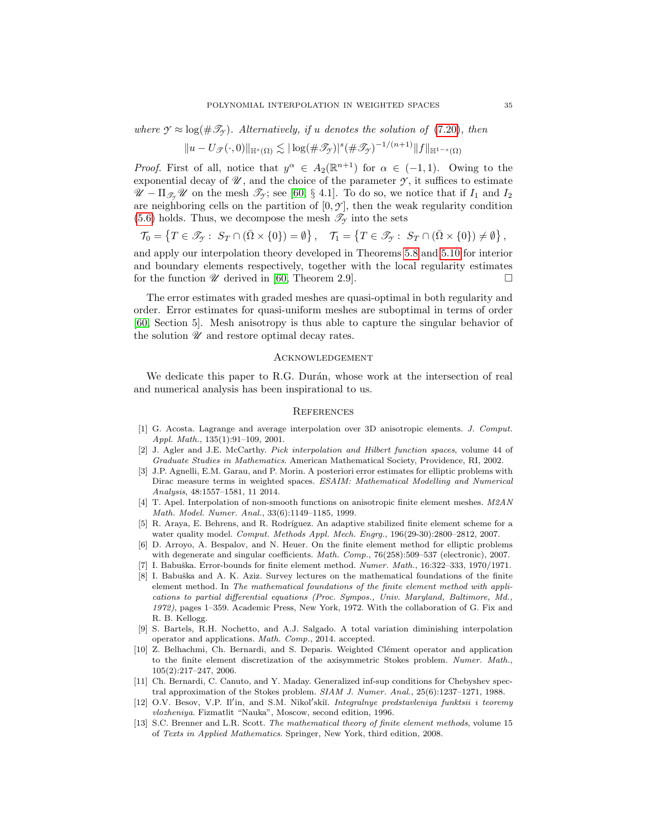where  $\mathcal{Y} \approx \log(\#\mathcal{I}_\mathcal{Y})$ . Alternatively, if u denotes the solution of [\(7.20\)](#page-32-0), then

$$
||u - U_{\mathscr{T}}(\cdot,0)||_{\mathbb{H}^{s}(\Omega)} \lesssim |\log(\#\mathscr{T}_{\mathscr{T}})|^{s}(\#\mathscr{T}_{\mathscr{T}})^{-1/(n+1)}||f||_{\mathbb{H}^{1-s}(\Omega)}
$$

*Proof.* First of all, notice that  $y^{\alpha} \in A_2(\mathbb{R}^{n+1})$  for  $\alpha \in (-1,1)$ . Owing to the exponential decay of  $\mathscr{U}$ , and the choice of the parameter  $\mathscr{Y}$ , it suffices to estimate  $\mathscr{U} - \Pi_{\mathscr{F}_Y} \mathscr{U}$  on the mesh  $\mathscr{F}_Y$ ; see [\[60,](#page-36-8) § 4.1]. To do so, we notice that if  $I_1$  and  $I_2$ are neighboring cells on the partition of  $[0, \mathcal{Y}]$ , then the weak regularity condition [\(5.6\)](#page-16-0) holds. Thus, we decompose the mesh  $\mathscr{T}_{\gamma}$  into the sets

$$
\mathcal{T}_0 = \left\{ T \in \mathscr{T}_{\mathcal{T}}: \ S_T \cap (\bar{\Omega} \times \{0\}) = \emptyset \right\}, \quad \mathcal{T}_1 = \left\{ T \in \mathscr{T}_{\mathcal{T}}: \ S_T \cap (\bar{\Omega} \times \{0\}) \neq \emptyset \right\},
$$

and apply our interpolation theory developed in Theorems [5.8](#page-18-3) and [5.10](#page-22-1) for interior and boundary elements respectively, together with the local regularity estimates for the function  $\mathscr U$  derived in [\[60,](#page-36-8) Theorem 2.9].

The error estimates with graded meshes are quasi-optimal in both regularity and order. Error estimates for quasi-uniform meshes are suboptimal in terms of order [\[60,](#page-36-8) Section 5]. Mesh anisotropy is thus able to capture the singular behavior of the solution  $\mathscr U$  and restore optimal decay rates.

### **ACKNOWLEDGEMENT**

We dedicate this paper to R.G. Durán, whose work at the intersection of real and numerical analysis has been inspirational to us.

# **REFERENCES**

- <span id="page-34-6"></span>[1] G. Acosta. Lagrange and average interpolation over 3D anisotropic elements. J. Comput. Appl. Math., 135(1):91–109, 2001.
- <span id="page-34-0"></span>[2] J. Agler and J.E. McCarthy. Pick interpolation and Hilbert function spaces, volume 44 of Graduate Studies in Mathematics. American Mathematical Society, Providence, RI, 2002.
- <span id="page-34-1"></span>[3] J.P. Agnelli, E.M. Garau, and P. Morin. A posteriori error estimates for elliptic problems with Dirac measure terms in weighted spaces. ESAIM: Mathematical Modelling and Numerical Analysis, 48:1557–1581, 11 2014.
- <span id="page-34-3"></span>[4] T. Apel. Interpolation of non-smooth functions on anisotropic finite element meshes. M2AN Math. Model. Numer. Anal., 33(6):1149–1185, 1999.
- <span id="page-34-9"></span>[5] R. Araya, E. Behrens, and R. Rodríguez. An adaptive stabilized finite element scheme for a water quality model. Comput. Methods Appl. Mech. Engrg., 196(29-30):2800-2812, 2007.
- <span id="page-34-4"></span>[6] D. Arroyo, A. Bespalov, and N. Heuer. On the finite element method for elliptic problems with degenerate and singular coefficients. Math. Comp., 76(258):509–537 (electronic), 2007.
- <span id="page-34-10"></span>[7] I. Babuška. Error-bounds for finite element method.  $Numer. Math., 16:322-333, 1970/1971.$
- <span id="page-34-12"></span>[8] I. Babuška and A. K. Aziz. Survey lectures on the mathematical foundations of the finite element method. In The mathematical foundations of the finite element method with applications to partial differential equations (Proc. Sympos., Univ. Maryland, Baltimore, Md., 1972), pages 1–359. Academic Press, New York, 1972. With the collaboration of G. Fix and R. B. Kellogg.
- <span id="page-34-7"></span>[9] S. Bartels, R.H. Nochetto, and A.J. Salgado. A total variation diminishing interpolation operator and applications. Math. Comp., 2014. accepted.
- <span id="page-34-2"></span>[10] Z. Belhachmi, Ch. Bernardi, and S. Deparis. Weighted Clément operator and application to the finite element discretization of the axisymmetric Stokes problem. Numer. Math., 105(2):217–247, 2006.
- <span id="page-34-11"></span>[11] Ch. Bernardi, C. Canuto, and Y. Maday. Generalized inf-sup conditions for Chebyshev spectral approximation of the Stokes problem. SIAM J. Numer. Anal., 25(6):1237–1271, 1988.
- <span id="page-34-8"></span>[12] O.V. Besov, V.P. Il'in, and S.M. Nikol'skiĭ. Integralnye predstavleniya funktsii i teoremy vlozheniya. Fizmatlit "Nauka", Moscow, second edition, 1996.
- <span id="page-34-5"></span>[13] S.C. Brenner and L.R. Scott. The mathematical theory of finite element methods, volume 15 of Texts in Applied Mathematics. Springer, New York, third edition, 2008.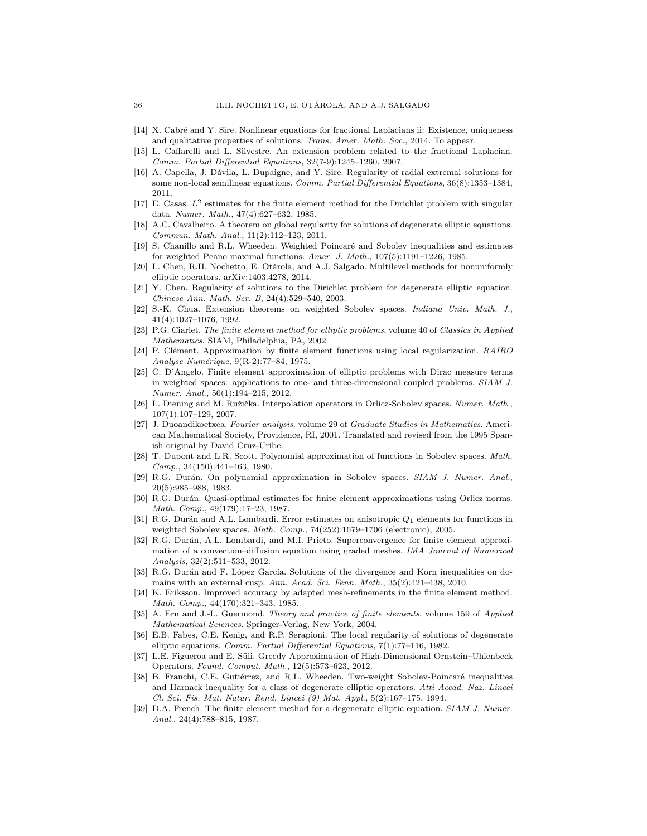- <span id="page-35-4"></span>[14] X. Cabré and Y. Sire. Nonlinear equations for fractional Laplacians ii: Existence, uniqueness and qualitative properties of solutions. Trans. Amer. Math. Soc., 2014. To appear.
- <span id="page-35-5"></span>[15] L. Caffarelli and L. Silvestre. An extension problem related to the fractional Laplacian. Comm. Partial Differential Equations, 32(7-9):1245–1260, 2007.
- <span id="page-35-25"></span>[16] A. Capella, J. Dávila, L. Dupaigne, and Y. Sire. Regularity of radial extremal solutions for some non-local semilinear equations. Comm. Partial Differential Equations, 36(8):1353–1384, 2011.
- <span id="page-35-22"></span>[17] E. Casas.  $L^2$  estimates for the finite element method for the Dirichlet problem with singular data. Numer. Math., 47(4):627–632, 1985.
- <span id="page-35-19"></span>[18] A.C. Cavalheiro. A theorem on global regularity for solutions of degenerate elliptic equations. Commun. Math. Anal., 11(2):112–123, 2011.
- <span id="page-35-17"></span>[19] S. Chanillo and R.L. Wheeden. Weighted Poincaré and Sobolev inequalities and estimates for weighted Peano maximal functions. Amer. J. Math., 107(5):1191–1226, 1985.
- <span id="page-35-21"></span>[20] L. Chen, R.H. Nochetto, E. Otárola, and A.J. Salgado. Multilevel methods for nonuniformly elliptic operators. arXiv:1403.4278, 2014.
- <span id="page-35-20"></span>[21] Y. Chen. Regularity of solutions to the Dirichlet problem for degenerate elliptic equation. Chinese Ann. Math. Ser. B, 24(4):529–540, 2003.
- <span id="page-35-18"></span>[22] S.-K. Chua. Extension theorems on weighted Sobolev spaces. Indiana Univ. Math. J., 41(4):1027–1076, 1992.
- <span id="page-35-11"></span>[23] P.G. Ciarlet. The finite element method for elliptic problems, volume 40 of Classics in Applied Mathematics. SIAM, Philadelphia, PA, 2002.
- <span id="page-35-0"></span>[24] P. Clément. Approximation by finite element functions using local regularization.  $RAIRO$ Analyse Numérique, 9(R-2):77-84, 1975.
- <span id="page-35-6"></span>[25] C. D'Angelo. Finite element approximation of elliptic problems with Dirac measure terms in weighted spaces: applications to one- and three-dimensional coupled problems. SIAM J. Numer. Anal., 50(1):194–215, 2012.
- <span id="page-35-12"></span>[26] L. Diening and M. Ružička. Interpolation operators in Orlicz-Sobolev spaces. Numer. Math., 107(1):107–129, 2007.
- <span id="page-35-14"></span>[27] J. Duoandikoetxea. Fourier analysis, volume 29 of Graduate Studies in Mathematics. American Mathematical Society, Providence, RI, 2001. Translated and revised from the 1995 Spanish original by David Cruz-Uribe.
- <span id="page-35-1"></span>[28] T. Dupont and L.R. Scott. Polynomial approximation of functions in Sobolev spaces. Math. Comp., 34(150):441–463, 1980.
- <span id="page-35-2"></span>[29] R.G. Durán. On polynomial approximation in Sobolev spaces. SIAM J. Numer. Anal., 20(5):985–988, 1983.
- <span id="page-35-13"></span>[30] R.G. Durán. Quasi-optimal estimates for finite element approximations using Orlicz norms. Math. Comp., 49(179):17–23, 1987.
- <span id="page-35-3"></span>[31] R.G. Durán and A.L. Lombardi. Error estimates on anisotropic  $Q_1$  elements for functions in weighted Sobolev spaces. Math. Comp., 74(252):1679-1706 (electronic), 2005.
- <span id="page-35-16"></span>R.G. Durán, A.L. Lombardi, and M.I. Prieto. Superconvergence for finite element approximation of a convection–diffusion equation using graded meshes. IMA Journal of Numerical Analysis, 32(2):511–533, 2012.
- <span id="page-35-7"></span>[33] R.G. Durán and F. López García. Solutions of the divergence and Korn inequalities on domains with an external cusp. Ann. Acad. Sci. Fenn. Math., 35(2):421–438, 2010.
- <span id="page-35-23"></span>[34] K. Eriksson. Improved accuracy by adapted mesh-refinements in the finite element method. Math. Comp., 44(170):321–343, 1985.
- <span id="page-35-24"></span>[35] A. Ern and J.-L. Guermond. Theory and practice of finite elements, volume 159 of Applied Mathematical Sciences. Springer-Verlag, New York, 2004.
- <span id="page-35-8"></span>[36] E.B. Fabes, C.E. Kenig, and R.P. Serapioni. The local regularity of solutions of degenerate elliptic equations. Comm. Partial Differential Equations, 7(1):77–116, 1982.
- <span id="page-35-9"></span>[37] L.E. Figueroa and E. Süli. Greedy Approximation of High-Dimensional Ornstein–Uhlenbeck Operators. Found. Comput. Math., 12(5):573–623, 2012.
- <span id="page-35-15"></span>[38] B. Franchi, C.E. Gutiérrez, and R.L. Wheeden. Two-weight Sobolev-Poincaré inequalities and Harnack inequality for a class of degenerate elliptic operators. Atti Accad. Naz. Lincei Cl. Sci. Fis. Mat. Natur. Rend. Lincei (9) Mat. Appl., 5(2):167–175, 1994.
- <span id="page-35-10"></span>[39] D.A. French. The finite element method for a degenerate elliptic equation. SIAM J. Numer. Anal., 24(4):788–815, 1987.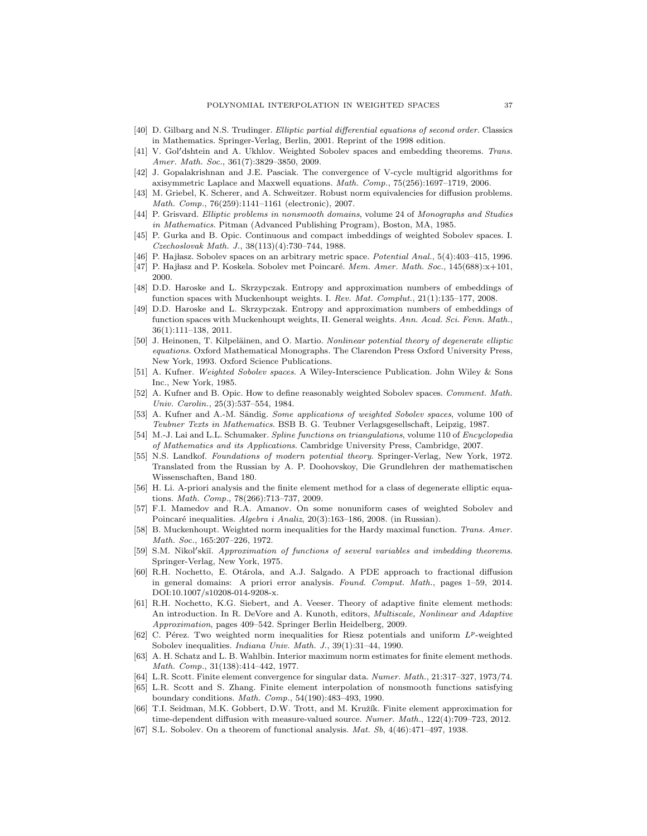- <span id="page-36-18"></span>[40] D. Gilbarg and N.S. Trudinger. Elliptic partial differential equations of second order. Classics in Mathematics. Springer-Verlag, Berlin, 2001. Reprint of the 1998 edition.
- <span id="page-36-12"></span>[41] V. Gol'dshtein and A. Ukhlov. Weighted Sobolev spaces and embedding theorems. Trans. Amer. Math. Soc., 361(7):3829–3850, 2009.
- <span id="page-36-6"></span>[42] J. Gopalakrishnan and J.E. Pasciak. The convergence of V-cycle multigrid algorithms for axisymmetric Laplace and Maxwell equations. Math. Comp., 75(256):1697–1719, 2006.
- <span id="page-36-21"></span>[43] M. Griebel, K. Scherer, and A. Schweitzer. Robust norm equivalencies for diffusion problems. Math. Comp., 76(259):1141–1161 (electronic), 2007.
- <span id="page-36-26"></span>[44] P. Grisvard. Elliptic problems in nonsmooth domains, volume 24 of Monographs and Studies in Mathematics. Pitman (Advanced Publishing Program), Boston, MA, 1985.
- <span id="page-36-16"></span>[45] P. Gurka and B. Opic. Continuous and compact imbeddings of weighted Sobolev spaces. I. Czechoslovak Math. J., 38(113)(4):730–744, 1988.
- <span id="page-36-9"></span>[46] P. Hajlasz. Sobolev spaces on an arbitrary metric space. Potential Anal., 5(4):403-415, 1996.
- <span id="page-36-13"></span>[47] P. Hajłasz and P. Koskela. Sobolev met Poincaré. Mem. Amer. Math. Soc.,  $145(688):x+101$ , 2000.
- <span id="page-36-17"></span>[48] D.D. Haroske and L. Skrzypczak. Entropy and approximation numbers of embeddings of function spaces with Muckenhoupt weights. I. Rev. Mat. Complut., 21(1):135–177, 2008.
- <span id="page-36-5"></span>[49] D.D. Haroske and L. Skrzypczak. Entropy and approximation numbers of embeddings of function spaces with Muckenhoupt weights, II. General weights. Ann. Acad. Sci. Fenn. Math., 36(1):111–138, 2011.
- <span id="page-36-10"></span>[50] J. Heinonen, T. Kilpeläinen, and O. Martio. Nonlinear potential theory of degenerate elliptic equations. Oxford Mathematical Monographs. The Clarendon Press Oxford University Press, New York, 1993. Oxford Science Publications.
- <span id="page-36-2"></span>[51] A. Kufner. Weighted Sobolev spaces. A Wiley-Interscience Publication. John Wiley & Sons Inc., New York, 1985.
- <span id="page-36-11"></span>[52] A. Kufner and B. Opic. How to define reasonably weighted Sobolev spaces. Comment. Math. Univ. Carolin., 25(3):537–554, 1984.
- <span id="page-36-3"></span>[53] A. Kufner and A.-M. Sändig. Some applications of weighted Sobolev spaces, volume 100 of Teubner Texts in Mathematics. BSB B. G. Teubner Verlagsgesellschaft, Leipzig, 1987.
- <span id="page-36-0"></span>[54] M.-J. Lai and L.L. Schumaker. Spline functions on triangulations, volume 110 of Encyclopedia of Mathematics and its Applications. Cambridge University Press, Cambridge, 2007.
- <span id="page-36-27"></span>[55] N.S. Landkof. Foundations of modern potential theory. Springer-Verlag, New York, 1972. Translated from the Russian by A. P. Doohovskoy, Die Grundlehren der mathematischen Wissenschaften, Band 180.
- <span id="page-36-7"></span>[56] H. Li. A-priori analysis and the finite element method for a class of degenerate elliptic equations. Math. Comp., 78(266):713–737, 2009.
- <span id="page-36-19"></span>[57] F.I. Mamedov and R.A. Amanov. On some nonuniform cases of weighted Sobolev and Poincaré inequalities.  $Algebra\ i\ Analiz,$   $20(3):163-186,$  2008. (in Russian).
- <span id="page-36-4"></span>[58] B. Muckenhoupt. Weighted norm inequalities for the Hardy maximal function. Trans. Amer. Math. Soc., 165:207–226, 1972.
- <span id="page-36-15"></span>[59] S.M. Nikol'skiï. Approximation of functions of several variables and imbedding theorems. Springer-Verlag, New York, 1975.
- <span id="page-36-8"></span>[60] R.H. Nochetto, E. Otárola, and A.J. Salgado. A PDE approach to fractional diffusion in general domains: A priori error analysis. Found. Comput. Math., pages 1–59, 2014. DOI:10.1007/s10208-014-9208-x.
- <span id="page-36-25"></span>[61] R.H. Nochetto, K.G. Siebert, and A. Veeser. Theory of adaptive finite element methods: An introduction. In R. DeVore and A. Kunoth, editors, Multiscale, Nonlinear and Adaptive Approximation, pages 409–542. Springer Berlin Heidelberg, 2009.
- <span id="page-36-20"></span>[62] C. Pérez. Two weighted norm inequalities for Riesz potentials and uniform  $L^p$ -weighted Sobolev inequalities. *Indiana Univ. Math. J.*, 39(1):31-44, 1990.
- <span id="page-36-24"></span>[63] A. H. Schatz and L. B. Wahlbin. Interior maximum norm estimates for finite element methods. Math. Comp., 31(138):414–442, 1977.
- <span id="page-36-22"></span>[64] L.R. Scott. Finite element convergence for singular data. Numer. Math., 21:317–327, 1973/74.
- <span id="page-36-1"></span>[65] L.R. Scott and S. Zhang. Finite element interpolation of nonsmooth functions satisfying boundary conditions. Math. Comp., 54(190):483–493, 1990.
- <span id="page-36-23"></span>[66] T.I. Seidman, M.K. Gobbert, D.W. Trott, and M. Kružík. Finite element approximation for time-dependent diffusion with measure-valued source. Numer. Math., 122(4):709–723, 2012.
- <span id="page-36-14"></span>[67] S.L. Sobolev. On a theorem of functional analysis. *Mat. Sb*, 4(46):471-497, 1938.